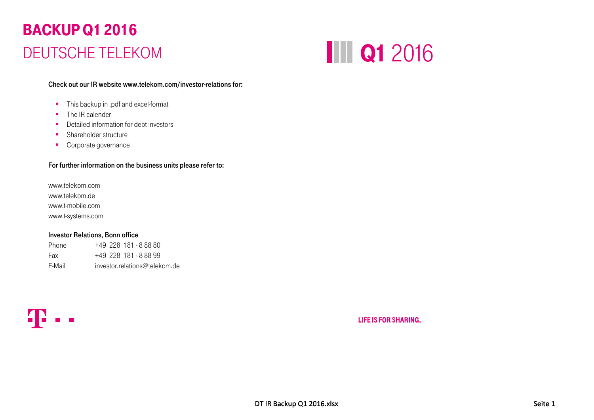## BACKUP Q1 2016 DEUTSCHE TELEKOM



Check out our IR website www.telekom.com/investor-relations for:

- **This backup in .pdf and excel-format**
- The IR calender
- Detailed information for debt investors
- **Shareholder structure**
- **Corporate governance**

#### For further information on the business units please refer to:

www.telekom.comwww.telekom.dewww.t-mobile.com www.t-systems.com

#### Investor Relations, Bonn office

| Phone  | $+49$ 228 181 - 888 80        |
|--------|-------------------------------|
| Fax    | $+49$ 228 181 - 888 99        |
| E-Mail | investor.relations@telekom.de |



**LIFE IS FOR SHARING.**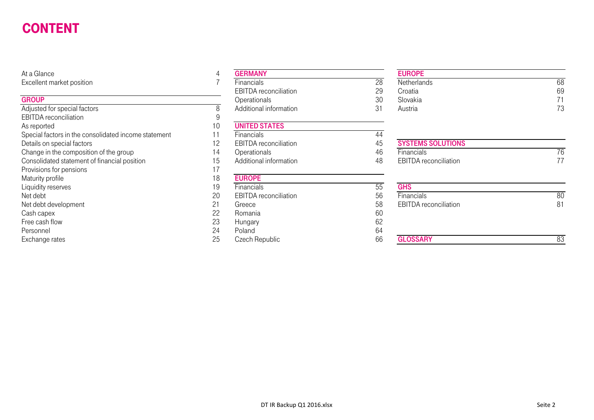#### **CONTENT** DT\_BT\_C\_DT\_BT\_C\_DT\_BT\_C\_DT\_BT\_C\_DT\_BT\_C\_DT\_BT\_C\_DT\_BT\_C\_DT\_BT\_C\_DT\_BT\_C\_DT\_BT\_C\_DT\_BT\_C\_DT\_BT\_C\_DT\_BT\_C\_DT\_BT\_

At a Glance 4

#### **GROUP**

| Adjusted for special factors                         |     | Additional information       | 31 | Austria                      | 73  |
|------------------------------------------------------|-----|------------------------------|----|------------------------------|-----|
| <b>EBITDA</b> reconciliation                         |     |                              |    |                              |     |
| As reported                                          | 10  | <b>UNITED STATES</b>         |    |                              |     |
| Special factors in the consolidated income statement |     | <b>Financials</b>            | 44 |                              |     |
| Details on special factors                           | 12. | <b>EBITDA</b> reconciliation | 45 | <b>SYSTEMS SOLUTIONS</b>     |     |
| Change in the composition of the group               | 14  | Operationals                 | 46 | <b>Financials</b>            | 76  |
| Consolidated statement of financial position         | 15  | Additional information       | 48 | <b>EBITDA</b> reconciliation | 77  |
| Provisions for pensions                              |     |                              |    |                              |     |
| Maturity profile                                     | 18  | <b>EUROPE</b>                |    |                              |     |
| Liquidity reserves                                   | 19  | Financials                   | 55 | <b>GHS</b>                   |     |
| Net debt                                             | 20  | <b>EBITDA</b> reconciliation | 56 | Financials                   | 80  |
| Net debt development                                 |     | Greece                       | 58 | <b>EBITDA</b> reconciliation | 81  |
| Cash capex                                           | 22  | Romania                      | 60 |                              |     |
| Free cash flow                                       | 23  | Hungary                      | 62 |                              |     |
| Personnel                                            | 24  | Poland                       | 64 |                              |     |
| Exchange rates                                       | つら  | Czoch Ropublic               | 6ĥ | <b>GLOSSARY</b>              | ନ୍ଦ |

| At a Glance                                          |                 | <b>GERMANY</b>               |    | <b>EUROPE</b>                |    |
|------------------------------------------------------|-----------------|------------------------------|----|------------------------------|----|
| Excellent market position                            |                 | <b>Financials</b>            | 28 | Netherlands                  | 68 |
|                                                      |                 | EBITDA reconciliation        | 29 | Croatia                      | 69 |
| <b>GROUP</b>                                         |                 | Operationals                 | 30 | Slovakia                     | 71 |
| Adjusted for special factors                         |                 | Additional information       | 31 | Austria                      | 73 |
| <b>EBITDA</b> reconciliation                         |                 |                              |    |                              |    |
| As reported                                          | 10              | <b>UNITED STATES</b>         |    |                              |    |
| Special factors in the consolidated income statement |                 | Financials                   | 44 |                              |    |
| Details on special factors                           | 12              | <b>EBITDA</b> reconciliation | 45 | <b>SYSTEMS SOLUTIONS</b>     |    |
| Change in the composition of the group               | $\overline{14}$ | Operationals                 | 46 | Financials                   | 76 |
| Consolidated statement of financial position         | 15              | Additional information       | 48 | <b>EBITDA</b> reconciliation | 77 |
| Provisions for pensions                              |                 |                              |    |                              |    |
| Maturity profile                                     | 18              | <b>EUROPE</b>                |    |                              |    |
| Liquidity reserves                                   | 19              | Financials                   | 55 | <b>GHS</b>                   |    |
| Net debt                                             | 20              | <b>EBITDA</b> reconciliation | 56 | Financials                   | 80 |
| Net debt development                                 | 21              | Greece                       | 58 | <b>EBITDA</b> reconciliation | 81 |
| Cash capex                                           | 22              | Romania                      | 60 |                              |    |
| Free cash flow                                       | 23              | Hungary                      | 62 |                              |    |
| Personnel                                            | 24              | Poland                       | 64 |                              |    |
| Exchange rates                                       | 25              | Czech Republic               | 66 | <b>GLOSSARY</b>              | 83 |

| ance                   | <b>GERMANY</b>               |          | <b>EUROPE</b> |    |
|------------------------|------------------------------|----------|---------------|----|
| ent market position    | Financials                   | ററ<br>۷O | Netherlands   | 68 |
|                        | <b>EBITDA</b> reconciliation | 29       | Croatia       | 69 |
|                        | Operationals                 | 30       | Slovakia      | 74 |
| ed for special factors | Additional information       |          | Austria       | 70 |

# Change in the composition of the group 14 Operationals 46 Financials 76

| Maturity profile     | 10 | <b>EURUPE</b>                |    |                              |    |
|----------------------|----|------------------------------|----|------------------------------|----|
| Liquidity reserves   | 19 | <b>Financials</b>            | უუ | <b>GHS</b>                   |    |
| Net debt             | 20 | <b>EBITDA</b> reconciliation | 56 | Financials                   | 80 |
| Net debt development | 21 | Greece                       | 58 | <b>EBITDA</b> reconciliation | 81 |
| Cash capex           | 22 | Romania                      | 60 |                              |    |
| Free cash flow       | 23 | Hungary                      | 62 |                              |    |
| Personnel            | 24 | Poland                       | 64 |                              |    |
| Exchange rates       | 25 | Czech Republic               | 66 | <b>GLOSSARY</b>              | 83 |
|                      |    |                              |    |                              |    |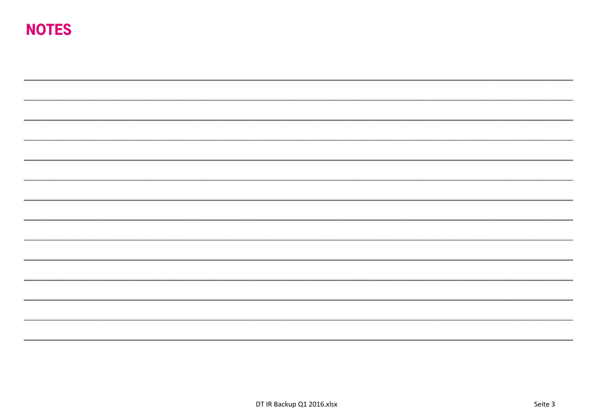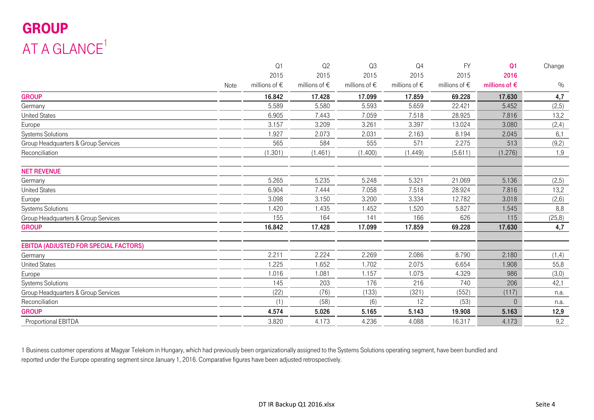## GROUP AT A GLANCE $1$

|                                              |      | Q1                | Q2                | Q3                | Q4                     | <b>FY</b>              | Q <sub>1</sub>         | Change  |
|----------------------------------------------|------|-------------------|-------------------|-------------------|------------------------|------------------------|------------------------|---------|
|                                              |      | 2015              | 2015              | 2015              | 2015                   | 2015                   | 2016                   |         |
|                                              | Note | millions of $\in$ | millions of $\in$ | millions of $\in$ | millions of $\epsilon$ | millions of $\epsilon$ | millions of $\epsilon$ | $\%$    |
| <b>GROUP</b>                                 |      | 16.842            | 17.428            | 17.099            | 17.859                 | 69.228                 | 17.630                 | 4,7     |
| Germany                                      |      | 5.589             | 5.580             | 5.593             | 5.659                  | 22.421                 | 5.452                  | (2, 5)  |
| <b>United States</b>                         |      | 6.905             | 7.443             | 7.059             | 7.518                  | 28.925                 | 7.816                  | 13,2    |
| Europe                                       |      | 3.157             | 3.209             | 3.261             | 3.397                  | 13.024                 | 3.080                  | (2,4)   |
| <b>Systems Solutions</b>                     |      | 1.927             | 2.073             | 2.031             | 2.163                  | 8.194                  | 2.045                  | 6,1     |
| Group Headquarters & Group Services          |      | 565               | 584               | 555               | 571                    | 2.275                  | 513                    | (9,2)   |
| Reconciliation                               |      | (1.301)           | (1.461)           | (1.400)           | (1.449)                | (5.611)                | (1.276)                | 1,9     |
| <b>NET REVENUE</b>                           |      |                   |                   |                   |                        |                        |                        |         |
| Germany                                      |      | 5.265             | 5.235             | 5.248             | 5.321                  | 21.069                 | 5.136                  | (2,5)   |
| <b>United States</b>                         |      | 6.904             | 7.444             | 7.058             | 7.518                  | 28.924                 | 7.816                  | 13,2    |
| Europe                                       |      | 3.098             | 3.150             | 3.200             | 3.334                  | 12.782                 | 3.018                  | (2,6)   |
| <b>Systems Solutions</b>                     |      | 1.420             | 1.435             | 1.452             | 1.520                  | 5.827                  | 1.545                  | 8,8     |
| Group Headquarters & Group Services          |      | 155               | 164               | 141               | 166                    | 626                    | 115                    | (25, 8) |
| <b>GROUP</b>                                 |      | 16.842            | 17.428            | 17.099            | 17.859                 | 69.228                 | 17.630                 | 4,7     |
| <b>EBITDA (ADJUSTED FOR SPECIAL FACTORS)</b> |      |                   |                   |                   |                        |                        |                        |         |
| Germany                                      |      | 2.211             | 2.224             | 2.269             | 2.086                  | 8.790                  | 2.180                  | (1,4)   |
| <b>United States</b>                         |      | 1.225             | 1.652             | 1.702             | 2.075                  | 6.654                  | 1.908                  | 55,8    |
| Europe                                       |      | 1.016             | 1.081             | 1.157             | 1.075                  | 4.329                  | 986                    | (3,0)   |
| <b>Systems Solutions</b>                     |      | 145               | 203               | 176               | 216                    | 740                    | 206                    | 42,1    |
| Group Headquarters & Group Services          |      | (22)              | (76)              | (133)             | (321)                  | (552)                  | (117)                  | n.a.    |
| Reconciliation                               |      | (1)               | (58)              | (6)               | 12                     | (53)                   | $\Omega$               | n.a.    |
| <b>GROUP</b>                                 |      | 4.574             | 5.026             | 5.165             | 5.143                  | 19.908                 | 5.163                  | 12,9    |
| Proportional EBITDA                          |      | 3.820             | 4.173             | 4.236             | 4.088                  | 16.317                 | 4.173                  | 9,2     |

1 Business customer operations at Magyar Telekom in Hungary, which had previously been organizationally assigned to the Systems Solutions operating segment, have been bundled and reported under the Europe operating segment since January 1, 2016. Comparative figures have been adjusted retrospectively.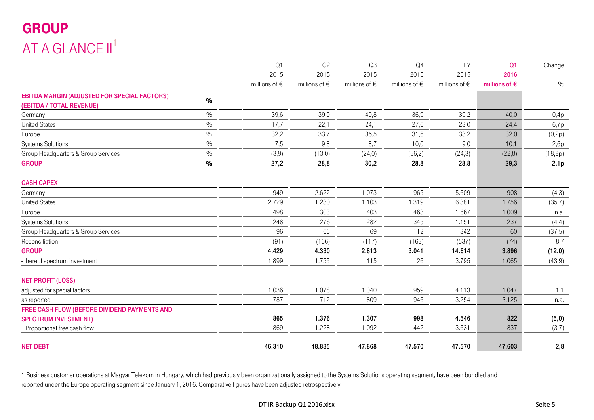## GROUP AT A GLANCE II<sup>1</sup>

|                                                     |               | Q <sub>1</sub>         | Q <sub>2</sub>    | Q <sub>3</sub>    | Q <sub>4</sub>         | <b>FY</b>         | Q <sub>1</sub>         | Change  |
|-----------------------------------------------------|---------------|------------------------|-------------------|-------------------|------------------------|-------------------|------------------------|---------|
|                                                     |               | 2015                   | 2015              | 2015              | 2015                   | 2015              | 2016                   |         |
|                                                     |               | millions of $\epsilon$ | millions of $\in$ | millions of $\in$ | millions of $\epsilon$ | millions of $\in$ | millions of $\epsilon$ | $\%$    |
| <b>EBITDA MARGIN (ADJUSTED FOR SPECIAL FACTORS)</b> | $\%$          |                        |                   |                   |                        |                   |                        |         |
| (EBITDA / TOTAL REVENUE)                            |               |                        |                   |                   |                        |                   |                        |         |
| Germany                                             | $\frac{0}{0}$ | 39,6                   | 39,9              | 40,8              | 36,9                   | 39,2              | 40,0                   | 0,4p    |
| <b>United States</b>                                | $\%$          | 17,7                   | 22,1              | 24,1              | 27,6                   | 23,0              | 24,4                   | 6,7p    |
| Europe                                              | $\%$          | 32,2                   | 33,7              | 35,5              | 31,6                   | 33,2              | 32,0                   | (0,2p)  |
| <b>Systems Solutions</b>                            | $\%$          | 7,5                    | 9,8               | 8,7               | 10,0                   | 9,0               | 10,1                   | 2,6p    |
| Group Headquarters & Group Services                 | $\frac{0}{0}$ | (3,9)                  | (13,0)            | (24,0)            | (56, 2)                | (24, 3)           | (22,8)                 | (18,9p) |
| <b>GROUP</b>                                        | $\%$          | 27,2                   | 28,8              | 30,2              | 28,8                   | 28,8              | 29,3                   | 2,1p    |
| <b>CASH CAPEX</b>                                   |               |                        |                   |                   |                        |                   |                        |         |
| Germany                                             |               | 949                    | 2.622             | 1.073             | 965                    | 5.609             | 908                    | (4,3)   |
| <b>United States</b>                                |               | 2.729                  | 1.230             | 1.103             | 1.319                  | 6.381             | 1.756                  | (35,7)  |
| Europe                                              |               | 498                    | 303               | 403               | 463                    | 1.667             | 1.009                  | n.a.    |
| <b>Systems Solutions</b>                            |               | 248                    | 276               | 282               | 345                    | 1.151             | 237                    | (4,4)   |
| Group Headquarters & Group Services                 |               | 96                     | 65                | 69                | 112                    | 342               | 60                     | (37,5)  |
| Reconciliation                                      |               | (91)                   | (166)             | (117)             | (163)                  | (537)             | (74)                   | 18,7    |
| <b>GROUP</b>                                        |               | 4.429                  | 4.330             | 2.813             | 3.041                  | 14.614            | 3.896                  | (12,0)  |
| - thereof spectrum investment                       |               | 1.899                  | 1.755             | 115               | 26                     | 3.795             | 1.065                  | (43, 9) |
| <b>NET PROFIT (LOSS)</b>                            |               |                        |                   |                   |                        |                   |                        |         |
| adjusted for special factors                        |               | 1.036                  | 1.078             | 1.040             | 959                    | 4.113             | 1.047                  | 1,1     |
| as reported                                         |               | 787                    | 712               | 809               | 946                    | 3.254             | 3.125                  | n.a.    |
| FREE CASH FLOW (BEFORE DIVIDEND PAYMENTS AND        |               |                        |                   |                   |                        |                   |                        |         |
| <b>SPECTRUM INVESTMENT)</b>                         |               | 865                    | 1.376             | 1.307             | 998                    | 4.546             | 822                    | (5,0)   |
| Proportional free cash flow                         |               | 869                    | 1.228             | 1.092             | 442                    | 3.631             | 837                    | (3,7)   |
| <b>NET DEBT</b>                                     |               | 46.310                 | 48.835            | 47.868            | 47.570                 | 47.570            | 47.603                 | 2,8     |

1 Business customer operations at Magyar Telekom in Hungary, which had previously been organizationally assigned to the Systems Solutions operating segment, have been bundled and reported under the Europe operating segment since January 1, 2016. Comparative figures have been adjusted retrospectively.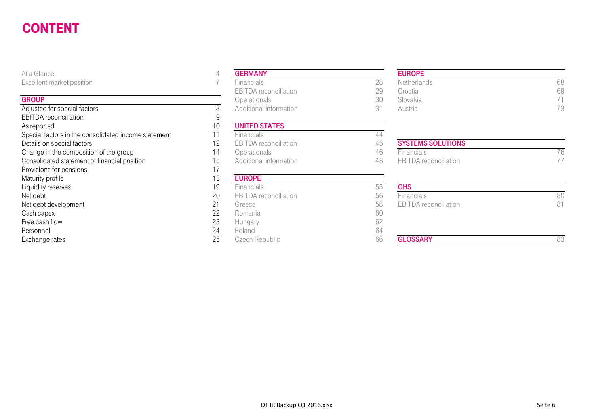#### **CONTENT** DT\_BT\_C\_DT\_BT\_C\_DT\_BT\_C\_DT\_BT\_C\_DT\_BT\_C\_DT\_BT\_C\_DT\_BT\_C\_DT\_BT\_C\_DT\_BT\_C\_DT\_BT\_C\_DT\_BT\_C\_DT\_BT\_C\_DT\_BT\_C\_DT\_BT\_

At a Glance

#### **GROUP**

| Adjusted for special factors                         | 8     | Additional information       | 31  | Austria                      | 73 |
|------------------------------------------------------|-------|------------------------------|-----|------------------------------|----|
| <b>EBITDA</b> reconciliation                         |       |                              |     |                              |    |
| As reported                                          | 1 ( ) | <b>UNITED STATES</b>         |     |                              |    |
| Special factors in the consolidated income statement |       | <b>Financials</b>            | 44  |                              |    |
| Details on special factors                           | 12    | <b>EBITDA</b> reconciliation | 45  | <b>SYSTEMS SOLUTIONS</b>     |    |
| Change in the composition of the group               | 14    | Operationals                 | 46  | <b>Financials</b>            | 76 |
| Consolidated statement of financial position         | 15    | Additional information       | 48  | EBITDA reconciliation        | 77 |
| Provisions for pensions                              |       |                              |     |                              |    |
| Maturity profile                                     | 18    | <b>EUROPE</b>                |     |                              |    |
| Liquidity reserves                                   | 19    | Financials                   | 55  | <b>GHS</b>                   |    |
| Net debt                                             | 20    | <b>EBITDA</b> reconciliation | 56  | Financials                   | 80 |
| Net debt development                                 | 21    | Greece                       | 58  | <b>EBITDA</b> reconciliation | 81 |
| Cash capex                                           | 22    | Romania                      | 60  |                              |    |
| Free cash flow                                       | 23    | Hungary                      | 62  |                              |    |
| Personnel                                            | 24    | Poland                       | 64  |                              |    |
| Evebongo roton                                       | つに    | Czoob Dopublic               | G G | <b>GLOCCADV</b>              |    |

| At a Glance                                          | 4  | <b>GERMANY</b>               |    |
|------------------------------------------------------|----|------------------------------|----|
| Excellent market position                            |    | Financials                   | 28 |
|                                                      |    | <b>EBITDA</b> reconciliation | 29 |
| <b>GROUP</b>                                         |    | Operationals                 | 30 |
| Adjusted for special factors                         | 8  | Additional information       | 31 |
| <b>EBITDA</b> reconciliation                         | 9  |                              |    |
| As reported                                          | 10 | <b>UNITED STATES</b>         |    |
| Special factors in the consolidated income statement | 11 | Financials                   | 44 |
| Details on special factors                           | 12 | <b>EBITDA</b> reconciliation | 45 |
| Change in the composition of the group               | 14 | Operationals                 | 46 |
| Consolidated statement of financial position         | 15 | Additional information       | 48 |
| Provisions for pensions                              | 17 |                              |    |
| Maturity profile                                     | 18 | <b>EUROPE</b>                |    |
| Liquidity reserves                                   | 19 | Financials                   | 55 |
| Net debt                                             | 20 | <b>EBITDA</b> reconciliation | 56 |
| Net debt development                                 | 21 | Greece                       | 58 |
| Cash capex                                           | 22 | Romania                      | 60 |
| Free cash flow                                       | 23 | Hungary                      | 62 |
| Personnel                                            | 24 | Poland                       | 64 |
| Exchange rates                                       | 25 | Czech Republic               | 66 |

 $\overline{4}$ 

#### EUROPE

| $\sim$ $\sim$ $\sim$   | .                            |             | .        |    |  |
|------------------------|------------------------------|-------------|----------|----|--|
| ent market position    | <b>Financials</b>            | Netherlands |          | 58 |  |
|                        | <b>EBITDA</b> reconciliation |             | Croatia  | 66 |  |
|                        | <b>Operationals</b>          |             | Slovakia |    |  |
| ed for special factors | Additional information       |             | Austria  |    |  |

| Special lactors in the consolidated income statement. | піансіав.              |                          |  |
|-------------------------------------------------------|------------------------|--------------------------|--|
| Details on special factors                            | EBITDA reconciliation  | <b>SYSTEMS SOLUTIONS</b> |  |
| Change in the composition of the group                | Operationals           | <b>Financials</b>        |  |
| Consolidated statement of financial position          | Additional information | EBITDA reconciliation    |  |
|                                                       |                        |                          |  |

| iviaturity profile   | 10 | <b>EUNUFE</b>                |    |                              |    |
|----------------------|----|------------------------------|----|------------------------------|----|
| Liquidity reserves   | 19 | <b>Financials</b>            |    | <b>GHS</b>                   |    |
| Net debt             | 20 | <b>EBITDA</b> reconciliation | 56 | <b>Financials</b>            | 80 |
| Net debt development | 21 | Greece                       | 58 | <b>EBITDA</b> reconciliation | 81 |
| Cash capex           | 22 | Romania                      | 60 |                              |    |
| Free cash flow       | 23 | Hungary                      |    |                              |    |
| Personnel            | 24 | Poland                       | 04 |                              |    |
| Exchange rates       | 25 | Czech Republic               | 66 | <b>GLOSSARY</b>              | 83 |
|                      |    |                              |    |                              |    |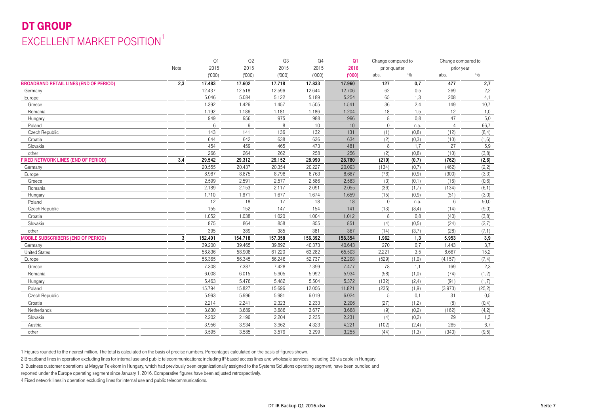### DT GROUPEXCELLENT MARKET POSITION<sup>1</sup>

|                                               |      | Q1      | Q2      | Q3      | Q <sub>4</sub> | Q <sub>1</sub> | Change compared to |        | Change compared to |         |
|-----------------------------------------------|------|---------|---------|---------|----------------|----------------|--------------------|--------|--------------------|---------|
|                                               | Note | 2015    | 2015    | 2015    | 2015           | 2016           | prior quarter      |        | prior year         |         |
|                                               |      | (000)   | (000)   | (000)   | (000)          | (000)          | abs.               | $\%$   | abs.               | $\%$    |
| <b>BROADBAND RETAIL LINES (END OF PERIOD)</b> | 2,3  | 17.483  | 17.602  | 17.718  | 17.833         | 17.960         | 127                | 0,7    | 477                | 2,7     |
| Germany                                       |      | 12.437  | 12.518  | 12.596  | 12.644         | 12.706         | 62                 | 0,5    | 269                | 2,2     |
| Europe                                        |      | 5.046   | 5.084   | 5.122   | 5.189          | 5.254          | 65                 | 1,3    | 208                | 4,1     |
| Greece                                        |      | 1.392   | 1.426   | 1.457   | 1.505          | 1.541          | 36                 | 2,4    | 149                | 10,7    |
| Romania                                       |      | 1.192   | 1.186   | 1.181   | 1.186          | 1.204          | 18                 | 1,5    | 12                 | 1,0     |
| Hungary                                       |      | 949     | 956     | 975     | 988            | 996            | 8                  | 0,8    | 47                 | 5,0     |
| Poland                                        |      | 6       | 9       | 8       | 10             | 10             | $\mathbf{0}$       | n.a.   | $\overline{4}$     | 66,7    |
| Czech Republic                                |      | 143     | 141     | 136     | 132            | 131            | (1)                | (0, 8) | (12)               | (8, 4)  |
| Croatia                                       |      | 644     | 642     | 638     | 636            | 634            | (2)                | (0,3)  | (10)               | (1,6)   |
| Slovakia                                      |      | 454     | 459     | 465     | 473            | 481            | 8                  | 1.7    | 27                 | 5,9     |
| other                                         |      | 266     | 264     | 262     | 258            | 256            | (2)                | (0,8)  | (10)               | (3,8)   |
| <b>FIXED NETWORK LINES (END OF PERIOD)</b>    | 3,4  | 29.542  | 29.312  | 29.152  | 28.990         | 28.780         | (210)              | (0,7)  | (762)              | (2, 6)  |
| Germany                                       |      | 20.555  | 20.437  | 20.354  | 20.227         | 20.093         | (134)              | (0,7)  | (462)              | (2,2)   |
| Europe                                        |      | 8.987   | 8.875   | 8.798   | 8.763          | 8.687          | (76)               | (0,9)  | (300)              | (3,3)   |
| Greece                                        |      | 2.599   | 2.591   | 2.577   | 2.586          | 2.583          | (3)                | (0,1)  | (16)               | (0,6)   |
| Romania                                       |      | 2.189   | 2.153   | 2.117   | 2.091          | 2.055          | (36)               | (1,7)  | (134)              | (6,1)   |
| Hungary                                       |      | 1.710   | 1.671   | 1.677   | 1.674          | 1.659          | (15)               | (0,9)  | (51)               | (3,0)   |
| Poland                                        |      | 12      | 18      | 17      | 18             | 18             | $\Omega$           | n.a.   | 6                  | 50,0    |
| Czech Republic                                |      | 155     | 152     | 147     | 154            | 141            | (13)               | (8, 4) | (14)               | (9,0)   |
| Croatia                                       |      | 1.052   | 1.038   | 1.020   | 1.004          | 1.012          | $\mathsf{R}$       | 0,8    | (40)               | (3,8)   |
| Slovakia                                      |      | 875     | 864     | 858     | 855            | 851            | (4)                | (0,5)  | (24)               | (2,7)   |
| other                                         |      | 395     | 389     | 385     | 381            | 367            | (14)               | (3,7)  | (28)               | (7, 1)  |
| <b>MOBILE SUBSCRIBERS (END OF PERIOD)</b>     | 3    | 152.401 | 154.718 | 157.358 | 156.392        | 158.354        | 1.962              | 1,3    | 5.953              | 3,9     |
| Germany                                       |      | 39.200  | 39.465  | 39.892  | 40.373         | 40.643         | 270                | 0,7    | 1.443              | 3,7     |
| <b>United States</b>                          |      | 56.836  | 58.908  | 61.220  | 63.282         | 65.503         | 2.221              | 3.5    | 8.667              | 15,2    |
| Europe                                        |      | 56.365  | 56.345  | 56.246  | 52.737         | 52.208         | (529)              | (1,0)  | (4.157)            | (7, 4)  |
| Greece                                        |      | 7.308   | 7.387   | 7.428   | 7.399          | 7.477          | 78                 | 1,1    | 169                | 2,3     |
| Romania                                       |      | 6.008   | 6.015   | 5.905   | 5.992          | 5.934          | (58)               | (1,0)  | (74)               | (1,2)   |
| Hungary                                       |      | 5.463   | 5.476   | 5.482   | 5.504          | 5.372          | (132)              | (2, 4) | (91)               | (1,7)   |
| Poland                                        |      | 15.794  | 15.827  | 15.696  | 12.056         | 11.821         | (235)              | (1, 9) | (3.973)            | (25, 2) |
| Czech Republic                                |      | 5.993   | 5.996   | 5.981   | 6.019          | 6.024          | 5                  | 0,1    | 31                 | 0,5     |
| Croatia                                       |      | 2.214   | 2.241   | 2.323   | 2.233          | 2.206          | (27)               | (1,2)  | (8)                | (0, 4)  |
| Netherlands                                   |      | 3.830   | 3.689   | 3.686   | 3.677          | 3.668          | (9)                | (0,2)  | (162)              | (4,2)   |
| Slovakia                                      |      | 2.202   | 2.196   | 2.204   | 2.235          | 2.231          | (4)                | (0,2)  | 29                 | 1,3     |
| Austria                                       |      | 3.956   | 3.934   | 3.962   | 4.323          | 4.221          | (102)              | (2,4)  | 265                | 6,7     |
| other                                         |      | 3.595   | 3.585   | 3.579   | 3.299          | 3.255          | (44)               | (1,3)  | (340)              | (9,5)   |
|                                               |      |         |         |         |                |                |                    |        |                    |         |

1 Figures rounded to the nearest million. The total is calculated on the basis of precise numbers. Percentages calculated on the basis of figures shown.

2 Broadband lines in operation excluding lines for internal use and public telecommunications; including IP-based access lines and wholesale services. Including BB via cable in Hungary.

3 Business customer operations at Magyar Telekom in Hungary, which had previously been organizationally assigned to the Systems Solutions operating segment, have been bundled and

reported under the Europe operating segment since January 1, 2016. Comparative figures have been adjusted retrospectively.

4 Fixed network lines in operation excluding lines for internal use and public telecommunications.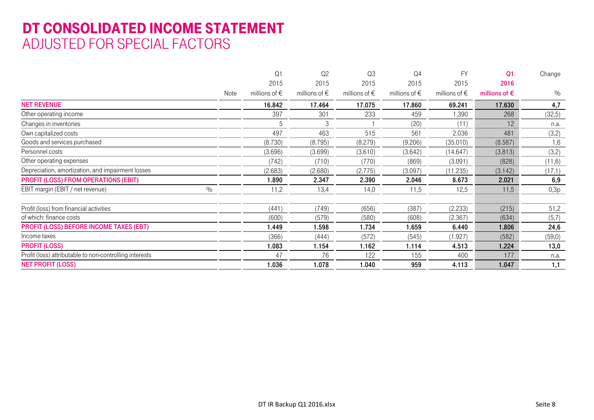### DT CONSOLIDATED INCOME STATEMENT ADJUSTED FOR SPECIAL FACTORS

|                                                         |      | Q <sub>1</sub>         | Q2                     | Q3                     | Q4                     | <b>FY</b>              | Q <sub>1</sub>         | Change |
|---------------------------------------------------------|------|------------------------|------------------------|------------------------|------------------------|------------------------|------------------------|--------|
|                                                         |      | 2015                   | 2015                   | 2015                   | 2015                   | 2015                   | 2016                   |        |
|                                                         | Note | millions of $\epsilon$ | millions of $\epsilon$ | millions of $\epsilon$ | millions of $\epsilon$ | millions of $\epsilon$ | millions of $\epsilon$ | $\%$   |
| <b>NET REVENUE</b>                                      |      | 16.842                 | 17.464                 | 17.075                 | 17.860                 | 69.241                 | 17.630                 | 4,7    |
| Other operating income                                  |      | 397                    | 301                    | 233                    | 459                    | .390                   | 268                    | (32,5) |
| Changes in inventories                                  |      | 5                      | 3                      |                        | (20)                   | (11)                   | 12                     | n.a.   |
| Own capitalized costs                                   |      | 497                    | 463                    | 515                    | 561                    | 2.036                  | 481                    | (3,2)  |
| Goods and services purchased                            |      | (8.730)                | (8.795)                | (8.279)                | (9.206)                | (35.010)               | (8.587)                | 1,6    |
| Personnel costs                                         |      | (3.696)                | (3.699)                | (3.610)                | (3.642)                | (14.647)               | (3.813)                | (3,2)  |
| Other operating expenses                                |      | (742)                  | (710)                  | (770)                  | (869)                  | (3.091)                | (828)                  | (11,6) |
| Depreciation, amortization, and impairment losses       |      | (2.683)                | (2.680)                | (2.775)                | (3.097)                | (11.235)               | (3.142)                | (17,1) |
| <b>PROFIT (LOSS) FROM OPERATIONS (EBIT)</b>             |      | 1.890                  | 2.347                  | 2.390                  | 2.046                  | 8.673                  | 2.021                  | 6,9    |
| EBIT margin (EBIT / net revenue)<br>$\%$                |      | 11,2                   | 13,4                   | 14,0                   | 11,5                   | 12,5                   | 11,5                   | 0,3p   |
| Profit (loss) from financial activities                 |      | (441)                  | (749)                  | (656)                  | (387)                  | (2.233)                | (215)                  | 51,2   |
| of which: finance costs                                 |      | (600)                  | (579)                  | (580)                  | (608)                  | (2.367)                | (634)                  | (5,7)  |
| <b>PROFIT (LOSS) BEFORE INCOME TAXES (EBT)</b>          |      | 1.449                  | 1.598                  | 1.734                  | 1.659                  | 6.440                  | 1.806                  | 24,6   |
| Income taxes                                            |      | (366)                  | (444)                  | (572)                  | (545)                  | (1.927)                | (582)                  | (59,0) |
| <b>PROFIT (LOSS)</b>                                    |      | 1.083                  | 1.154                  | 1.162                  | 1.114                  | 4.513                  | 1.224                  | 13,0   |
| Profit (loss) attributable to non-controlling interests |      | 47                     | 76                     | 122                    | 155                    | 400                    | 177                    | n.a.   |
| <b>NET PROFIT (LOSS)</b>                                |      | 1.036                  | 1.078                  | 1.040                  | 959                    | 4.113                  | 1.047                  | 1,1    |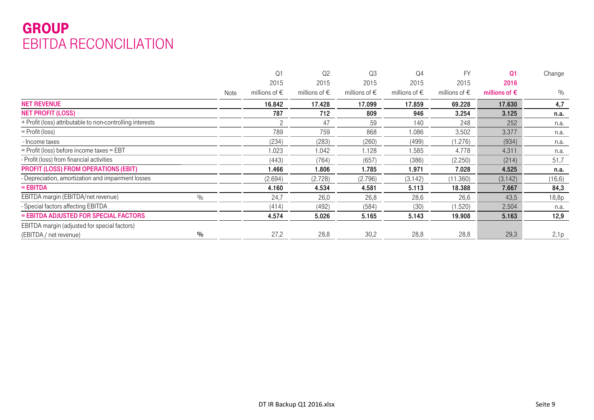### GROUP EBITDA RECONCILIATION

|                                                           |      | Q <sub>1</sub>         | Q <sub>2</sub>         | Q3                     | Q <sub>4</sub>         | FY                     | Q <sub>1</sub>         | Change  |
|-----------------------------------------------------------|------|------------------------|------------------------|------------------------|------------------------|------------------------|------------------------|---------|
|                                                           |      | 2015                   | 2015                   | 2015                   | 2015                   | 2015                   | 2016                   |         |
|                                                           | Note | millions of $\epsilon$ | millions of $\epsilon$ | millions of $\epsilon$ | millions of $\epsilon$ | millions of $\epsilon$ | millions of $\epsilon$ | $\%$    |
| <b>NET REVENUE</b>                                        |      | 16.842                 | 17.428                 | 17.099                 | 17.859                 | 69.228                 | 17.630                 | 4,7     |
| <b>NET PROFIT (LOSS)</b>                                  |      | 787                    | 712                    | 809                    | 946                    | 3.254                  | 3.125                  | n.a.    |
| + Profit (loss) attributable to non-controlling interests |      |                        | 47                     | 59                     | 140                    | 248                    | 252                    | n.a.    |
| $=$ Profit (loss)                                         |      | 789                    | 759                    | 868                    | 1.086                  | 3.502                  | 3.377                  | n.a.    |
| - Income taxes                                            |      | (234)                  | (283)                  | (260)                  | (499)                  | (1.276)                | (934)                  | n.a.    |
| = Profit (loss) before income taxes = EBT                 |      | 1.023                  | 1.042                  | 1.128                  | 1.585                  | 4.778                  | 4.311                  | n.a.    |
| - Profit (loss) from financial activities                 |      | (443)                  | (764)                  | (657)                  | (386)                  | (2.250)                | (214)                  | 51,7    |
| <b>PROFIT (LOSS) FROM OPERATIONS (EBIT)</b>               |      | 1.466                  | 1.806                  | 1.785                  | 1.971                  | 7.028                  | 4.525                  | n.a.    |
| - Depreciation, amortization and impairment losses        |      | (2.694)                | (2.728)                | (2.796)                | (3.142)                | (11.360)               | (3.142)                | (16, 6) |
| $=$ EBITDA                                                |      | 4.160                  | 4.534                  | 4.581                  | 5.113                  | 18.388                 | 7.667                  | 84,3    |
| EBITDA margin (EBITDA/net revenue)<br>$\%$                |      | 24,7                   | 26,0                   | 26,8                   | 28,6                   | 26,6                   | 43,5                   | 18,8p   |
| - Special factors affecting EBITDA                        |      | (414)                  | (492)                  | (584)                  | (30)                   | (1.520)                | 2.504                  | n.a.    |
| = EBITDA ADJUSTED FOR SPECIAL FACTORS                     |      | 4.574                  | 5.026                  | 5.165                  | 5.143                  | 19.908                 | 5.163                  | 12,9    |
| EBITDA margin (adjusted for special factors)              |      |                        |                        |                        |                        |                        |                        |         |
| $\frac{0}{0}$<br>(EBITDA / net revenue)                   |      | 27,2                   | 28,8                   | 30,2                   | 28,8                   | 28,8                   | 29,3                   | 2,1p    |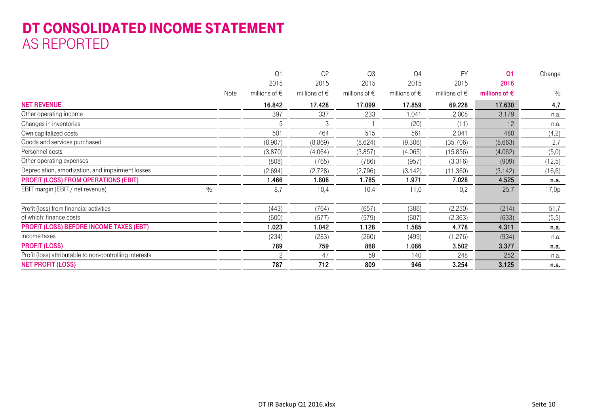### DT CONSOLIDATED INCOME STATEMENT AS REPORTED

|                                                         |      | Q <sub>1</sub>         | Q <sub>2</sub>         | Q <sub>3</sub>         | Q4                     | <b>FY</b>              | Q <sub>1</sub>         | Change  |
|---------------------------------------------------------|------|------------------------|------------------------|------------------------|------------------------|------------------------|------------------------|---------|
|                                                         |      | 2015                   | 2015                   | 2015                   | 2015                   | 2015                   | 2016                   |         |
|                                                         | Note | millions of $\epsilon$ | millions of $\epsilon$ | millions of $\epsilon$ | millions of $\epsilon$ | millions of $\epsilon$ | millions of $\epsilon$ | $\%$    |
| <b>NET REVENUE</b>                                      |      | 16.842                 | 17.428                 | 17.099                 | 17.859                 | 69.228                 | 17.630                 | 4,7     |
| Other operating income                                  |      | 397                    | 337                    | 233                    | 1.041                  | 2.008                  | 3.179                  | n.a.    |
| Changes in inventories                                  |      | 5                      | 3                      |                        | (20)                   | (11)                   | 12                     | n.a.    |
| Own capitalized costs                                   |      | 501                    | 464                    | 515                    | 561                    | 2.041                  | 480                    | (4,2)   |
| Goods and services purchased                            |      | (8.907)                | (8.869)                | (8.624)                | (9.306)                | (35.706)               | (8.663)                | 2,7     |
| Personnel costs                                         |      | (3.870)                | (4.064)                | (3.857)                | (4.065)                | (15.856)               | (4.062)                | (5,0)   |
| Other operating expenses                                |      | (808)                  | (765)                  | (786)                  | (957)                  | (3.316)                | (909)                  | (12,5)  |
| Depreciation, amortization, and impairment losses       |      | (2.694)                | (2.728)                | (2.796)                | (3.142)                | (11.360)               | (3.142)                | (16, 6) |
| <b>PROFIT (LOSS) FROM OPERATIONS (EBIT)</b>             |      | 1.466                  | 1.806                  | 1.785                  | 1.971                  | 7.028                  | 4.525                  | n.a.    |
| EBIT margin (EBIT / net revenue)<br>$\%$                |      | 8,7                    | 10,4                   | 10,4                   | 11,0                   | 10,2                   | 25,7                   | 17,0p   |
| Profit (loss) from financial activities                 |      | (443)                  | (764)                  | (657)                  | (386)                  | (2.250)                | (214)                  | 51,7    |
| of which: finance costs                                 |      | (600)                  | (577)                  | (579)                  | (607)                  | (2.363)                | (633)                  | (5,5)   |
| <b>PROFIT (LOSS) BEFORE INCOME TAXES (EBT)</b>          |      | 1.023                  | 1.042                  | 1.128                  | 1.585                  | 4.778                  | 4.311                  | n.a.    |
| Income taxes                                            |      | (234)                  | (283)                  | (260)                  | (499)                  | (1.276)                | (934)                  | n.a.    |
| <b>PROFIT (LOSS)</b>                                    |      | 789                    | 759                    | 868                    | 1.086                  | 3.502                  | 3.377                  | n.a.    |
| Profit (loss) attributable to non-controlling interests |      | $\mathcal{P}$          | 47                     | 59                     | 140                    | 248                    | 252                    | n.a.    |
| <b>NET PROFIT (LOSS)</b>                                |      | 787                    | 712                    | 809                    | 946                    | 3.254                  | 3.125                  | n.a.    |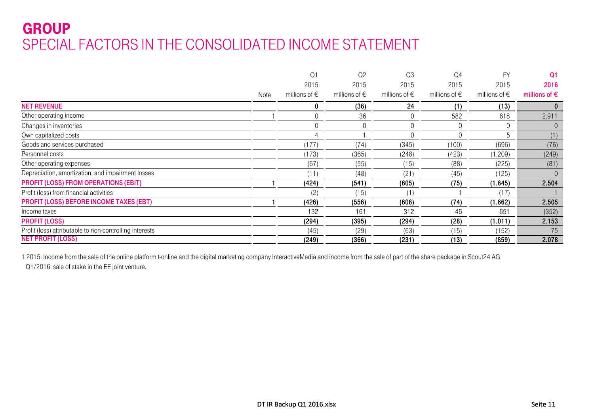### **GROUP** SPECIAL FACTORS IN THE CONSOLIDATED INCOME STATEMENT

|                                                         |      | Q1                     | Q <sub>2</sub>         | Q3                     | Q <sub>4</sub>         | <b>FY</b>              | Q <sub>1</sub>         |
|---------------------------------------------------------|------|------------------------|------------------------|------------------------|------------------------|------------------------|------------------------|
|                                                         |      | 2015                   | 2015                   | 2015                   | 2015                   | 2015                   | 2016                   |
|                                                         | Note | millions of $\epsilon$ | millions of $\epsilon$ | millions of $\epsilon$ | millions of $\epsilon$ | millions of $\epsilon$ | millions of $\epsilon$ |
| <b>NET REVENUE</b>                                      |      |                        | (36)                   | 24                     | (1)                    | (13)                   |                        |
| Other operating income                                  |      |                        | 36                     | 0                      | 582                    | 618                    | 2.911                  |
| Changes in inventories                                  |      |                        | 0                      | $\mathbf 0$            | $\overline{0}$         |                        | 0                      |
| Own capitalized costs                                   |      |                        |                        |                        | $\theta$               | 5                      | (1)                    |
| Goods and services purchased                            |      | (177)                  | (74)                   | (345)                  | (100)                  | (696)                  | (76)                   |
| Personnel costs                                         |      | (173)                  | (365)                  | (248)                  | (423)                  | (1.209)                | (249)                  |
| Other operating expenses                                |      | (67)                   | (55)                   | (15)                   | (88)                   | (225)                  | (81)                   |
| Depreciation, amortization, and impairment losses       |      | (11)                   | (48)                   | (21)                   | (45)                   | (125)                  |                        |
| <b>PROFIT (LOSS) FROM OPERATIONS (EBIT)</b>             |      | (424)                  | (541)                  | (605)                  | (75)                   | (1.645)                | 2.504                  |
| Profit (loss) from financial activities                 |      | (2'                    | (15)                   | (1)                    |                        | (17)                   |                        |
| <b>PROFIT (LOSS) BEFORE INCOME TAXES (EBT)</b>          |      | (426)                  | (556)                  | (606)                  | (74)                   | (1.662)                | 2.505                  |
| Income taxes                                            |      | 132                    | 161                    | 312                    | 46                     | 651                    | (352)                  |
| <b>PROFIT (LOSS)</b>                                    |      | (294)                  | (395)                  | (294)                  | (28)                   | (1.011)                | 2.153                  |
| Profit (loss) attributable to non-controlling interests |      | (45)                   | (29)                   | (63)                   | (15)                   | (152)                  | 75                     |
| <b>NET PROFIT (LOSS)</b>                                |      | (249)                  | (366)                  | (231)                  | (13)                   | (859)                  | 2.078                  |

1 2015: Income from the sale of the online platform t-online and the digital marketing company InteractiveMedia and income from the sale of part of the share package in Scout24 AG Q1/2016: sale of stake in the EE joint venture.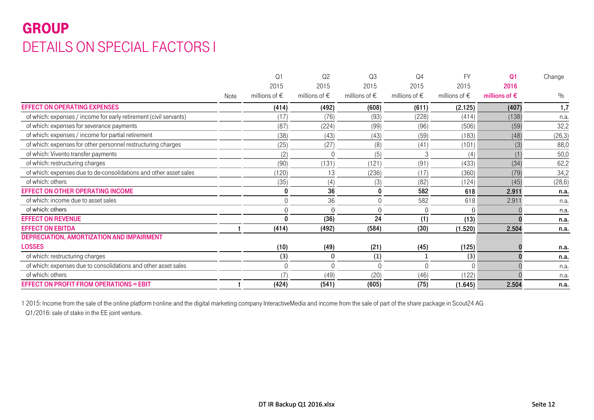## GROUP DETAILS ON SPECIAL FACTORS I

|                                                                   |      | Q <sub>1</sub>         | Q <sub>2</sub>         | Q <sub>3</sub>         | Q <sub>4</sub>         | <b>FY</b>              | Q1                     | Change  |
|-------------------------------------------------------------------|------|------------------------|------------------------|------------------------|------------------------|------------------------|------------------------|---------|
|                                                                   |      | 2015                   | 2015                   | 2015                   | 2015                   | 2015                   | 2016                   |         |
|                                                                   | Note | millions of $\epsilon$ | millions of $\epsilon$ | millions of $\epsilon$ | millions of $\epsilon$ | millions of $\epsilon$ | millions of $\epsilon$ | $\%$    |
| <b>EFFECT ON OPERATING EXPENSES</b>                               |      | (414)                  | (492)                  | (608)                  | (611)                  | (2.125)                | (407)                  | 1,7     |
| of which: expenses / income for early retirement (civil servants) |      |                        | (76)                   | (93)                   | (228)                  | (414)                  | (138)                  | n.a.    |
| of which: expenses for severance payments                         |      | (87)                   | (224)                  | (99)                   | (96)                   | (506)                  | (59)                   | 32,2    |
| of which: expenses / income for partial retirement                |      | (38)                   | (43)                   | (43)                   | (59)                   | (183)                  | (48)                   | (26, 3) |
| of which: expenses for other personnel restructuring charges      |      | (25)                   | (27)                   | (8)                    | (41)                   | (101)                  | (3)                    | 88,0    |
| of which: Vivento transfer payments                               |      | (2)                    | $\Omega$               | (5)                    |                        | (4)                    | (1)                    | 50,0    |
| of which: restructuring charges                                   |      | (90)                   | (131)                  | (121)                  | (91)                   | (433)                  | (34)                   | 62,2    |
| of which: expenses due to de-consolidations and other asset sales |      | (120)                  | 13                     | (236)                  | (17)                   | (360)                  | (79)                   | 34,2    |
| of which: others                                                  |      | (35)                   | (4)                    | (3)                    | (82)                   | (124)                  | (45)                   | (28, 6) |
| <b>EFFECT ON OTHER OPERATING INCOME</b>                           |      | 0                      | 36                     | 0                      | 582                    | 618                    | 2.911                  | n.a.    |
| of which: income due to asset sales                               |      | $\mathbf 0$            | 36                     |                        | 582                    | 618                    | 2.911                  | n.a.    |
| of which: others                                                  |      | $\Omega$               | $\Omega$               | ∩                      | ∩                      | $\Omega$               |                        | n.a.    |
| <b>EFFECT ON REVENUE</b>                                          |      | 0                      | (36)                   | 24                     | (1)                    | (13)                   |                        | n.a.    |
| <b>EFFECT ON EBITDA</b>                                           |      | (414)                  | (492)                  | (584)                  | (30)                   | (1.520)                | 2.504                  | n.a.    |
| DEPRECIATION, AMORTIZATION AND IMPAIRMENT                         |      |                        |                        |                        |                        |                        |                        |         |
| <b>LOSSES</b>                                                     |      | (10)                   | (49)                   | (21)                   | (45)                   | (125)                  |                        | n.a.    |
| of which: restructuring charges                                   |      | (3)                    | $\Omega$               | (1)                    |                        | (3)                    |                        | n.a.    |
| of which: expenses due to consolidations and other asset sales    |      | $\theta$               | $\Omega$               | $\cap$                 |                        |                        |                        | n.a.    |
| of which: others                                                  |      |                        | (49)                   | (20)                   | (46)                   | (122)                  |                        | n.a.    |
| <b>EFFECT ON PROFIT FROM OPERATIONS = EBIT</b>                    |      | (424)                  | (541)                  | (605)                  | (75)                   | (1.645)                | 2.504                  | n.a.    |

1 2015: Income from the sale of the online platform t-online and the digital marketing company InteractiveMedia and income from the sale of part of the share package in Scout24 AG Q1/2016: sale of stake in the EE joint venture.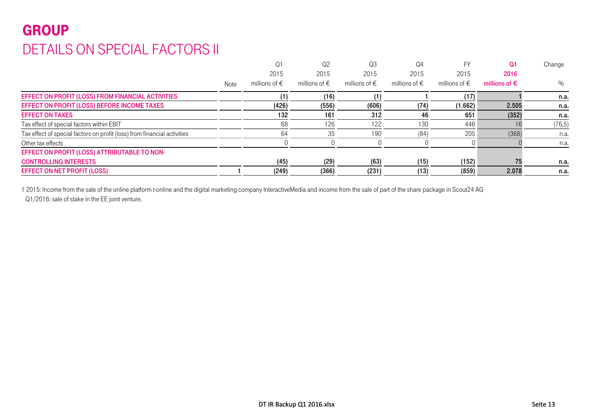## GROUP DETAILS ON SPECIAL FACTORS II

|                                                                          |      | Q1                     | Q2                     | Q3                     | Q4                     |                        | O <sub>1</sub>         | Change  |
|--------------------------------------------------------------------------|------|------------------------|------------------------|------------------------|------------------------|------------------------|------------------------|---------|
|                                                                          |      | 2015                   | 2015                   | 2015                   | 2015                   | 2015                   | 2016                   |         |
|                                                                          | Note | millions of $\epsilon$ | millions of $\epsilon$ | millions of $\epsilon$ | millions of $\epsilon$ | millions of $\epsilon$ | millions of $\epsilon$ | $\%$    |
| EFFECT ON PROFIT (LOSS) FROM FINANCIAL ACTIVITIES                        |      |                        | (16)                   |                        |                        | (17)                   |                        | n.a.    |
| EFFECT ON PROFIT (LOSS) BEFORE INCOME TAXES                              |      | (426)                  | (556)                  | (606)                  | (74)                   | (1.662)                | 2.505                  | n.a.    |
| <b>EFFECT ON TAXES</b>                                                   |      | 132                    | 161                    | 312                    | 46                     | 651                    | (352)                  | n.a.    |
| Tax effect of special factors within EBIT                                |      | 68                     | 126                    | 122                    | 130                    | 446                    |                        | (76, 5) |
| Tax effect of special factors on profit (loss) from financial activities |      | 64                     | 35                     | 190                    | (84)                   | 205                    | (368)                  | n.a.    |
| Other tax effects                                                        |      |                        |                        |                        |                        |                        |                        | n.a.    |
| EFFECT ON PROFIT (LOSS) ATTRIBUTABLE TO NON-                             |      |                        |                        |                        |                        |                        |                        |         |
| <b>CONTROLLING INTERESTS</b>                                             |      | (45)                   | (29)                   | (63)                   | (15)                   | (152)                  | 75                     | n.a.    |
| <b>EFFECT ON NET PROFIT (LOSS)</b>                                       |      | (249)                  | (366)                  | (231)                  | (13)                   | (859)                  | 2.078                  | n.a.    |

1 2015: Income from the sale of the online platform t-online and the digital marketing company InteractiveMedia and income from the sale of part of the share package in Scout24 AG

Q1/2016: sale of stake in the EE joint venture.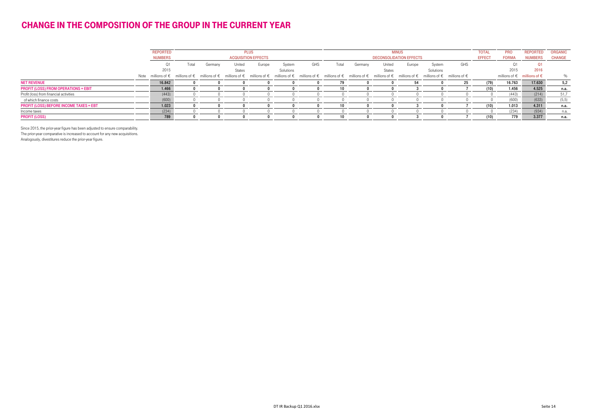#### CHANGE IN THE COMPOSITION OF THE GROUP IN THE CURRENT YEAR

|                                                | <b>REPORTED</b><br><b>NUMBERS</b> | <b>PLUS</b><br><b>ACQUISITION EFFECTS</b> |         |                                                                                                                                                                                                                              |        | <b>MINUS</b><br><b>DECONSOLIDATION EFFECTS</b> |     |       |         |                         | <b>TOTAL</b><br><b>EFFECT</b> | <b>PRO</b><br><b>FORMA</b> | <b>REPORTED</b><br><b>NUMBERS</b> | <b>ORGANIC</b><br><b>CHANGE</b> |             |                                               |       |
|------------------------------------------------|-----------------------------------|-------------------------------------------|---------|------------------------------------------------------------------------------------------------------------------------------------------------------------------------------------------------------------------------------|--------|------------------------------------------------|-----|-------|---------|-------------------------|-------------------------------|----------------------------|-----------------------------------|---------------------------------|-------------|-----------------------------------------------|-------|
|                                                | Q1<br>2015                        | Total                                     | Germany | United<br><b>States</b>                                                                                                                                                                                                      | Europe | System<br>Solutions                            | GHS | Total | Germany | United<br><b>States</b> | Europe                        | System<br>Solutions        | GHS                               |                                 | O1.<br>2015 | 2016                                          |       |
|                                                |                                   |                                           |         | Note millions of € millions of € millions of € millions of € millions of € millions of € millions of € millions of € millions of € millions of € millions of € millions of € millions of € millions of € millions of € milli |        |                                                |     |       |         |                         |                               |                            |                                   |                                 |             | millions of $\epsilon$ millions of $\epsilon$ | %     |
| <b>NET REVENUE</b>                             | 16.842                            |                                           |         |                                                                                                                                                                                                                              |        |                                                |     |       |         |                         |                               |                            | 25                                | (79)                            | 16.763      | 17.630                                        | 5,2   |
| <b>PROFIT (LOSS) FROM OPERATIONS = EBIT</b>    | 1.466                             |                                           |         |                                                                                                                                                                                                                              |        |                                                |     |       |         |                         |                               |                            |                                   | (10)                            | 1.456       | 4.525                                         | n.a.  |
| Profit (loss) from financial activities        | (443)                             |                                           |         |                                                                                                                                                                                                                              |        |                                                |     |       |         |                         |                               |                            |                                   |                                 | (443)       | (214)                                         | 51,7  |
| of which finance costs                         | (600)                             |                                           |         |                                                                                                                                                                                                                              |        |                                                |     |       |         |                         |                               |                            |                                   |                                 | (600)       | (633)                                         | (5,5) |
| <b>PROFIT (LOSS) BEFORE INCOME TAXES = EBT</b> | 1.023                             |                                           |         |                                                                                                                                                                                                                              |        |                                                |     |       |         |                         |                               |                            |                                   | (10)                            | 1.013       | 4.311                                         | n.a.  |
| Income taxes                                   | (234)                             |                                           |         |                                                                                                                                                                                                                              |        |                                                |     |       |         |                         |                               |                            |                                   |                                 | (234)       | (934)                                         | n.a.  |
| <b>PROFIT (LOSS)</b>                           | 789                               |                                           |         |                                                                                                                                                                                                                              |        |                                                |     |       |         |                         |                               |                            |                                   | (10)                            | 779         | 3.377                                         | n.a.  |

Since 2015, the prior-year figure has been adjusted to ensure comparability.

The prior-year comparative is increased to account for any new acquisitions.

Analogously, divestitures reduce the prior-year figure.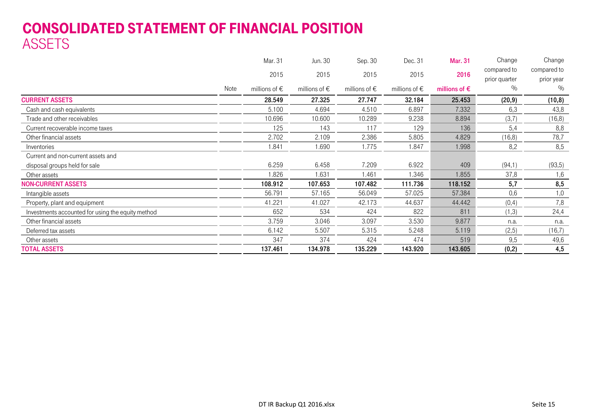### CONSOLIDATED STATEMENT OF FINANCIAL POSITION ASSETS

|                                                   |      | Mar. 31                | Jun. 30                | Sep. 30                | Dec. 31                | <b>Mar. 31</b>         | Change        | Change      |
|---------------------------------------------------|------|------------------------|------------------------|------------------------|------------------------|------------------------|---------------|-------------|
|                                                   |      | 2015                   | 2015                   | 2015                   | 2015                   | 2016                   | compared to   | compared to |
|                                                   |      |                        |                        |                        |                        |                        | prior quarter | prior year  |
|                                                   | Note | millions of $\epsilon$ | millions of $\epsilon$ | millions of $\epsilon$ | millions of $\epsilon$ | millions of $\epsilon$ | %             | $\%$        |
| <b>CURRENT ASSETS</b>                             |      | 28.549                 | 27.325                 | 27.747                 | 32.184                 | 25.453                 | (20, 9)       | (10, 8)     |
| Cash and cash equivalents                         |      | 5.100                  | 4.694                  | 4.510                  | 6.897                  | 7.332                  | 6,3           | 43,8        |
| Trade and other receivables                       |      | 10.696                 | 10.600                 | 10.289                 | 9.238                  | 8.894                  | (3,7)         | (16, 8)     |
| Current recoverable income taxes                  |      | 125                    | 143                    | 117                    | 129                    | 136                    | 5,4           | 8,8         |
| Other financial assets                            |      | 2.702                  | 2.109                  | 2.386                  | 5.805                  | 4.829                  | (16, 8)       | 78,7        |
| Inventories                                       |      | 1.841                  | 1.690                  | 1.775                  | 1.847                  | 1.998                  | 8,2           | 8,5         |
| Current and non-current assets and                |      |                        |                        |                        |                        |                        |               |             |
| disposal groups held for sale                     |      | 6.259                  | 6.458                  | 7.209                  | 6.922                  | 409                    | (94,1)        | (93, 5)     |
| Other assets                                      |      | 1.826                  | 1.631                  | 1.461                  | 1.346                  | 1.855                  | 37,8          | 1,6         |
| <b>NON-CURRENT ASSETS</b>                         |      | 108.912                | 107.653                | 107.482                | 111.736                | 118.152                | 5,7           | 8,5         |
| Intangible assets                                 |      | 56.791                 | 57.165                 | 56.049                 | 57.025                 | 57.384                 | 0,6           | 1,0         |
| Property, plant and equipment                     |      | 41.221                 | 41.027                 | 42.173                 | 44.637                 | 44.442                 | (0,4)         | 7,8         |
| Investments accounted for using the equity method |      | 652                    | 534                    | 424                    | 822                    | 811                    | (1,3)         | 24,4        |
| Other financial assets                            |      | 3.759                  | 3.046                  | 3.097                  | 3.530                  | 9.877                  | n.a.          | n.a.        |
| Deferred tax assets                               |      | 6.142                  | 5.507                  | 5.315                  | 5.248                  | 5.119                  | (2, 5)        | (16,7)      |
| Other assets                                      |      | 347                    | 374                    | 424                    | 474                    | 519                    | 9,5           | 49,6        |
| <b>TOTAL ASSETS</b>                               |      | 137.461                | 134.978                | 135.229                | 143.920                | 143.605                | (0,2)         | 4,5         |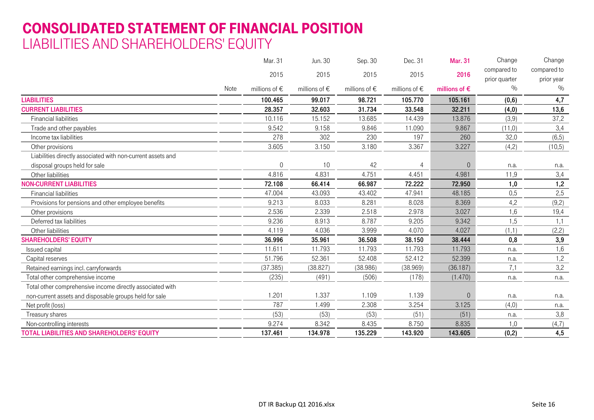### CONSOLIDATED STATEMENT OF FINANCIAL POSITION LIABILITIES AND SHAREHOLDERS' EQUITY

|                                                             |      | Mar. 31           | Jun. 30           | Sep. 30           | Dec. 31                | <b>Mar. 31</b>         | Change        | Change      |
|-------------------------------------------------------------|------|-------------------|-------------------|-------------------|------------------------|------------------------|---------------|-------------|
|                                                             |      | 2015              | 2015              | 2015              | 2015                   | 2016                   | compared to   | compared to |
|                                                             |      |                   |                   |                   |                        |                        | prior quarter | prior year  |
|                                                             | Note | millions of $\in$ | millions of $\in$ | millions of $\in$ | millions of $\epsilon$ | millions of $\epsilon$ | $\%$          | $\%$        |
| <b>LIABILITIES</b>                                          |      | 100.465           | 99.017            | 98.721            | 105.770                | 105.161                | (0, 6)        | 4,7         |
| <b>CURRENT LIABILITIES</b>                                  |      | 28.357            | 32.603            | 31.734            | 33.548                 | 32.211                 | (4, 0)        | 13,6        |
| <b>Financial liabilities</b>                                |      | 10.116            | 15.152            | 13.685            | 14.439                 | 13.876                 | (3,9)         | 37,2        |
| Trade and other payables                                    |      | 9.542             | 9.158             | 9.846             | 11.090                 | 9.867                  | (11,0)        | 3,4         |
| Income tax liabilities                                      |      | 278               | 302               | 230               | 197                    | 260                    | 32,0          | (6, 5)      |
| Other provisions                                            |      | 3.605             | 3.150             | 3.180             | 3.367                  | 3.227                  | (4,2)         | (10,5)      |
| Liabilities directly associated with non-current assets and |      |                   |                   |                   |                        |                        |               |             |
| disposal groups held for sale                               |      | 0                 | 10                | 42                | 4                      | $\theta$               | n.a.          | n.a.        |
| Other liabilities                                           |      | 4.816             | 4.831             | 4.751             | 4.451                  | 4.981                  | 11,9          | 3,4         |
| <b>NON-CURRENT LIABILITIES</b>                              |      | 72.108            | 66.414            | 66.987            | 72.222                 | 72.950                 | 1,0           | 1,2         |
| <b>Financial liabilities</b>                                |      | 47.004            | 43.093            | 43.402            | 47.941                 | 48.185                 | 0,5           | 2,5         |
| Provisions for pensions and other employee benefits         |      | 9.213             | 8.033             | 8.281             | 8.028                  | 8.369                  | 4,2           | (9,2)       |
| Other provisions                                            |      | 2.536             | 2.339             | 2.518             | 2.978                  | 3.027                  | 1,6           | 19,4        |
| Deferred tax liabilities                                    |      | 9.236             | 8.913             | 8.787             | 9.205                  | 9.342                  | 1,5           | 1,1         |
| Other liabilities                                           |      | 4.119             | 4.036             | 3.999             | 4.070                  | 4.027                  | (1,1)         | (2,2)       |
| <b>SHAREHOLDERS' EQUITY</b>                                 |      | 36.996            | 35.961            | 36.508            | 38.150                 | 38.444                 | 0,8           | 3,9         |
| Issued capital                                              |      | 11.611            | 11.793            | 11.793            | 11.793                 | 11.793                 | n.a.          | 1,6         |
| Capital reserves                                            |      | 51.796            | 52.361            | 52.408            | 52.412                 | 52.399                 | n.a.          | 1,2         |
| Retained earnings incl. carryforwards                       |      | (37.385)          | (38.827)          | (38.986)          | (38.969)               | (36.187)               | 7,1           | 3,2         |
| Total other comprehensive income                            |      | (235)             | (491)             | (506)             | (178)                  | (1.470)                | n.a.          | n.a.        |
| Total other comprehensive income directly associated with   |      |                   |                   |                   |                        |                        |               |             |
| non-current assets and disposable groups held for sale      |      | 1.201             | 1.337             | 1.109             | 1.139                  | $\Omega$               | n.a.          | n.a.        |
| Net profit (loss)                                           |      | 787               | 1.499             | 2.308             | 3.254                  | 3.125                  | (4,0)         | n.a.        |
| Treasury shares                                             |      | (53)              | (53)              | (53)              | (51)                   | (51)                   | n.a.          | 3,8         |
| Non-controlling interests                                   |      | 9.274             | 8.342             | 8.435             | 8.750                  | 8.835                  | 1,0           | (4,7)       |
| <b>TOTAL LIABILITIES AND SHAREHOLDERS' EQUITY</b>           |      | 137.461           | 134.978           | 135.229           | 143.920                | 143.605                | (0,2)         | 4,5         |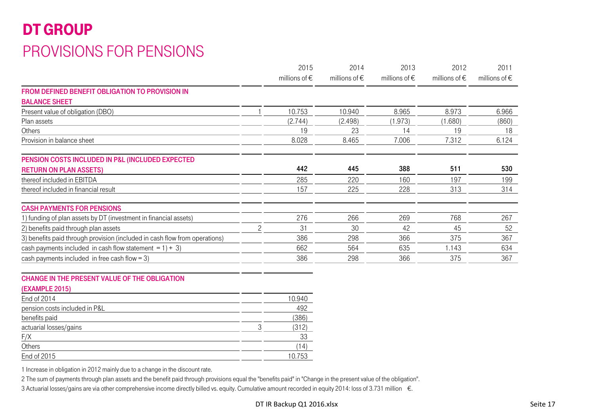## DT GROUP PROVISIONS FOR PENSIONS

|                                                                            |   | 2015                   | 2014                   | 2013                   | 2012                   | 2011                   |
|----------------------------------------------------------------------------|---|------------------------|------------------------|------------------------|------------------------|------------------------|
|                                                                            |   | millions of $\epsilon$ | millions of $\epsilon$ | millions of $\epsilon$ | millions of $\epsilon$ | millions of $\epsilon$ |
| FROM DEFINED BENEFIT OBLIGATION TO PROVISION IN                            |   |                        |                        |                        |                        |                        |
| <b>BALANCE SHEET</b>                                                       |   |                        |                        |                        |                        |                        |
| Present value of obligation (DBO)                                          |   | 10.753                 | 10.940                 | 8.965                  | 8.973                  | 6.966                  |
| Plan assets                                                                |   | (2.744)                | (2.498)                | (1.973)                | (1.680)                | (860)                  |
| Others                                                                     |   | 19                     | 23                     | 14                     | 19                     | 18                     |
| Provision in balance sheet                                                 |   | 8.028                  | 8.465                  | 7.006                  | 7.312                  | 6.124                  |
| PENSION COSTS INCLUDED IN P&L (INCLUDED EXPECTED                           |   |                        |                        |                        |                        |                        |
| <b>RETURN ON PLAN ASSETS)</b>                                              |   | 442                    | 445                    | 388                    | 511                    | 530                    |
| thereof included in EBITDA                                                 |   | 285                    | 220                    | 160                    | 197                    | 199                    |
| thereof included in financial result                                       |   | 157                    | 225                    | 228                    | 313                    | 314                    |
| <b>CASH PAYMENTS FOR PENSIONS</b>                                          |   |                        |                        |                        |                        |                        |
| 1) funding of plan assets by DT (investment in financial assets)           |   | 276                    | 266                    | 269                    | 768                    | 267                    |
| 2) benefits paid through plan assets                                       | 2 | 31                     | 30                     | 42                     | 45                     | 52                     |
| 3) benefits paid through provision (included in cash flow from operations) |   | 386                    | 298                    | 366                    | 375                    | 367                    |
| cash payments included in cash flow statement = $1$ ) + 3)                 |   | 662                    | 564                    | 635                    | 1.143                  | 634                    |
| cash payments included in free cash flow = $3$ )                           |   | 386                    | 298                    | 366                    | 375                    | 367                    |

#### CHANGE IN THE PRESENT VALUE OF THE OBLIGATION

#### (EXAMPLE 2015)

| End of 2014                   | 10.940 |
|-------------------------------|--------|
| pension costs included in P&L | 492    |
| benefits paid                 | (386)  |
| actuarial losses/gains        | (312)  |
| F/X                           | 33     |
| Others                        | (14    |
| End of 2015                   | 10.753 |

1 Increase in obligation in 2012 mainly due to a change in the discount rate.

2 The sum of payments through plan assets and the benefit paid through provisions equal the "benefits paid" in "Change in the present value of the obligation".

3 Actuarial losses/gains are via other comprehensive income directly billed vs. equity. Cumulative amount recorded in equity 2014: loss of 3.731 million €.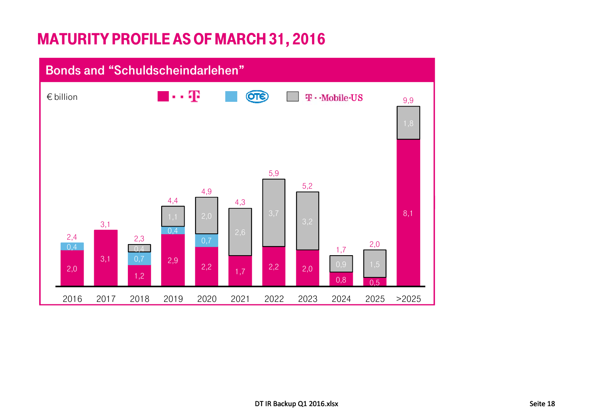## MATURITY PROFILE AS OF MARCH 31, 2016

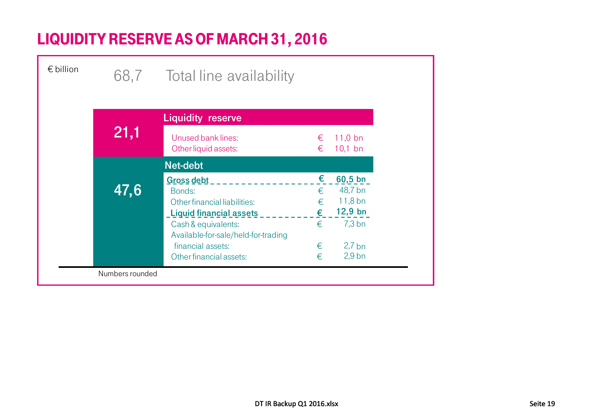## LIQUIDITY RESERVE AS OF MARCH 31, 2016

| $\epsilon$ billion |      | 68,7 Total line availability                          |        |                        |
|--------------------|------|-------------------------------------------------------|--------|------------------------|
|                    |      |                                                       |        |                        |
|                    |      | <b>Liquidity reserve</b>                              |        |                        |
|                    | 21,1 | Unused bank lines:<br>Other liquid assets:            | €<br>€ | $11,0$ bn<br>$10,1$ bn |
|                    |      | Net-debt                                              |        |                        |
|                    |      | Gross debt                                            | €      | $60,5$ bn              |
|                    | 47,6 | Bonds:                                                | €      | 48,7 bn                |
|                    |      |                                                       |        |                        |
|                    |      | Other financial liabilities:                          | €      | $11,8$ bn              |
|                    |      |                                                       | €      | $12,9$ bn              |
|                    |      | <b>Liquid financial assets</b><br>Cash & equivalents: | €      | $7,3$ bn               |
|                    |      | Available-for-sale/held-for-trading                   |        |                        |
|                    |      | financial assets:                                     | €      | $2,7$ bn               |
|                    |      | Other financial assets:                               | €      | $2,9$ bn               |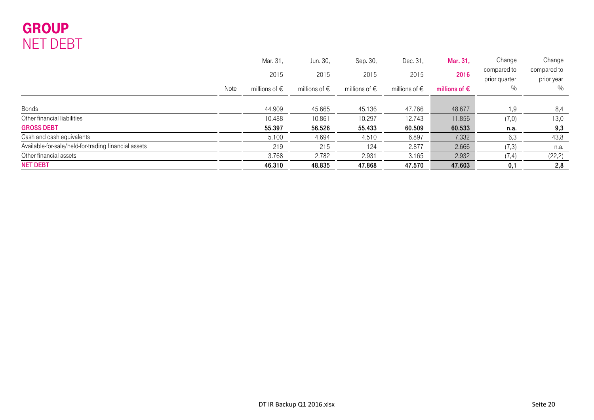### GROUP NET DEBT

|                                                      | Mar. 31,               | Jun. 30,               | Sep. 30,               | Dec. 31,               | Mar. 31,               | Change                       | Change                    |
|------------------------------------------------------|------------------------|------------------------|------------------------|------------------------|------------------------|------------------------------|---------------------------|
|                                                      | 2015                   | 2015                   | 2015                   | 2015                   | 2016                   | compared to<br>prior quarter | compared to<br>prior year |
| Note                                                 | millions of $\epsilon$ | millions of $\epsilon$ | millions of $\epsilon$ | millions of $\epsilon$ | millions of $\epsilon$ | $\%$                         | %                         |
|                                                      |                        |                        |                        |                        |                        |                              |                           |
| <b>Bonds</b>                                         | 44.909                 | 45.665                 | 45.136                 | 47.766                 | 48.677                 | .9                           | 8,4                       |
| Other financial liabilities                          | 10.488                 | 10.861                 | 10.297                 | 12.743                 | 11.856                 | (7,0)                        | 13,0                      |
| <b>GROSS DEBT</b>                                    | 55.397                 | 56.526                 | 55.433                 | 60.509                 | 60.533                 | n.a.                         | 9,3                       |
| Cash and cash equivalents                            | 5.100                  | 4.694                  | 4.510                  | 6.897                  | 7.332                  | 6,3                          | 43,8                      |
| Available-for-sale/held-for-trading financial assets | 219                    | 215                    | 124                    | 2.877                  | 2.666                  | (7,3)                        | n.a.                      |
| Other financial assets                               | 3.768                  | 2.782                  | 2.931                  | 3.165                  | 2.932                  | (7,4)                        | (22, 2)                   |
| <b>NET DEBT</b>                                      | 46.310                 | 48.835                 | 47.868                 | 47.570                 | 47.603                 | 0,1                          | 2,8                       |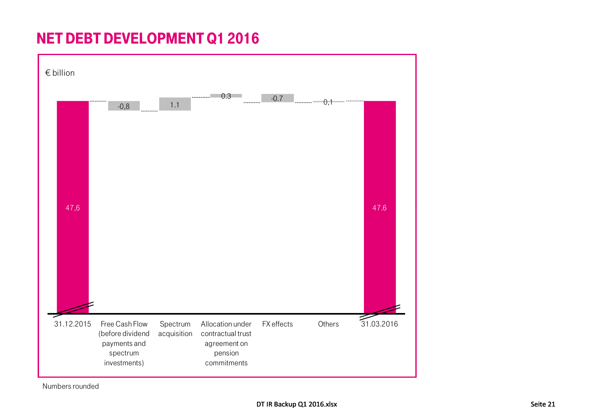## NET DEBT DEVELOPMENT Q1 2016



Numbers rounded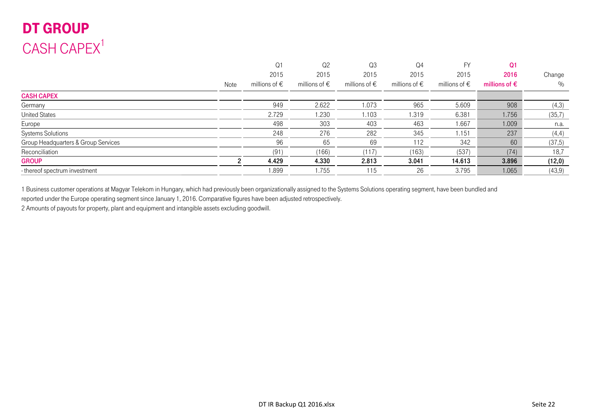## DT GROUP  $CASH$  CAPEX<sup>1</sup>

|                                     |      | Q <sub>1</sub>         | Q <sub>2</sub>         | Q3                     | Q <sub>4</sub>         | FY                     | Q <sub>1</sub>         |         |
|-------------------------------------|------|------------------------|------------------------|------------------------|------------------------|------------------------|------------------------|---------|
|                                     |      | 2015                   | 2015                   | 2015                   | 2015                   | 2015                   | 2016                   | Change  |
|                                     | Note | millions of $\epsilon$ | millions of $\epsilon$ | millions of $\epsilon$ | millions of $\epsilon$ | millions of $\epsilon$ | millions of $\epsilon$ | $\%$    |
| <b>CASH CAPEX</b>                   |      |                        |                        |                        |                        |                        |                        |         |
| Germany                             |      | 949                    | 2.622                  | 1.073                  | 965                    | 5.609                  | 908                    | (4,3)   |
| <b>United States</b>                |      | 2.729                  | 1.230                  | 1.103                  | 1.319                  | 6.381                  | 1.756                  | (35,7)  |
| Europe                              |      | 498                    | 303                    | 403                    | 463                    | 1.667                  | 1.009                  | n.a.    |
| <b>Systems Solutions</b>            |      | 248                    | 276                    | 282                    | 345                    | 1.151                  | 237                    | (4,4)   |
| Group Headquarters & Group Services |      | 96                     | 65                     | 69                     | 112                    | 342                    | 60                     | (37,5)  |
| Reconciliation                      |      | (91)                   | (166)                  | (117)                  | (163)                  | (537)                  | (74)                   | 18,7    |
| <b>GROUP</b>                        |      | 4.429                  | 4.330                  | 2.813                  | 3.041                  | 14.613                 | 3.896                  | (12, 0) |
| - thereof spectrum investment       |      | 1.899                  | 1.755                  | 115                    | 26                     | 3.795                  | 1.065                  | (43, 9) |
|                                     |      |                        |                        |                        |                        |                        |                        |         |

1 Business customer operations at Magyar Telekom in Hungary, which had previously been organizationally assigned to the Systems Solutions operating segment, have been bundled and

reported under the Europe operating segment since January 1, 2016. Comparative figures have been adjusted retrospectively.

2 Amounts of payouts for property, plant and equipment and intangible assets excluding goodwill.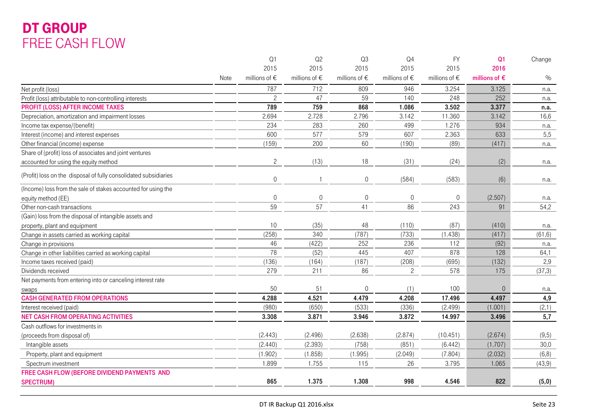### DT GROUP FREE CASH FLOW

| 2015<br>2015<br>2015<br>2015<br>2015<br>2016<br>millions of $\in$<br>millions of $\in$<br>millions of $\in$<br>millions of $\epsilon$<br>millions of $\in$<br>$\%$<br>millions of $\epsilon$<br>Note<br>787<br>712<br>809<br>946<br>3.254<br>3.125<br>Net profit (loss)<br>n.a.<br>$\overline{c}$<br>47<br>59<br>248<br>252<br>140<br>Profit (loss) attributable to non-controlling interests<br>n.a.<br>759<br><b>PROFIT (LOSS) AFTER INCOME TAXES</b><br>789<br>868<br>1.086<br>3.502<br>3.377<br>n.a.<br>2.728<br>2.694<br>2.796<br>3.142<br>11.360<br>3.142<br>16,6<br>Depreciation, amortization and impairment losses<br>234<br>283<br>260<br>Income tax expense/(benefit)<br>499<br>1.276<br>934<br>n.a.<br>577<br>600<br>579<br>607<br>2.363<br>633<br>5,5<br>Interest (income) and interest expenses<br>(159)<br>200<br>60<br>(190)<br>(89)<br>(417)<br>Other financial (income) expense<br>n.a.<br>Share of (profit) loss of associates and joint ventures<br>$\overline{c}$<br>(13)<br>18<br>(31)<br>(24)<br>(2)<br>accounted for using the equity method<br>n.a.<br>(Profit) loss on the disposal of fully consolidated subsidiaries<br>$\Omega$<br>$\overline{0}$<br>(584)<br>(583)<br>(6)<br>$\mathbf{1}$<br>n.a.<br>(Income) loss from the sale of stakes accounted for using the<br>(2.507)<br>$\overline{0}$<br>0<br>$\boldsymbol{0}$<br>$\overline{0}$<br>$\overline{0}$<br>equity method (EE)<br>n.a.<br>59<br>57<br>41<br>86<br>243<br>91<br>54,2<br>Other non-cash transactions<br>(Gain) loss from the disposal of intangible assets and<br>10<br>(35)<br>48<br>(87)<br>(110)<br>(410)<br>property, plant and equipment<br>n.a.<br>(258)<br>340<br>(787)<br>(733)<br>(1.438)<br>(61, 6)<br>(417)<br>Change in assets carried as working capital<br>46<br>(422)<br>252<br>236<br>112<br>(92)<br>Change in provisions<br>n.a.<br>78<br>Change in other liabilities carried as working capital<br>(52)<br>407<br>878<br>64,1<br>445<br>128<br>(136)<br>(164)<br>(187)<br>(208)<br>2,9<br>Income taxes received (paid)<br>(695)<br>(132)<br>279<br>211<br>86<br>$\overline{c}$<br>578<br>(37,3)<br>175<br>Dividends received<br>Net payments from entering into or canceling interest rate<br>50<br>51<br>$\overline{0}$<br>100<br>$\Omega$<br>(1)<br>n.a.<br>swaps<br><b>CASH GENERATED FROM OPERATIONS</b><br>4.521<br>4,9<br>4.288<br>4.479<br>4.208<br>17.496<br>4.497<br>(980)<br>(650)<br>(533)<br>(336)<br>(2.499)<br>(1.001)<br>(2,1)<br>Interest received (paid)<br><b>NET CASH FROM OPERATING ACTIVITIES</b><br>3.871<br>3.872<br>14.997<br>5,7<br>3.308<br>3.946<br>3.496<br>Cash outflows for investments in<br>(2.443)<br>(2.496)<br>(2.638)<br>(2.874)<br>(10.451)<br>(2.674)<br>(9,5)<br>(proceeds from disposal of)<br>30,0<br>(2.440)<br>(2.393)<br>(758)<br>(851)<br>(6.442)<br>(1.707)<br>Intangible assets<br>(1.902)<br>(1.858)<br>(1.995)<br>(2.049)<br>(7.804)<br>(2.032)<br>(6, 8)<br>Property, plant and equipment<br>1.899<br>1.755<br>115<br>26<br>3.795<br>1.065<br>(43, 9)<br>Spectrum investment<br>FREE CASH FLOW (BEFORE DIVIDEND PAYMENTS AND<br>865<br>1.375<br>1.308<br>998<br>4.546<br>822<br>(5,0)<br><b>SPECTRUM)</b> |  | Q1 | Q2 | Q3 | Q <sub>4</sub> | <b>FY</b> | Q <sub>1</sub> | Change |
|-------------------------------------------------------------------------------------------------------------------------------------------------------------------------------------------------------------------------------------------------------------------------------------------------------------------------------------------------------------------------------------------------------------------------------------------------------------------------------------------------------------------------------------------------------------------------------------------------------------------------------------------------------------------------------------------------------------------------------------------------------------------------------------------------------------------------------------------------------------------------------------------------------------------------------------------------------------------------------------------------------------------------------------------------------------------------------------------------------------------------------------------------------------------------------------------------------------------------------------------------------------------------------------------------------------------------------------------------------------------------------------------------------------------------------------------------------------------------------------------------------------------------------------------------------------------------------------------------------------------------------------------------------------------------------------------------------------------------------------------------------------------------------------------------------------------------------------------------------------------------------------------------------------------------------------------------------------------------------------------------------------------------------------------------------------------------------------------------------------------------------------------------------------------------------------------------------------------------------------------------------------------------------------------------------------------------------------------------------------------------------------------------------------------------------------------------------------------------------------------------------------------------------------------------------------------------------------------------------------------------------------------------------------------------------------------------------------------------------------------------------------------------------------------------------------------------------------------------------------------------------------------------------------------------------------------------------------------------------------------------------------------------------------------------------------------------------------------------------------------------------------------------------------------------------|--|----|----|----|----------------|-----------|----------------|--------|
|                                                                                                                                                                                                                                                                                                                                                                                                                                                                                                                                                                                                                                                                                                                                                                                                                                                                                                                                                                                                                                                                                                                                                                                                                                                                                                                                                                                                                                                                                                                                                                                                                                                                                                                                                                                                                                                                                                                                                                                                                                                                                                                                                                                                                                                                                                                                                                                                                                                                                                                                                                                                                                                                                                                                                                                                                                                                                                                                                                                                                                                                                                                                                                               |  |    |    |    |                |           |                |        |
|                                                                                                                                                                                                                                                                                                                                                                                                                                                                                                                                                                                                                                                                                                                                                                                                                                                                                                                                                                                                                                                                                                                                                                                                                                                                                                                                                                                                                                                                                                                                                                                                                                                                                                                                                                                                                                                                                                                                                                                                                                                                                                                                                                                                                                                                                                                                                                                                                                                                                                                                                                                                                                                                                                                                                                                                                                                                                                                                                                                                                                                                                                                                                                               |  |    |    |    |                |           |                |        |
|                                                                                                                                                                                                                                                                                                                                                                                                                                                                                                                                                                                                                                                                                                                                                                                                                                                                                                                                                                                                                                                                                                                                                                                                                                                                                                                                                                                                                                                                                                                                                                                                                                                                                                                                                                                                                                                                                                                                                                                                                                                                                                                                                                                                                                                                                                                                                                                                                                                                                                                                                                                                                                                                                                                                                                                                                                                                                                                                                                                                                                                                                                                                                                               |  |    |    |    |                |           |                |        |
|                                                                                                                                                                                                                                                                                                                                                                                                                                                                                                                                                                                                                                                                                                                                                                                                                                                                                                                                                                                                                                                                                                                                                                                                                                                                                                                                                                                                                                                                                                                                                                                                                                                                                                                                                                                                                                                                                                                                                                                                                                                                                                                                                                                                                                                                                                                                                                                                                                                                                                                                                                                                                                                                                                                                                                                                                                                                                                                                                                                                                                                                                                                                                                               |  |    |    |    |                |           |                |        |
|                                                                                                                                                                                                                                                                                                                                                                                                                                                                                                                                                                                                                                                                                                                                                                                                                                                                                                                                                                                                                                                                                                                                                                                                                                                                                                                                                                                                                                                                                                                                                                                                                                                                                                                                                                                                                                                                                                                                                                                                                                                                                                                                                                                                                                                                                                                                                                                                                                                                                                                                                                                                                                                                                                                                                                                                                                                                                                                                                                                                                                                                                                                                                                               |  |    |    |    |                |           |                |        |
|                                                                                                                                                                                                                                                                                                                                                                                                                                                                                                                                                                                                                                                                                                                                                                                                                                                                                                                                                                                                                                                                                                                                                                                                                                                                                                                                                                                                                                                                                                                                                                                                                                                                                                                                                                                                                                                                                                                                                                                                                                                                                                                                                                                                                                                                                                                                                                                                                                                                                                                                                                                                                                                                                                                                                                                                                                                                                                                                                                                                                                                                                                                                                                               |  |    |    |    |                |           |                |        |
|                                                                                                                                                                                                                                                                                                                                                                                                                                                                                                                                                                                                                                                                                                                                                                                                                                                                                                                                                                                                                                                                                                                                                                                                                                                                                                                                                                                                                                                                                                                                                                                                                                                                                                                                                                                                                                                                                                                                                                                                                                                                                                                                                                                                                                                                                                                                                                                                                                                                                                                                                                                                                                                                                                                                                                                                                                                                                                                                                                                                                                                                                                                                                                               |  |    |    |    |                |           |                |        |
|                                                                                                                                                                                                                                                                                                                                                                                                                                                                                                                                                                                                                                                                                                                                                                                                                                                                                                                                                                                                                                                                                                                                                                                                                                                                                                                                                                                                                                                                                                                                                                                                                                                                                                                                                                                                                                                                                                                                                                                                                                                                                                                                                                                                                                                                                                                                                                                                                                                                                                                                                                                                                                                                                                                                                                                                                                                                                                                                                                                                                                                                                                                                                                               |  |    |    |    |                |           |                |        |
|                                                                                                                                                                                                                                                                                                                                                                                                                                                                                                                                                                                                                                                                                                                                                                                                                                                                                                                                                                                                                                                                                                                                                                                                                                                                                                                                                                                                                                                                                                                                                                                                                                                                                                                                                                                                                                                                                                                                                                                                                                                                                                                                                                                                                                                                                                                                                                                                                                                                                                                                                                                                                                                                                                                                                                                                                                                                                                                                                                                                                                                                                                                                                                               |  |    |    |    |                |           |                |        |
|                                                                                                                                                                                                                                                                                                                                                                                                                                                                                                                                                                                                                                                                                                                                                                                                                                                                                                                                                                                                                                                                                                                                                                                                                                                                                                                                                                                                                                                                                                                                                                                                                                                                                                                                                                                                                                                                                                                                                                                                                                                                                                                                                                                                                                                                                                                                                                                                                                                                                                                                                                                                                                                                                                                                                                                                                                                                                                                                                                                                                                                                                                                                                                               |  |    |    |    |                |           |                |        |
|                                                                                                                                                                                                                                                                                                                                                                                                                                                                                                                                                                                                                                                                                                                                                                                                                                                                                                                                                                                                                                                                                                                                                                                                                                                                                                                                                                                                                                                                                                                                                                                                                                                                                                                                                                                                                                                                                                                                                                                                                                                                                                                                                                                                                                                                                                                                                                                                                                                                                                                                                                                                                                                                                                                                                                                                                                                                                                                                                                                                                                                                                                                                                                               |  |    |    |    |                |           |                |        |
|                                                                                                                                                                                                                                                                                                                                                                                                                                                                                                                                                                                                                                                                                                                                                                                                                                                                                                                                                                                                                                                                                                                                                                                                                                                                                                                                                                                                                                                                                                                                                                                                                                                                                                                                                                                                                                                                                                                                                                                                                                                                                                                                                                                                                                                                                                                                                                                                                                                                                                                                                                                                                                                                                                                                                                                                                                                                                                                                                                                                                                                                                                                                                                               |  |    |    |    |                |           |                |        |
|                                                                                                                                                                                                                                                                                                                                                                                                                                                                                                                                                                                                                                                                                                                                                                                                                                                                                                                                                                                                                                                                                                                                                                                                                                                                                                                                                                                                                                                                                                                                                                                                                                                                                                                                                                                                                                                                                                                                                                                                                                                                                                                                                                                                                                                                                                                                                                                                                                                                                                                                                                                                                                                                                                                                                                                                                                                                                                                                                                                                                                                                                                                                                                               |  |    |    |    |                |           |                |        |
|                                                                                                                                                                                                                                                                                                                                                                                                                                                                                                                                                                                                                                                                                                                                                                                                                                                                                                                                                                                                                                                                                                                                                                                                                                                                                                                                                                                                                                                                                                                                                                                                                                                                                                                                                                                                                                                                                                                                                                                                                                                                                                                                                                                                                                                                                                                                                                                                                                                                                                                                                                                                                                                                                                                                                                                                                                                                                                                                                                                                                                                                                                                                                                               |  |    |    |    |                |           |                |        |
|                                                                                                                                                                                                                                                                                                                                                                                                                                                                                                                                                                                                                                                                                                                                                                                                                                                                                                                                                                                                                                                                                                                                                                                                                                                                                                                                                                                                                                                                                                                                                                                                                                                                                                                                                                                                                                                                                                                                                                                                                                                                                                                                                                                                                                                                                                                                                                                                                                                                                                                                                                                                                                                                                                                                                                                                                                                                                                                                                                                                                                                                                                                                                                               |  |    |    |    |                |           |                |        |
|                                                                                                                                                                                                                                                                                                                                                                                                                                                                                                                                                                                                                                                                                                                                                                                                                                                                                                                                                                                                                                                                                                                                                                                                                                                                                                                                                                                                                                                                                                                                                                                                                                                                                                                                                                                                                                                                                                                                                                                                                                                                                                                                                                                                                                                                                                                                                                                                                                                                                                                                                                                                                                                                                                                                                                                                                                                                                                                                                                                                                                                                                                                                                                               |  |    |    |    |                |           |                |        |
|                                                                                                                                                                                                                                                                                                                                                                                                                                                                                                                                                                                                                                                                                                                                                                                                                                                                                                                                                                                                                                                                                                                                                                                                                                                                                                                                                                                                                                                                                                                                                                                                                                                                                                                                                                                                                                                                                                                                                                                                                                                                                                                                                                                                                                                                                                                                                                                                                                                                                                                                                                                                                                                                                                                                                                                                                                                                                                                                                                                                                                                                                                                                                                               |  |    |    |    |                |           |                |        |
|                                                                                                                                                                                                                                                                                                                                                                                                                                                                                                                                                                                                                                                                                                                                                                                                                                                                                                                                                                                                                                                                                                                                                                                                                                                                                                                                                                                                                                                                                                                                                                                                                                                                                                                                                                                                                                                                                                                                                                                                                                                                                                                                                                                                                                                                                                                                                                                                                                                                                                                                                                                                                                                                                                                                                                                                                                                                                                                                                                                                                                                                                                                                                                               |  |    |    |    |                |           |                |        |
|                                                                                                                                                                                                                                                                                                                                                                                                                                                                                                                                                                                                                                                                                                                                                                                                                                                                                                                                                                                                                                                                                                                                                                                                                                                                                                                                                                                                                                                                                                                                                                                                                                                                                                                                                                                                                                                                                                                                                                                                                                                                                                                                                                                                                                                                                                                                                                                                                                                                                                                                                                                                                                                                                                                                                                                                                                                                                                                                                                                                                                                                                                                                                                               |  |    |    |    |                |           |                |        |
|                                                                                                                                                                                                                                                                                                                                                                                                                                                                                                                                                                                                                                                                                                                                                                                                                                                                                                                                                                                                                                                                                                                                                                                                                                                                                                                                                                                                                                                                                                                                                                                                                                                                                                                                                                                                                                                                                                                                                                                                                                                                                                                                                                                                                                                                                                                                                                                                                                                                                                                                                                                                                                                                                                                                                                                                                                                                                                                                                                                                                                                                                                                                                                               |  |    |    |    |                |           |                |        |
|                                                                                                                                                                                                                                                                                                                                                                                                                                                                                                                                                                                                                                                                                                                                                                                                                                                                                                                                                                                                                                                                                                                                                                                                                                                                                                                                                                                                                                                                                                                                                                                                                                                                                                                                                                                                                                                                                                                                                                                                                                                                                                                                                                                                                                                                                                                                                                                                                                                                                                                                                                                                                                                                                                                                                                                                                                                                                                                                                                                                                                                                                                                                                                               |  |    |    |    |                |           |                |        |
|                                                                                                                                                                                                                                                                                                                                                                                                                                                                                                                                                                                                                                                                                                                                                                                                                                                                                                                                                                                                                                                                                                                                                                                                                                                                                                                                                                                                                                                                                                                                                                                                                                                                                                                                                                                                                                                                                                                                                                                                                                                                                                                                                                                                                                                                                                                                                                                                                                                                                                                                                                                                                                                                                                                                                                                                                                                                                                                                                                                                                                                                                                                                                                               |  |    |    |    |                |           |                |        |
|                                                                                                                                                                                                                                                                                                                                                                                                                                                                                                                                                                                                                                                                                                                                                                                                                                                                                                                                                                                                                                                                                                                                                                                                                                                                                                                                                                                                                                                                                                                                                                                                                                                                                                                                                                                                                                                                                                                                                                                                                                                                                                                                                                                                                                                                                                                                                                                                                                                                                                                                                                                                                                                                                                                                                                                                                                                                                                                                                                                                                                                                                                                                                                               |  |    |    |    |                |           |                |        |
|                                                                                                                                                                                                                                                                                                                                                                                                                                                                                                                                                                                                                                                                                                                                                                                                                                                                                                                                                                                                                                                                                                                                                                                                                                                                                                                                                                                                                                                                                                                                                                                                                                                                                                                                                                                                                                                                                                                                                                                                                                                                                                                                                                                                                                                                                                                                                                                                                                                                                                                                                                                                                                                                                                                                                                                                                                                                                                                                                                                                                                                                                                                                                                               |  |    |    |    |                |           |                |        |
|                                                                                                                                                                                                                                                                                                                                                                                                                                                                                                                                                                                                                                                                                                                                                                                                                                                                                                                                                                                                                                                                                                                                                                                                                                                                                                                                                                                                                                                                                                                                                                                                                                                                                                                                                                                                                                                                                                                                                                                                                                                                                                                                                                                                                                                                                                                                                                                                                                                                                                                                                                                                                                                                                                                                                                                                                                                                                                                                                                                                                                                                                                                                                                               |  |    |    |    |                |           |                |        |
|                                                                                                                                                                                                                                                                                                                                                                                                                                                                                                                                                                                                                                                                                                                                                                                                                                                                                                                                                                                                                                                                                                                                                                                                                                                                                                                                                                                                                                                                                                                                                                                                                                                                                                                                                                                                                                                                                                                                                                                                                                                                                                                                                                                                                                                                                                                                                                                                                                                                                                                                                                                                                                                                                                                                                                                                                                                                                                                                                                                                                                                                                                                                                                               |  |    |    |    |                |           |                |        |
|                                                                                                                                                                                                                                                                                                                                                                                                                                                                                                                                                                                                                                                                                                                                                                                                                                                                                                                                                                                                                                                                                                                                                                                                                                                                                                                                                                                                                                                                                                                                                                                                                                                                                                                                                                                                                                                                                                                                                                                                                                                                                                                                                                                                                                                                                                                                                                                                                                                                                                                                                                                                                                                                                                                                                                                                                                                                                                                                                                                                                                                                                                                                                                               |  |    |    |    |                |           |                |        |
|                                                                                                                                                                                                                                                                                                                                                                                                                                                                                                                                                                                                                                                                                                                                                                                                                                                                                                                                                                                                                                                                                                                                                                                                                                                                                                                                                                                                                                                                                                                                                                                                                                                                                                                                                                                                                                                                                                                                                                                                                                                                                                                                                                                                                                                                                                                                                                                                                                                                                                                                                                                                                                                                                                                                                                                                                                                                                                                                                                                                                                                                                                                                                                               |  |    |    |    |                |           |                |        |
|                                                                                                                                                                                                                                                                                                                                                                                                                                                                                                                                                                                                                                                                                                                                                                                                                                                                                                                                                                                                                                                                                                                                                                                                                                                                                                                                                                                                                                                                                                                                                                                                                                                                                                                                                                                                                                                                                                                                                                                                                                                                                                                                                                                                                                                                                                                                                                                                                                                                                                                                                                                                                                                                                                                                                                                                                                                                                                                                                                                                                                                                                                                                                                               |  |    |    |    |                |           |                |        |
|                                                                                                                                                                                                                                                                                                                                                                                                                                                                                                                                                                                                                                                                                                                                                                                                                                                                                                                                                                                                                                                                                                                                                                                                                                                                                                                                                                                                                                                                                                                                                                                                                                                                                                                                                                                                                                                                                                                                                                                                                                                                                                                                                                                                                                                                                                                                                                                                                                                                                                                                                                                                                                                                                                                                                                                                                                                                                                                                                                                                                                                                                                                                                                               |  |    |    |    |                |           |                |        |
|                                                                                                                                                                                                                                                                                                                                                                                                                                                                                                                                                                                                                                                                                                                                                                                                                                                                                                                                                                                                                                                                                                                                                                                                                                                                                                                                                                                                                                                                                                                                                                                                                                                                                                                                                                                                                                                                                                                                                                                                                                                                                                                                                                                                                                                                                                                                                                                                                                                                                                                                                                                                                                                                                                                                                                                                                                                                                                                                                                                                                                                                                                                                                                               |  |    |    |    |                |           |                |        |
|                                                                                                                                                                                                                                                                                                                                                                                                                                                                                                                                                                                                                                                                                                                                                                                                                                                                                                                                                                                                                                                                                                                                                                                                                                                                                                                                                                                                                                                                                                                                                                                                                                                                                                                                                                                                                                                                                                                                                                                                                                                                                                                                                                                                                                                                                                                                                                                                                                                                                                                                                                                                                                                                                                                                                                                                                                                                                                                                                                                                                                                                                                                                                                               |  |    |    |    |                |           |                |        |
|                                                                                                                                                                                                                                                                                                                                                                                                                                                                                                                                                                                                                                                                                                                                                                                                                                                                                                                                                                                                                                                                                                                                                                                                                                                                                                                                                                                                                                                                                                                                                                                                                                                                                                                                                                                                                                                                                                                                                                                                                                                                                                                                                                                                                                                                                                                                                                                                                                                                                                                                                                                                                                                                                                                                                                                                                                                                                                                                                                                                                                                                                                                                                                               |  |    |    |    |                |           |                |        |
|                                                                                                                                                                                                                                                                                                                                                                                                                                                                                                                                                                                                                                                                                                                                                                                                                                                                                                                                                                                                                                                                                                                                                                                                                                                                                                                                                                                                                                                                                                                                                                                                                                                                                                                                                                                                                                                                                                                                                                                                                                                                                                                                                                                                                                                                                                                                                                                                                                                                                                                                                                                                                                                                                                                                                                                                                                                                                                                                                                                                                                                                                                                                                                               |  |    |    |    |                |           |                |        |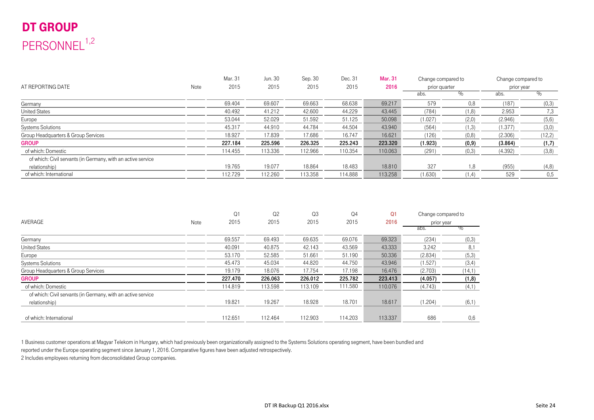## DT GROUP PERSONNEL<sup>1,2</sup>

|                                                              |      | Mar. 31 | Jun. 30 | Sep. 30 | Dec. 31 | <b>Mar. 31</b> | Change compared to |        | Change compared to |         |
|--------------------------------------------------------------|------|---------|---------|---------|---------|----------------|--------------------|--------|--------------------|---------|
| AT REPORTING DATE                                            | Note | 2015    | 2015    | 2015    | 2015    | 2016           | prior quarter      |        | prior year         |         |
|                                                              |      |         |         |         |         |                | abs.               |        | abs.               |         |
| Germany                                                      |      | 69.404  | 69.607  | 69.663  | 68.638  | 69.217         | 579                | 0.8    | (187)              | (0,3)   |
| <b>United States</b>                                         |      | 40.492  | 41.212  | 42.600  | 44.229  | 43.445         | (784)              | (1,8)  | 2.953              | 7,3     |
| Europe                                                       |      | 53.044  | 52.029  | 51.592  | 51.125  | 50.098         | (1.027)            | (2,0)  | (2.946)            | (5,6)   |
| <b>Systems Solutions</b>                                     |      | 45.317  | 44.910  | 44.784  | 44.504  | 43.940         | (564)              | (1,3)  | (1.377)            | (3,0)   |
| Group Headquarters & Group Services                          |      | 18.927  | 17.839  | 17.686  | 16.747  | 16.621         | (126)              | (0,8)  | (2.306)            | (12, 2) |
| <b>GROUP</b>                                                 |      | 227.184 | 225.596 | 226.325 | 225.243 | 223.320        | (1.923)            | (0, 9) | (3.864)            | (1,7)   |
| of which: Domestic                                           |      | 114.455 | 113.336 | 112.966 | 110.354 | 110.063        | (291)              | (0,3)  | (4.392)            | (3, 8)  |
| of which: Civil servants (in Germany, with an active service |      |         |         |         |         |                |                    |        |                    |         |
| relationship)                                                |      | 19.765  | 19.077  | 18.864  | 18.483  | 18.810         | 327                | 1.8    | (955)              | (4,8)   |
| of which: International                                      |      | 112.729 | 112.260 | 113.358 | 114.888 | 113.258        | (1.630)            | (1, 4) | 529                | 0.5     |

|                                                              |      | Q1      | Q <sub>2</sub> | Q <sub>3</sub> | Q <sub>4</sub> | Q <sub>1</sub> | Change compared to |        |
|--------------------------------------------------------------|------|---------|----------------|----------------|----------------|----------------|--------------------|--------|
| <b>AVERAGE</b>                                               | Note | 2015    | 2015           | 2015           | 2015           | 2016           | prior year         |        |
|                                                              |      |         |                |                |                |                | abs.               | א∨     |
| Germany                                                      |      | 69.557  | 69.493         | 69.635         | 69.076         | 69.323         | (234)              | (0,3)  |
| <b>United States</b>                                         |      | 40.091  | 40.875         | 42.143         | 43.569         | 43.333         | 3.242              | 8,1    |
| Europe                                                       |      | 53.170  | 52.585         | 51.661         | 51.190         | 50.336         | (2.834)            | (5,3)  |
| <b>Systems Solutions</b>                                     |      | 45.473  | 45.034         | 44.820         | 44.750         | 43.946         | (1.527)            | (3,4)  |
| Group Headquarters & Group Services                          |      | 19.179  | 18.076         | 17.754         | 17.198         | 16.476         | (2.703)            | (14,1) |
| <b>GROUP</b>                                                 |      | 227.470 | 226.063        | 226.012        | 225.782        | 223.413        | (4.057)            | (1, 8) |
| of which: Domestic                                           |      | 114.819 | 113.598        | 113.109        | 111.580        | 110.076        | (4.743)            | (4,1)  |
| of which: Civil servants (in Germany, with an active service |      |         |                |                |                |                |                    |        |
| relationship)                                                |      | 19.821  | 19.267         | 18.928         | 18.701         | 18.617         | (1.204)            | (6,1)  |
| of which: International                                      |      | 112.651 | 112.464        | 112.903        | 114.203        | 113.337        | 686                | 0,6    |

1 Business customer operations at Magyar Telekom in Hungary, which had previously been organizationally assigned to the Systems Solutions operating segment, have been bundled and

reported under the Europe operating segment since January 1, 2016. Comparative figures have been adjusted retrospectively.

2 Includes employees returning from deconsolidated Group companies.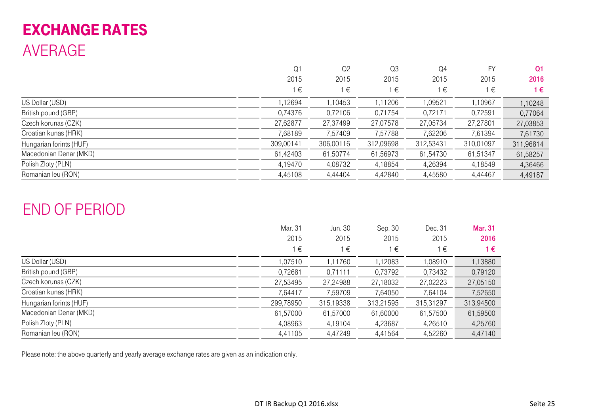## EXCHANGE RATES AVERAGE

| 2016      |
|-----------|
| 1€        |
| 1,10248   |
| 0,77064   |
| 27,03853  |
| 7,61730   |
| 311,96814 |
| 61,58257  |
| 4,36466   |
| 4,49187   |
|           |

## END OF PERIOD

|                         | Mar. 31<br>2015<br>€ | Jun. 30<br>2015<br>∣€ | Sep. 30<br>2015<br>€ | Dec. 31<br>2015<br>∣€ | <b>Mar. 31</b><br>2016<br>1€ |
|-------------------------|----------------------|-----------------------|----------------------|-----------------------|------------------------------|
| US Dollar (USD)         | 1,07510              | 1,11760               | 1,12083              | 1,08910               | 1,13880                      |
| British pound (GBP)     | 0,72681              | 0,71111               | 0,73792              | 0,73432               | 0,79120                      |
| Czech korunas (CZK)     | 27,53495             | 27,24988              | 27,18032             | 27,02223              | 27,05150                     |
| Croatian kunas (HRK)    | 7,64417              | 7,59709               | 7,64050              | 7,64104               | 7,52650                      |
| Hungarian forints (HUF) | 299,78950            | 315,19338             | 313,21595            | 315,31297             | 313,94500                    |
| Macedonian Denar (MKD)  | 61,57000             | 61,57000              | 61,60000             | 61,57500              | 61,59500                     |
| Polish Zloty (PLN)      | 4,08963              | 4,19104               | 4,23687              | 4,26510               | 4,25760                      |
| Romanian leu (RON)      | 4,41105              | 4,47249               | 4,41564              | 4,52260               | 4,47140                      |

Please note: the above quarterly and yearly average exchange rates are given as an indication only.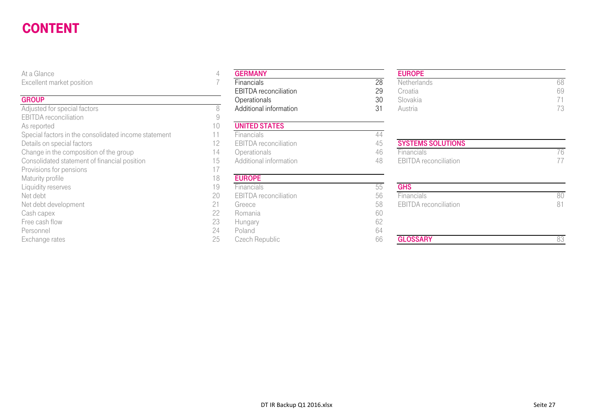#### CONTENTgeneral control of the control of the control of the control of the control of the control of the control of the

#### **GROUP**

| At a Glance                                          | 4  | <b>GERMANY</b>               |    |
|------------------------------------------------------|----|------------------------------|----|
| Excellent market position                            |    | Financials                   | 28 |
|                                                      |    | <b>EBITDA</b> reconciliation | 29 |
| <b>GROUP</b>                                         |    | Operationals                 | 30 |
| Adjusted for special factors                         | 8  | Additional information       | 31 |
| <b>EBITDA</b> reconciliation                         | 9  |                              |    |
| As reported                                          | 10 | <b>UNITED STATES</b>         |    |
| Special factors in the consolidated income statement | 11 | Financials                   | 44 |
| Details on special factors                           | 12 | <b>EBITDA</b> reconciliation | 45 |
| Change in the composition of the group               | 14 | Operationals                 | 46 |
| Consolidated statement of financial position         | 15 | Additional information       | 48 |
| Provisions for pensions                              | 17 |                              |    |
| Maturity profile                                     | 18 | <b>EUROPE</b>                |    |
| Liquidity reserves                                   | 19 | Financials                   | 55 |
| Net debt                                             | 20 | <b>EBITDA</b> reconciliation | 56 |
| Net debt development                                 | 21 | Greece                       | 58 |
| Cash capex                                           | 22 | Romania                      | 60 |
| Free cash flow                                       | 23 | Hungary                      | 62 |
| Personnel                                            | 24 | Poland                       | 64 |
| Exchange rates                                       | 25 | Czech Republic               | 66 |

#### EUROPE

| ______                 |                              |    |             |    |
|------------------------|------------------------------|----|-------------|----|
| ent market position    | Financials                   | 28 | Netherlands | ρŏ |
|                        | <b>EBITDA</b> reconciliation | 29 | Croatia     | 69 |
|                        | <b>Operationals</b>          | 30 | Slovakia    |    |
| ed for special factors | Additional information       |    | Austria     |    |

| <b>SYSTEMS SOLUTIONS</b> |  |
|--------------------------|--|
| <b>Financials</b>        |  |
| EBITDA reconciliation    |  |

| iviaturity profile-  | $\circ$ | <b>EURUPE</b>                |    |                              |    |
|----------------------|---------|------------------------------|----|------------------------------|----|
| Liquidity reserves   | 19      | <b>Financials</b>            | СC | <b>GHS</b>                   |    |
| Net debt             | 20      | <b>EBITDA</b> reconciliation | 56 | <b>Financials</b>            | 80 |
| Net debt development | 21      | Greece                       | 58 | <b>EBITDA</b> reconciliation | 81 |
| Cash capex           | 22      | Romania                      | 60 |                              |    |
| Free cash flow       | 23      | Hungary                      |    |                              |    |
| Personnel            | 24      | Poland                       | 64 |                              |    |
| Exchange rates       | 25      | Czech Republic               | 66 | <b>GLOSSARY</b>              | 83 |
|                      |         |                              |    |                              |    |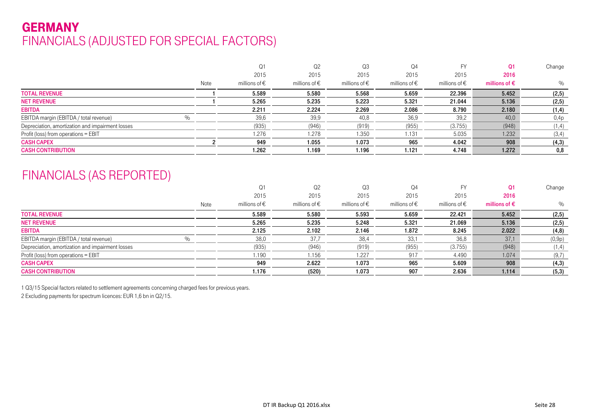### GERMANY FINANCIALS (ADJUSTED FOR SPECIAL FACTORS)

|      | O1                     | Q <sub>2</sub>         | Q3                | Q <sub>4</sub>         |                        | 01                     | Change |
|------|------------------------|------------------------|-------------------|------------------------|------------------------|------------------------|--------|
|      | 2015                   | 2015                   | 2015              | 2015                   | 2015                   | 2016                   |        |
| Note | millions of $\epsilon$ | millions of $\epsilon$ | millions of $\in$ | millions of $\epsilon$ | millions of $\epsilon$ | millions of $\epsilon$ | $\%$   |
|      | 5.589                  | 5.580                  | 5.568             | 5.659                  | 22.396                 | 5.452                  | (2, 5) |
|      | 5.265                  | 5.235                  | 5.223             | 5.321                  | 21.044                 | 5.136                  | (2, 5) |
|      | 2.211                  | 2.224                  | 2.269             | 2.086                  | 8.790                  | 2.180                  | (1, 4) |
|      | 39,6                   | 39,9                   | 40,8              | 36,9                   | 39,2                   | 40.0                   | 0,4p   |
|      | (935)                  | (946)                  | (919)             | (955)                  | (3.755)                | (948)                  | (1,4)  |
|      | 1.276                  | 1.278                  | 1.350             | 1.131                  | 5.035                  | 1.232                  | (3,4)  |
|      | 949                    | 1.055                  | 1.073             | 965                    | 4.042                  | 908                    | (4,3)  |
|      | 1.262                  | 1.169                  | 1.196             | 1.121                  | 4.748                  | 1.272                  | 0,8    |
|      |                        |                        |                   |                        |                        |                        |        |

### FINANCIALS (AS REPORTED)

|                                                  |      | 01                     | Q2                | Q3                     | Q4                     |                   | 01                     | Change |
|--------------------------------------------------|------|------------------------|-------------------|------------------------|------------------------|-------------------|------------------------|--------|
|                                                  |      | 2015                   | 2015              | 2015                   | 2015                   | 2015              | 2016                   |        |
|                                                  | Note | millions of $\epsilon$ | millions of $\in$ | millions of $\epsilon$ | millions of $\epsilon$ | millions of $\in$ | millions of $\epsilon$ | $\%$   |
| <b>TOTAL REVENUE</b>                             |      | 5.589                  | 5.580             | 5.593                  | 5.659                  | 22.421            | 5.452                  | (2, 5) |
| <b>NET REVENUE</b>                               |      | 5.265                  | 5.235             | 5.248                  | 5.321                  | 21.069            | 5.136                  | (2, 5) |
| <b>EBITDA</b>                                    |      | 2.125                  | 2.102             | 2.146                  | 1.872                  | 8.245             | 2.022                  | (4, 8) |
| EBITDA margin (EBITDA / total revenue)<br>O/2    |      | 38,0                   | 37,7              | 38,4                   | 33.1                   | 36,8              | 37,1                   | (0,9p) |
| Depreciation, amortization and impairment losses |      | (935)                  | (946)             | (919)                  | (955)                  | (3.755)           | (948)                  | (1,4)  |
| Profit (loss) from operations = EBIT             |      | 1.190                  | 1.156             | 1.227                  | 917                    | 4.490             | 1.074                  | (9,7)  |
| <b>CASH CAPEX</b>                                |      | 949                    | 2.622             | 1.073                  | 965                    | 5.609             | 908                    | (4,3)  |
| <b>CASH CONTRIBUTION</b>                         |      | 1.176                  | (520)             | 1.073                  | 907                    | 2.636             | 1.114                  | (5,3)  |

1 Q3/15 Special factors related to settlement agreements concerning charged fees for previous years.

2 Excluding payments for spectrum licences: EUR 1,6 bn in Q2/15.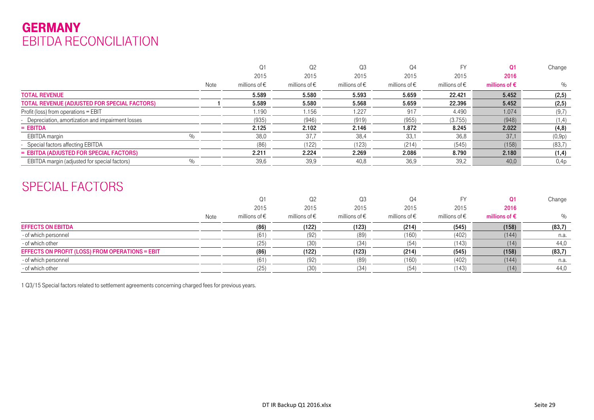### GERMANY EBITDA RECONCILIATION

|                                                    |      | $\Omega$ 1             | Q2                     | Q3                     | Q4                     |                   | O <sub>1</sub>         | Change |
|----------------------------------------------------|------|------------------------|------------------------|------------------------|------------------------|-------------------|------------------------|--------|
|                                                    |      | 2015                   | 2015                   | 2015                   | 2015                   | 2015              | 2016                   |        |
|                                                    | Note | millions of $\epsilon$ | millions of $\epsilon$ | millions of $\epsilon$ | millions of $\epsilon$ | millions of $\in$ | millions of $\epsilon$ | $\%$   |
| <b>TOTAL REVENUE</b>                               |      | 5.589                  | 5.580                  | 5.593                  | 5.659                  | 22.421            | 5.452                  | (2, 5) |
| TOTAL REVENUE (ADJUSTED FOR SPECIAL FACTORS)       |      | 5.589                  | 5.580                  | 5.568                  | 5.659                  | 22.396            | 5.452                  | (2, 5) |
| Profit (loss) from operations = EBIT               |      | 1.190                  | 1.156                  | 1.227                  | 917                    | 4.490             | 1.074                  | (9,7)  |
| - Depreciation, amortization and impairment losses |      | (935)                  | (946)                  | (919)                  | (955)                  | (3.755)           | (948)                  | (1,4)  |
| $=$ EBITDA                                         |      | 2.125                  | 2.102                  | 2.146                  | 1.872                  | 8.245             | 2.022                  | (4, 8) |
| EBITDA margin<br>$\%$                              |      | 38,0                   | 37.7                   | 38,4                   | 33,1                   | 36,8              | 37,1                   | (0,9p) |
| - Special factors affecting EBITDA                 |      | (86)                   | (122)                  | (123)                  | (214)                  | (545)             | (158)                  | (83,7) |
| = EBITDA (ADJUSTED FOR SPECIAL FACTORS)            |      | 2.211                  | 2.224                  | 2.269                  | 2.086                  | 8.790             | 2.180                  | (1, 4) |
| EBITDA margin (adjusted for special factors)       |      | 39,6                   | 39,9                   | 40,8                   | 36,9                   | 39,2              | 40.0                   | 0,4p   |

### SPECIAL FACTORS

|                                                 |      | Q1                     | Q <sub>2</sub>         | Q3                     | Q4                     |                        | O <sub>1</sub>         | Change |
|-------------------------------------------------|------|------------------------|------------------------|------------------------|------------------------|------------------------|------------------------|--------|
|                                                 |      | 2015                   | 2015                   | 2015                   | 2015                   | 2015                   | 2016                   |        |
|                                                 | Note | millions of $\epsilon$ | millions of $\epsilon$ | millions of $\epsilon$ | millions of $\epsilon$ | millions of $\epsilon$ | millions of $\epsilon$ | $\%$   |
| <b>EFFECTS ON EBITDA</b>                        |      | (86)                   | (122)                  | (123)                  | (214)                  | (545)                  | (158)                  | (83,7) |
| - of which personnel                            |      | (61                    | (92)                   | (89)                   | (160)                  | (402)                  | (144)                  | n.a.   |
| - of which other                                |      | (25)                   | (30)                   | (34)                   | (54)                   | (143)                  | (14)                   | 44,0   |
| EFFECTS ON PROFIT (LOSS) FROM OPERATIONS = EBIT |      | (86)                   | (122)                  | (123)                  | (214)                  | (545)                  | (158)                  | (83,7) |
| - of which personnel                            |      | (61                    | (92)                   | (89)                   | (160)                  | (402)                  | (144)                  | n.a.   |
| - of which other                                |      | (25)                   | (30)                   | (34)                   | (54)                   | (143)                  | (14)                   | 44,0   |

1 Q3/15 Special factors related to settlement agreements concerning charged fees for previous years.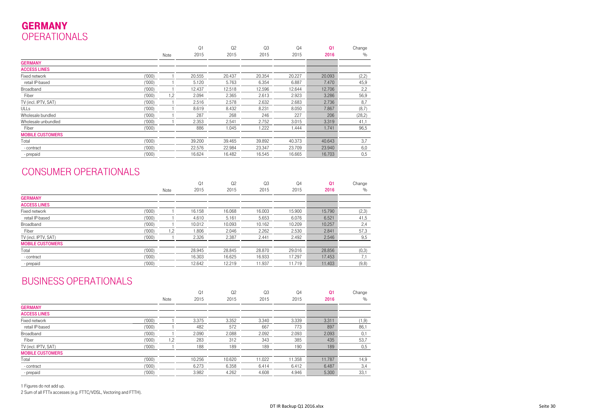### GERMANY**OPERATIONALS**

|                         |        |      | Q1     | Q2     | Q <sub>3</sub> | Q <sub>4</sub> | Q <sub>1</sub> | Change |
|-------------------------|--------|------|--------|--------|----------------|----------------|----------------|--------|
|                         |        | Note | 2015   | 2015   | 2015           | 2015           | 2016           | $\%$   |
| <b>GERMANY</b>          |        |      |        |        |                |                |                |        |
| <b>ACCESS LINES</b>     |        |      |        |        |                |                |                |        |
| Fixed network           | (000)' |      | 20.555 | 20.437 | 20.354         | 20.227         | 20.093         | (2,2)  |
| retail IP-based         | (000)  |      | 5.120  | 5.763  | 6.354          | 6.887          | 7.470          | 45,9   |
| Broadband               | (000)  |      | 12.437 | 12.518 | 12.596         | 12.644         | 12.706         | 2,2    |
| Fiber                   | (000)  | 1,2  | 2.094  | 2.365  | 2.613          | 2.923          | 3.286          | 56,9   |
| TV (incl. IPTV, SAT)    | (000)  |      | 2.516  | 2.578  | 2.632          | 2.683          | 2.736          | 8,7    |
| <b>ULLs</b>             | (000)  |      | 8.619  | 8.432  | 8.231          | 8.050          | 7.867          | (8,7)  |
| Wholesale bundled       | (000)  |      | 287    | 268    | 246            | 227            | 206            | (28,2) |
| Wholesale unbundled     | (000)  |      | 2.353  | 2.541  | 2.752          | 3.015          | 3.319          | 41,1   |
| Fiber                   | (000)' |      | 886    | 1.045  | 1.222          | 1.444          | 1.741          | 96,5   |
| <b>MOBILE CUSTOMERS</b> |        |      |        |        |                |                |                |        |
| Total                   | (000)  |      | 39.200 | 39.465 | 39.892         | 40.373         | 40.643         | 3,7    |
| - contract              | (000)  |      | 22.576 | 22.984 | 23.347         | 23.709         | 23.940         | 6,0    |
| - prepaid               | (000)  |      | 16.624 | 16.482 | 16.545         | 16.665         | 16.703         | 0,5    |

### CONSUMER OPERATIONALS

|                                |      | Q <sub>1</sub> | Q <sub>2</sub> | Q <sub>3</sub> | Q <sub>4</sub> | Q <sub>1</sub> | Change |
|--------------------------------|------|----------------|----------------|----------------|----------------|----------------|--------|
|                                | Note | 2015           | 2015           | 2015           | 2015           | 2016           | $\%$   |
| <b>GERMANY</b>                 |      |                |                |                |                |                |        |
| <b>ACCESS LINES</b>            |      |                |                |                |                |                |        |
| (000)<br>Fixed network         |      | 16.158         | 16.068         | 16.003         | 15.900         | 15.790         | (2,3)  |
| (000)<br>retail IP-based       |      | 4.610          | 5.161          | 5.653          | 6.076          | 6.521          | 41,5   |
| (000)<br>Broadband             |      | 10.012         | 10.093         | 10.162         | 10.209         | 10.257         | 2,4    |
| (000)<br>Fiber                 | 1,2  | 1.806          | 2.046          | 2.262          | 2.530          | 2.841          | 57,3   |
| TV (incl. IPTV, SAT)<br>(000)' |      | 2.326          | 2.387          | 2.441          | 2.492          | 2.546          | 9,5    |
| <b>MOBILE CUSTOMERS</b>        |      |                |                |                |                |                |        |
| Total<br>('000')               |      | 28.945         | 28.845         | 28.870         | 29.016         | 28.856         | (0,3)  |
| (000)<br>- contract            |      | 16.303         | 16.625         | 16.933         | 17.297         | 17.453         | 7,1    |
| (000)<br>- prepaid             |      | 12.642         | 12.219         | 11.937         | 11.719         | 11.403         | (9,8)  |

#### BUSINESS OPERATIONALS

|                         |       |      | Q1     | Q <sub>2</sub> | Q <sub>3</sub> | Q <sub>4</sub> | Q <sub>1</sub> | Change |
|-------------------------|-------|------|--------|----------------|----------------|----------------|----------------|--------|
|                         |       | Note | 2015   | 2015           | 2015           | 2015           | 2016           | $\%$   |
| <b>GERMANY</b>          |       |      |        |                |                |                |                |        |
| <b>ACCESS LINES</b>     |       |      |        |                |                |                |                |        |
| Fixed network           | (000) |      | 3.375  | 3.352          | 3.340          | 3.339          | 3.311          | (1, 9) |
| retail IP-based         | (000) |      | 482    | 572            | 667            | 773            | 897            | 86,1   |
| Broadband               | (000) |      | 2.090  | 2.088          | 2.092          | 2.093          | 2.093          | 0,1    |
| Fiber                   | (000) | .2   | 283    | 312            | 343            | 385            | 435            | 53,7   |
| TV (incl. IPTV, SAT)    | (000) |      | 188    | 189            | 189            | 190            | 189            | 0,5    |
| <b>MOBILE CUSTOMERS</b> |       |      |        |                |                |                |                |        |
| Total                   | (000) |      | 10.256 | 10.620         | 11.022         | 11.358         | 11.787         | 14,9   |
| - contract              | (000) |      | 6.273  | 6.358          | 6.414          | 6.412          | 6.487          | 3,4    |
| - prepaid               | (000) |      | 3.982  | 4.262          | 4.608          | 4.946          | 5.300          | 33,1   |

1 Figures do not add up.

2 Sum of all FTTx accesses (e.g. FTTC/VDSL, Vectoring and FTTH).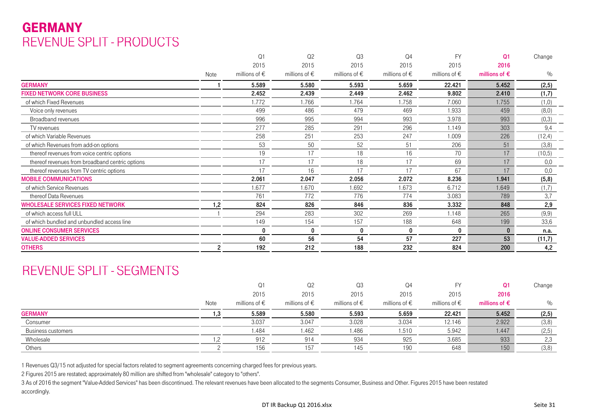### **GERMANY** REVENUE SPLIT - PRODUCTS

|                                                 |      | Q <sub>1</sub>         | Q <sub>2</sub>         | Q <sub>3</sub>         | Q4                     | <b>FY</b>              | $\Omega$ 1             | Change  |
|-------------------------------------------------|------|------------------------|------------------------|------------------------|------------------------|------------------------|------------------------|---------|
|                                                 |      | 2015                   | 2015                   | 2015                   | 2015                   | 2015                   | 2016                   |         |
|                                                 | Note | millions of $\epsilon$ | millions of $\epsilon$ | millions of $\epsilon$ | millions of $\epsilon$ | millions of $\epsilon$ | millions of $\epsilon$ | $\%$    |
| <b>GERMANY</b>                                  |      | 5.589                  | 5.580                  | 5.593                  | 5.659                  | 22.421                 | 5.452                  | (2, 5)  |
| <b>FIXED NETWORK CORE BUSINESS</b>              |      | 2.452                  | 2.439                  | 2.449                  | 2.462                  | 9.802                  | 2.410                  | (1,7)   |
| of which Fixed Revenues                         |      | 1.772                  | 1.766                  | 1.764                  | 1.758                  | 7.060                  | 1.755                  | (1,0)   |
| Voice only revenues                             |      | 499                    | 486                    | 479                    | 469                    | 1.933                  | 459                    | (8,0)   |
| Broadband revenues                              |      | 996                    | 995                    | 994                    | 993                    | 3.978                  | 993                    | (0,3)   |
| TV revenues                                     |      | 277                    | 285                    | 291                    | 296                    | 1.149                  | 303                    | 9,4     |
| of which Variable Revenues                      |      | 258                    | 251                    | 253                    | 247                    | 1.009                  | 226                    | (12, 4) |
| of which Revenues from add-on options           |      | 53                     | 50                     | 52                     | 51                     | 206                    | 51                     | (3, 8)  |
| thereof revenues from voice centric options     |      | 19                     | 17                     | 18                     | 16                     | 70                     | 17                     | (10, 5) |
| thereof revenues from broadband centric options |      | 17                     | 17                     | 18                     | 17                     | 69                     | 17                     | 0,0     |
| thereof revenues from TV centric options        |      | 17                     | 16                     | 17                     | 17                     | 67                     | 17                     | 0,0     |
| <b>MOBILE COMMUNICATIONS</b>                    |      | 2.061                  | 2.047                  | 2.056                  | 2.072                  | 8.236                  | 1.941                  | (5,8)   |
| of which Service Revenues                       |      | 1.677                  | 1.670                  | 1.692                  | 1.673                  | 6.712                  | 1.649                  | (1,7)   |
| thereof Data Revenues                           |      | 761                    | 772                    | 776                    | 774                    | 3.083                  | 789                    | 3,7     |
| <b>WHOLESALE SERVICES FIXED NETWORK</b>         | 1,2  | 824                    | 826                    | 846                    | 836                    | 3.332                  | 848                    | 2,9     |
| of which access full ULL                        |      | 294                    | 283                    | 302                    | 269                    | 1.148                  | 265                    | (9, 9)  |
| of which bundled and unbundled access line      |      | 149                    | 154                    | 157                    | 188                    | 648                    | 199                    | 33,6    |
| <b>ONLINE CONSUMER SERVICES</b>                 |      |                        | 0                      | 0                      | 0                      | 0                      | $\bf{0}$               | n.a.    |
| <b>VALUE-ADDED SERVICES</b>                     |      | 60                     | 56                     | 54                     | 57                     | 227                    | 53                     | (11,7)  |
| <b>OTHERS</b>                                   | 2    | 192                    | 212                    | 188                    | 232                    | 824                    | 200                    | 4,2     |

### REVENUE SPLIT - SEGMENTS

|                    |      | Q1                     | Q <sub>2</sub>         | Q <sub>3</sub>         | Q4                     |                        | Q1                     | Change |
|--------------------|------|------------------------|------------------------|------------------------|------------------------|------------------------|------------------------|--------|
|                    |      | 2015                   | 2015                   | 2015                   | 2015                   | 2015                   | 2016                   |        |
|                    | Note | millions of $\epsilon$ | millions of $\epsilon$ | millions of $\epsilon$ | millions of $\epsilon$ | millions of $\epsilon$ | millions of $\epsilon$ | %      |
| <b>GERMANY</b>     |      | 5.589                  | 5.580                  | 5.593                  | 5.659                  | 22.421                 | 5.452                  | (2, 5) |
| Consumer           |      | 3.037                  | 3.047                  | 3.028                  | 3.034                  | 12.146                 | 2.922                  | (3,8)  |
| Business customers |      | .484                   | 1.462                  | 1.486                  | i .510                 | 5.942                  | 1.447                  | (2,5)  |
| Wholesale          |      | 912                    | 914                    | 934                    | 925                    | 3.685                  | 933                    | 2,3    |
| Others             |      | 156                    | 157                    | 145                    | 190                    | 648                    | 150                    | (3,8)  |

1 Revenues Q3/15 not adjusted for special factors related to segment agreements concerning charged fees for previous years.

2 Figures 2015 are restated; approximately 80 million are shifted from "wholesale" category to "others".

3 As of 2016 the segment "Value-Added Services" has been discontinued. The relevant revenues have been allocated to the segments Consumer, Business and Other. Figures 2015 have been restated accordingly.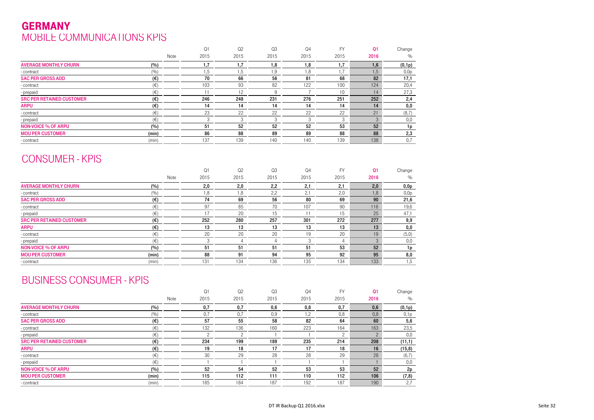### GERMANYMOBILE COMMUNICATIONS KPIS

|                                  |              | Q1   | Q <sub>2</sub> | Q <sub>3</sub> | Q4   | <b>FY</b>        | Q <sub>1</sub> | Change |
|----------------------------------|--------------|------|----------------|----------------|------|------------------|----------------|--------|
|                                  | Note         | 2015 | 2015           | 2015           | 2015 | 2015             | 2016           | $\%$   |
| <b>AVERAGE MONTHLY CHURN</b>     | (%)          | .7   | $\cdot$ 7      | 8, ا           | 8, ا | 1.7              | 1.6            | (0,1p) |
| - contract                       | (9/0)        | .5   | 5, ا           | 9, ا           | 1,8  | $1.\overline{7}$ | I.5            | 0,0p   |
| <b>SAC PER GROSS ADD</b>         | (€)          | 70   | 66             | 56             | 81   | 68               | 82             | 17,1   |
| - contract                       | $(\in)$      | 103  | 93             | 82             | 122  | 100              | 124            | 20,4   |
| - prepaid                        | (E)          |      | 12             | 9              |      | 10               | 14             | 27,3   |
| <b>SRC PER RETAINED CUSTOMER</b> | $(\epsilon)$ | 246  | 248            | 231            | 276  | 251              | 252            | 2,4    |
| <b>ARPU</b>                      | $(\epsilon)$ | 14   | 14             | 14             | 14   | 14               | 14             | 0,0    |
| - contract                       | $(\in)$      | 23   | 22             | 22             | 22   | 22               | 21             | (8,7)  |
| - prepaid                        | $(\in)$      |      |                | $\sqrt{2}$     | 3    |                  |                | 0,0    |
| <b>NON-VOICE % OF ARPU</b>       | (%)          | 51   | 52             | 52             | 52   | 53               | 52             | 1p     |
| <b>MOU PER CUSTOMER</b>          | (min)        | 86   | 88             | 89             | 89   | 88               | 88             | 2,3    |
| - contract                       | (min)        | 137  | 139            | 140            | 140  | 139              | 138            | 0,7    |

### CONSUMER - KPIS

|                                  |              |      | Q1   | Q <sub>2</sub> | Q <sub>3</sub> | Q <sub>4</sub> | <b>FY</b> | Q <sub>1</sub> | Change |
|----------------------------------|--------------|------|------|----------------|----------------|----------------|-----------|----------------|--------|
|                                  |              | Note | 2015 | 2015           | 2015           | 2015           | 2015      | 2016           | $\%$   |
| <b>AVERAGE MONTHLY CHURN</b>     | (%)          |      | 2,0  | 2,0            | 2,2            | 2,1            | 2,1       | 2,0            | 0,0p   |
| - contract                       | (%)          |      | 8,1  | 8, ا           | 2,2            | 2,1            | 2,0       | 1,8            | 0,0p   |
| <b>SAC PER GROSS ADD</b>         | $(\epsilon)$ |      | 74   | 69             | 56             | 80             | 69        | 90             | 21,6   |
| - contract                       | $(\in)$      |      | 97   | 85             | 70             | 107            | 90        | 116            | 19,6   |
| - prepaid                        | (€)          |      | 17   | 20             | 15             |                | 15        | 25             | 47,1   |
| <b>SRC PER RETAINED CUSTOMER</b> | $(\epsilon)$ |      | 252  | 280            | 257            | 301            | 272       | 277            | 9,9    |
| <b>ARPU</b>                      | (€)          |      | 13   | 13             | 13             | 13             | 13        | 13             | 0,0    |
| - contract                       | $(\in)$      |      | 20   | 20             | 20             | 19             | 20        | 19             | (5,0)  |
| - prepaid                        | $(\in)$      |      |      |                |                | ß              |           |                | 0,0    |
| <b>NON-VOICE % OF ARPU</b>       | (%)          |      | 51   | 51             | 51             | 51             | 53        | 52             | 1p     |
| <b>MOU PER CUSTOMER</b>          | (min)        |      | 88   | 91             | 94             | 95             | 92        | 95             | 8,0    |
| - contract                       | (min)        |      | 131  | 134            | 136            | 135            | 134       | 133            | 1,5    |
|                                  |              |      |      |                |                |                |           |                |        |

### BUSINESS CONSUMER - KPIS

|                                  |              | Q1   | Q <sub>2</sub> | Q <sub>3</sub> | Q <sub>4</sub> | <b>FY</b> | Q <sub>1</sub> | Change  |
|----------------------------------|--------------|------|----------------|----------------|----------------|-----------|----------------|---------|
|                                  | Note         | 2015 | 2015           | 2015           | 2015           | 2015      | 2016           | $\%$    |
| <b>AVERAGE MONTHLY CHURN</b>     | (%)          | 0,7  | 0,7            | 0,6            | 0,8            | 0,7       | 0,6            | (0,1p)  |
| - contract                       | (%)          | 0,7  | 0.7            | 0,9            | 1,2            | 0,8       | 0,8            | 0,1p    |
| <b>SAC PER GROSS ADD</b>         | (€)          | 57   | 55             | 58             | 82             | 64        | 60             | 5,6     |
| - contract                       | $(\in)$      | 132  | 136            | 160            | 223            | 164       | 163            | 23,5    |
| - prepaid                        | (€)          |      |                |                |                |           |                | 0,0     |
| <b>SRC PER RETAINED CUSTOMER</b> | $(\epsilon)$ | 234  | 199            | 189            | 235            | 214       | 208            | (11,1)  |
| <b>ARPU</b>                      | (€)          | 19   | 18             | 17             | 17             | 18        | 16             | (15, 8) |
| - contract                       | $(\in)$      | 30   | 29             | 28             | 28             | 29        | 28             | (6,7)   |
| - prepaid                        | $(\in)$      |      |                |                |                |           |                | 0,0     |
| <b>NON-VOICE % OF ARPU</b>       | (%)          | 52   | 54             | 52             | 53             | 53        | 52             | 2p      |
| <b>MOU PER CUSTOMER</b>          | (min)        | 115  | 112            | 111            | 110            | 112       | 106            | (7, 8)  |
| - contract                       | (min)        | 185  | 184            | 187            | 192            | 187       | 190            | 2,7     |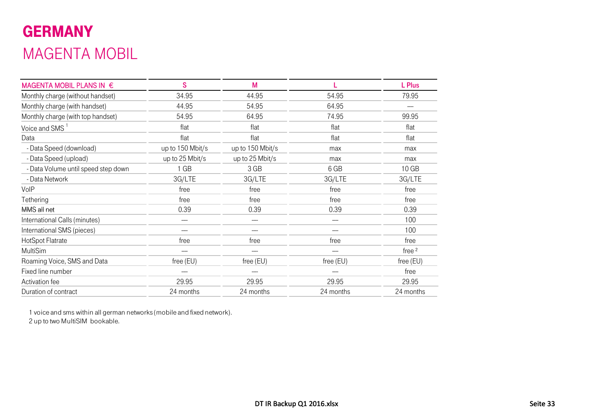## GERMANY MAGENTA MOBIL

| MAGENTA MOBIL PLANS IN €            | S                | M                |           | L Plus           |
|-------------------------------------|------------------|------------------|-----------|------------------|
| Monthly charge (without handset)    | 34.95            | 44.95            | 54.95     | 79.95            |
| Monthly charge (with handset)       | 44.95            | 54.95            | 64.95     |                  |
| Monthly charge (with top handset)   | 54.95            | 64.95            | 74.95     | 99.95            |
| Voice and SMS <sup>1</sup>          | flat             | flat             | flat      | flat             |
| Data                                | flat             | flat             | flat      | flat             |
| - Data Speed (download)             | up to 150 Mbit/s | up to 150 Mbit/s | max       | max              |
| - Data Speed (upload)               | up to 25 Mbit/s  | up to 25 Mbit/s  | max       | max              |
| - Data Volume until speed step down | 1 GB             | 3 GB             | 6 GB      | 10 <sub>GB</sub> |
| - Data Network                      | 3G/LTE           | 3G/LTE           | 3G/LTE    | 3G/LTE           |
| VoIP                                | free             | free             | free      | free             |
| Tethering                           | free             | free             | free      | free             |
| MMS all net                         | 0.39             | 0.39             | 0.39      | 0.39             |
| International Calls (minutes)       |                  |                  | -----     | 100              |
| International SMS (pieces)          |                  |                  |           | 100              |
| HotSpot Flatrate                    | free             | free             | free      | free             |
| MultiSim                            |                  |                  |           | free $2$         |
| Roaming Voice, SMS and Data         | free (EU)        | free $(EU)$      | free (EU) | free (EU)        |
| Fixed line number                   |                  |                  |           | free             |
| Activation fee                      | 29.95            | 29.95            | 29.95     | 29.95            |
| Duration of contract                | 24 months        | 24 months        | 24 months | 24 months        |

1 voice and sms within all german networks (mobile and fixed network).

2 up to two MultiSIM bookable.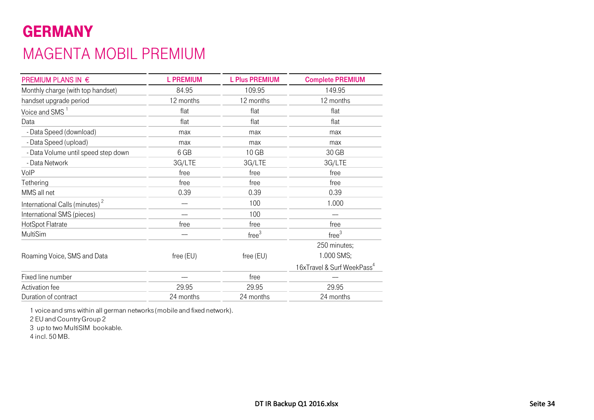## GERMANY MAGENTA MOBIL PREMIUM

| PREMIUM PLANS IN €                         | <b>L PREMIUM</b> | <b>L Plus PREMIUM</b> | <b>Complete PREMIUM</b>                |
|--------------------------------------------|------------------|-----------------------|----------------------------------------|
| Monthly charge (with top handset)          | 84.95            | 109.95                | 149.95                                 |
| handset upgrade period                     | 12 months        | 12 months             | 12 months                              |
| Voice and SMS <sup>1</sup>                 | flat             | flat                  | flat                                   |
| Data                                       | flat             | flat                  | flat                                   |
| - Data Speed (download)                    | max              | max                   | max                                    |
| - Data Speed (upload)                      | max              | max                   | max                                    |
| - Data Volume until speed step down        | 6 GB             | 10 <sub>GB</sub>      | 30 GB                                  |
| - Data Network                             | 3G/LTE           | 3G/LTE                | 3G/LTE                                 |
| VoIP                                       | free             | free                  | free                                   |
| Tethering                                  | free             | free                  | free                                   |
| MMS all net                                | 0.39             | 0.39                  | 0.39                                   |
| International Calls (minutes) <sup>2</sup> |                  | 100                   | 1.000                                  |
| International SMS (pieces)                 |                  | 100                   |                                        |
| HotSpot Flatrate                           | free             | free                  | free                                   |
| MultiSim                                   |                  | free <sup>3</sup>     | free <sup>3</sup>                      |
|                                            |                  |                       | 250 minutes;                           |
| Roaming Voice, SMS and Data                | free (EU)        | free (EU)             | 1.000 SMS;                             |
|                                            |                  |                       | 16xTravel & Surf WeekPass <sup>4</sup> |
| Fixed line number                          |                  | free                  |                                        |
| Activation fee                             | 29.95            | 29.95                 | 29.95                                  |
| Duration of contract                       | 24 months        | 24 months             | 24 months                              |

1 voice and sms within all german networks (mobile and fixed network).

2 EU and Country Group 2

3 up to two MultiSIM bookable.

4 incl. 50 MB.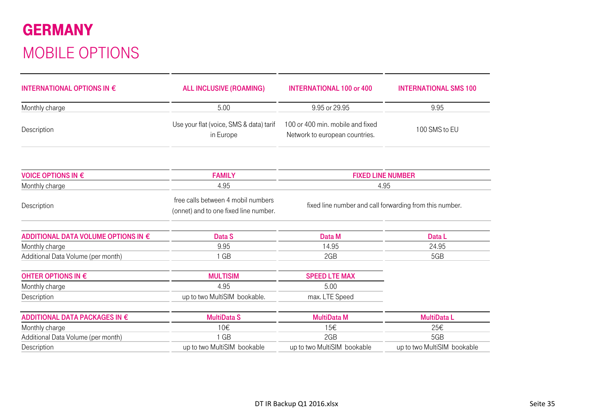## GERMANY MOBILE OPTIONS

| INTERNATIONAL OPTIONS IN $\epsilon$ | <b>ALL INCLUSIVE (ROAMING)</b>                                              | <b>INTERNATIONAL 100 or 400</b>                                    | <b>INTERNATIONAL SMS 100</b> |  |
|-------------------------------------|-----------------------------------------------------------------------------|--------------------------------------------------------------------|------------------------------|--|
| Monthly charge                      | 5.00                                                                        | 9.95 or 29.95                                                      | 9.95                         |  |
| Description                         | Use your flat (voice, SMS & data) tarif<br>in Europe                        | 100 or 400 min. mobile and fixed<br>Network to european countries. | 100 SMS to EU                |  |
| <b>VOICE OPTIONS IN €</b>           | <b>FAMILY</b>                                                               | <b>FIXED LINE NUMBER</b>                                           |                              |  |
| Monthly charge                      | 4.95                                                                        | 4.95                                                               |                              |  |
| Description                         | free calls between 4 mobil numbers<br>(onnet) and to one fixed line number. | fixed line number and call forwarding from this number.            |                              |  |
| ADDITIONAL DATA VOLUME OPTIONS IN € | Data S                                                                      | Data M                                                             | Data L                       |  |
| Monthly charge                      | 9.95                                                                        | 14.95                                                              | 24.95                        |  |
| Additional Data Volume (per month)  | 1 GB                                                                        | 2GB                                                                | 5GB                          |  |
| OHTER OPTIONS IN €                  | <b>MULTISIM</b>                                                             | <b>SPEED LTE MAX</b>                                               |                              |  |
| Monthly charge                      | 4.95                                                                        | 5.00                                                               |                              |  |
| Description                         | up to two MultiSIM bookable.                                                | max. LTE Speed                                                     |                              |  |
| ADDITIONAL DATA PACKAGES IN €       | <b>MultiData S</b>                                                          | <b>MultiData M</b>                                                 | <b>MultiDataL</b>            |  |
| Monthly charge                      | 10€                                                                         | 15€                                                                | 25€                          |  |
| Additional Data Volume (per month)  | 1 GB                                                                        | 2GB                                                                | 5GB                          |  |
| Description                         | up to two MultiSIM bookable                                                 | up to two MultiSIM bookable                                        | up to two MultiSIM bookable  |  |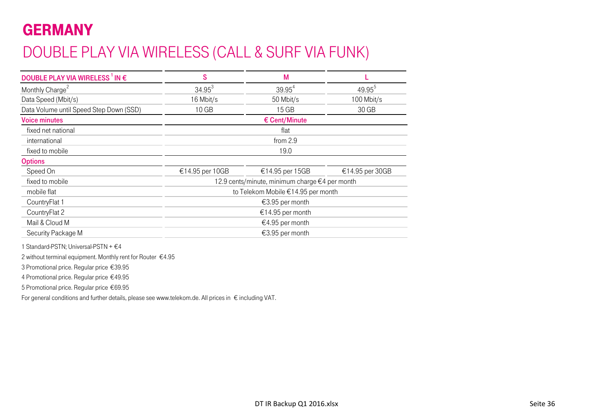## GERMANY

## DOUBLE PLAY VIA WIRELESS (CALL & SURF VIA FUNK)

| DOUBLE PLAY VIA WIRELESS <sup>1</sup> IN $\epsilon$ | S                                              | M               |                 |  |  |  |
|-----------------------------------------------------|------------------------------------------------|-----------------|-----------------|--|--|--|
| Monthly Charge <sup>2</sup>                         | $34.95^3$                                      | $39.95^{4}$     | $49.95^{b}$     |  |  |  |
| Data Speed (Mbit/s)                                 | 16 Mbit/s                                      | 50 Mbit/s       | 100 Mbit/s      |  |  |  |
| Data Volume until Speed Step Down (SSD)             | 10 <sub>GB</sub>                               | 15 GB           | 30 GB           |  |  |  |
| <b>Voice minutes</b>                                |                                                | € Cent/Minute   |                 |  |  |  |
| fixed net national                                  |                                                | flat            |                 |  |  |  |
| international                                       | from 2.9                                       |                 |                 |  |  |  |
| fixed to mobile                                     | 19.0                                           |                 |                 |  |  |  |
| <b>Options</b>                                      |                                                |                 |                 |  |  |  |
| Speed On                                            | €14.95 per 10GB                                | €14.95 per 15GB | €14.95 per 30GB |  |  |  |
| fixed to mobile                                     | 12.9 cents/minute, minimum charge €4 per month |                 |                 |  |  |  |
| mobile flat                                         | to Telekom Mobile €14.95 per month             |                 |                 |  |  |  |
| CountryFlat 1                                       | €3.95 per month                                |                 |                 |  |  |  |
| CountryFlat 2                                       | €14.95 per month                               |                 |                 |  |  |  |
| Mail & Cloud M                                      | €4.95 per month                                |                 |                 |  |  |  |
| Security Package M                                  | €3.95 per month                                |                 |                 |  |  |  |

1 Standard-PSTN; Universal-PSTN + €4

2 without terminal equipment. Monthly rent for Router €4.95

3 Promotional price. Regular price €39.95

4 Promotional price. Regular price €49.95

5 Promotional price. Regular price €69.95

For general conditions and further details, please see www.telekom.de. All prices in € including VAT.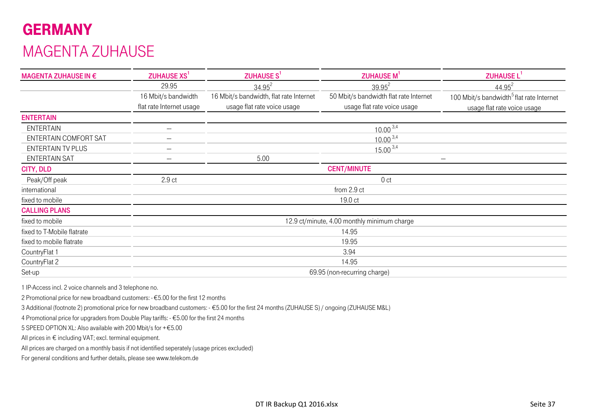# GERMANYMAGENTA ZUHAUSE

| MAGENTA ZUHAUSE IN €       | <b>ZUHAUSE XS<sup>1</sup></b> | ZUHAUSE S <sup>1</sup>                  | <b>ZUHAUSE M</b>                            | ZUHAUSE L <sup>1</sup>                               |  |  |  |
|----------------------------|-------------------------------|-----------------------------------------|---------------------------------------------|------------------------------------------------------|--|--|--|
|                            | 29.95                         | $34.95^{2}$                             | $39.95^{2}$                                 | $44.95^{2}$                                          |  |  |  |
|                            | 16 Mbit/s bandwidth           | 16 Mbit/s bandwidth, flat rate Internet | 50 Mbit/s bandwidth flat rate Internet      | 100 Mbit/s bandwidth <sup>5</sup> flat rate Internet |  |  |  |
|                            | flat rate Internet usage      | usage flat rate voice usage             | usage flat rate voice usage                 | usage flat rate voice usage                          |  |  |  |
| <b>ENTERTAIN</b>           |                               |                                         |                                             |                                                      |  |  |  |
| <b>ENTERTAIN</b>           | $\hspace{0.05cm}$             |                                         | $10.00^{3,4}$                               |                                                      |  |  |  |
| ENTERTAIN COMFORT SAT      | $-\!-\!$                      |                                         | $10.00^{3,4}$                               |                                                      |  |  |  |
| <b>ENTERTAIN TV PLUS</b>   | $-\!-\!$                      |                                         | $15.00^{3,4}$                               |                                                      |  |  |  |
| <b>ENTERTAIN SAT</b>       | $-\!-\!$                      | 5.00                                    |                                             | $\hspace{0.05cm}$                                    |  |  |  |
| CITY, DLD                  |                               | <b>CENT/MINUTE</b>                      |                                             |                                                      |  |  |  |
| Peak/Off peak              | 2.9 <sub>ct</sub>             |                                         | 0 <sub>ct</sub>                             |                                                      |  |  |  |
| international              |                               |                                         | from 2.9 ct                                 |                                                      |  |  |  |
| fixed to mobile            |                               |                                         | 19.0 ct                                     |                                                      |  |  |  |
| <b>CALLING PLANS</b>       |                               |                                         |                                             |                                                      |  |  |  |
| fixed to mobile            |                               |                                         | 12.9 ct/minute, 4.00 monthly minimum charge |                                                      |  |  |  |
| fixed to T-Mobile flatrate |                               |                                         | 14.95                                       |                                                      |  |  |  |
| fixed to mobile flatrate   |                               |                                         | 19.95                                       |                                                      |  |  |  |
| CountryFlat 1              |                               |                                         | 3.94                                        |                                                      |  |  |  |
| CountryFlat 2              |                               |                                         | 14.95                                       |                                                      |  |  |  |
| Set-up                     |                               |                                         | 69.95 (non-recurring charge)                |                                                      |  |  |  |

1 IP-Access incl. 2 voice channels and 3 telephone no.

2 Promotional price for new broadband customers: - €5.00 for the first 12 months

3 Additional (footnote 2) promotional price for new broadband customers: - €5.00 for the first 24 months (ZUHAUSE S) / ongoing (ZUHAUSE M&L)

4 Promotional price for upgraders from Double Play tariffs: - €5.00 for the first 24 months

5 SPEED OPTION XL: Also available with 200 Mbit/s for +€5.00

All prices in  $\epsilon$  including VAT; excl. terminal equipment.

All prices are charged on a monthly basis if not identified seperately (usage prices excluded)

For general conditions and further details, please see www.telekom.de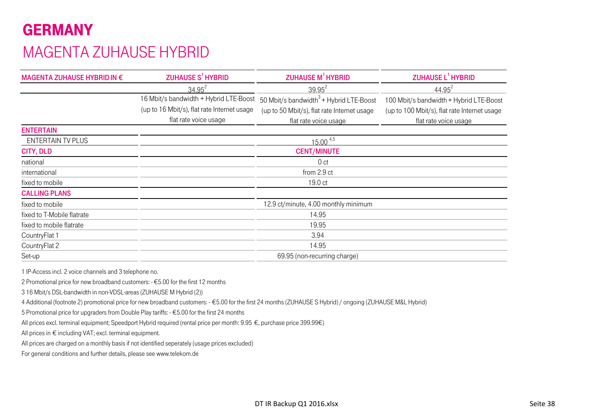# GERMANYMAGENTA ZUHAUSE HYBRID

| MAGENTA ZUHAUSE HYBRID IN € | ZUHAUSE S <sup>1</sup> HYBRID               | <b>ZUHAUSE M<sup>1</sup> HYBRID</b>         | ZUHAUSE L <sup>1</sup> HYBRID                |
|-----------------------------|---------------------------------------------|---------------------------------------------|----------------------------------------------|
|                             | $34.95^{2}$                                 | $39.95^2$                                   | $44.95^2$                                    |
|                             | 16 Mbit/s bandwidth + Hybrid LTE-Boost      | 50 Mbit/s bandwidth $3 +$ Hybrid LTE-Boost  | 100 Mbit/s bandwidth + Hybrid LTE-Boost      |
|                             | (up to 16 Mbit/s), flat rate Internet usage | (up to 50 Mbit/s), flat rate Internet usage | (up to 100 Mbit/s), flat rate Internet usage |
|                             | flat rate voice usage                       | flat rate voice usage                       | flat rate voice usage                        |
| <b>ENTERTAIN</b>            |                                             |                                             |                                              |
| <b>ENTERTAIN TV PLUS</b>    |                                             | $15.00^{4,5}$                               |                                              |
| <b>CITY, DLD</b>            |                                             | <b>CENT/MINUTE</b>                          |                                              |
| national                    |                                             | 0 <sub>ct</sub>                             |                                              |
| international               |                                             | from 2.9 ct                                 |                                              |
| fixed to mobile             |                                             | 19.0 ct                                     |                                              |
| <b>CALLING PLANS</b>        |                                             |                                             |                                              |
| fixed to mobile             |                                             | 12.9 ct/minute, 4.00 monthly minimum        |                                              |
| fixed to T-Mobile flatrate  |                                             | 14.95                                       |                                              |
| fixed to mobile flatrate    |                                             | 19.95                                       |                                              |
| CountryFlat 1               |                                             | 3.94                                        |                                              |
| CountryFlat 2               |                                             | 14.95                                       |                                              |
| Set-up                      |                                             | 69.95 (non-recurring charge)                |                                              |

1 IP-Access incl. 2 voice channels and 3 telephone no.

2 Promotional price for new broadband customers: - €5.00 for the first 12 months

3 16 Mbit/s DSL-bandwidth in non-VDSL-areas (ZUHAUSE M Hybrid (2))

4 Additional (footnote 2) promotional price for new broadband customers: - €5.00 for the first 24 months (ZUHAUSE S Hybrid) / ongoing (ZUHAUSE M&L Hybrid)

5 Promotional price for upgraders from Double Play tariffs: - €5.00 for the first 24 months

All prices excl. terminal equipment; Speedport Hybrid required (rental price per month: 9.95 €, purchase price 399.99€)

All prices in € including VAT; excl. terminal equipment.

All prices are charged on a monthly basis if not identified seperately (usage prices excluded)

For general conditions and further details, please see www.telekom.de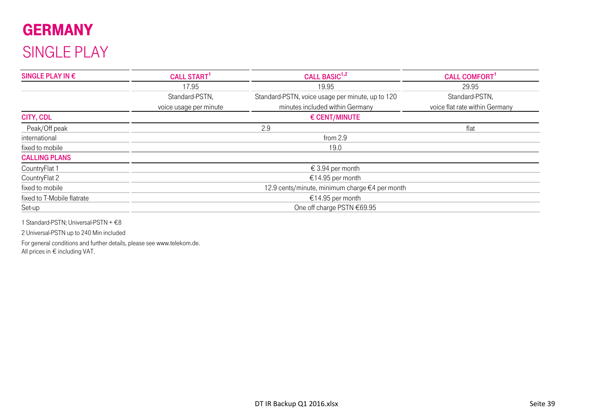# GERMANY SINGLE PLAY

| SINGLE PLAY IN $\epsilon$  | <b>CALL START</b>      | CALL BASIC <sup>1,2</sup>                        | <b>CALL COMFORT</b>            |  |  |  |
|----------------------------|------------------------|--------------------------------------------------|--------------------------------|--|--|--|
|                            | 17.95                  | 19.95                                            | 29.95                          |  |  |  |
|                            | Standard-PSTN,         | Standard-PSTN, voice usage per minute, up to 120 | Standard-PSTN,                 |  |  |  |
|                            | voice usage per minute | minutes included within Germany                  | voice flat rate within Germany |  |  |  |
| CITY, CDL                  |                        | € CENT/MINUTE                                    |                                |  |  |  |
| Peak/Off peak              |                        | 2.9                                              | flat                           |  |  |  |
| international              | from 2.9               |                                                  |                                |  |  |  |
| fixed to mobile            |                        | 19.0                                             |                                |  |  |  |
| <b>CALLING PLANS</b>       |                        |                                                  |                                |  |  |  |
| CountryFlat 1              |                        | € 3.94 per month                                 |                                |  |  |  |
| CountryFlat 2              |                        | €14.95 per month                                 |                                |  |  |  |
| fixed to mobile            |                        | 12.9 cents/minute, minimum charge €4 per month   |                                |  |  |  |
| fixed to T-Mobile flatrate |                        | €14.95 per month                                 |                                |  |  |  |
| Set-up                     |                        | One off charge PSTN €69.95                       |                                |  |  |  |

1 Standard-PSTN; Universal-PSTN + €8

2 Universal-PSTN up to 240 Min included

All prices in € including VAT. For general conditions and further details, please see www.telekom.de.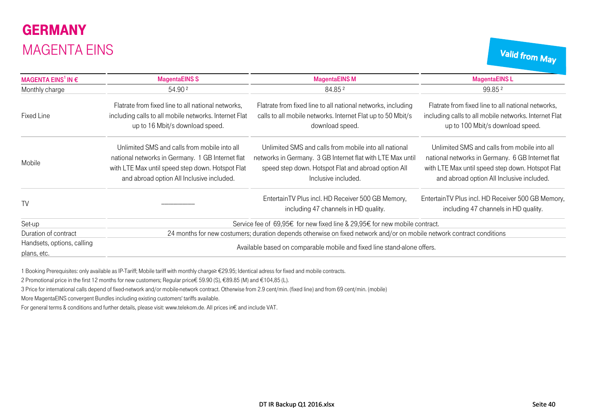# **GERMANY** MAGENTA EINS

Valid from May

| MAGENTA EINS <sup>1</sup> IN $\epsilon$   | <b>MagentaEINS S</b>                                                                                                                                                                              | <b>MagentaEINS M</b>                                                                                                                                                                              | <b>MagentaEINSL</b>                                                                                                                                                                               |  |  |
|-------------------------------------------|---------------------------------------------------------------------------------------------------------------------------------------------------------------------------------------------------|---------------------------------------------------------------------------------------------------------------------------------------------------------------------------------------------------|---------------------------------------------------------------------------------------------------------------------------------------------------------------------------------------------------|--|--|
| Monthly charge                            | 54.90 2                                                                                                                                                                                           | 84.852                                                                                                                                                                                            | 99.852                                                                                                                                                                                            |  |  |
| Fixed Line                                | Flatrate from fixed line to all national networks,<br>including calls to all mobile networks. Internet Flat<br>up to 16 Mbit/s download speed.                                                    | Flatrate from fixed line to all national networks, including<br>calls to all mobile networks. Internet Flat up to 50 Mbit/s<br>download speed.                                                    | Flatrate from fixed line to all national networks,<br>including calls to all mobile networks. Internet Flat<br>up to 100 Mbit/s download speed.                                                   |  |  |
| Mobile                                    | Unlimited SMS and calls from mobile into all<br>national networks in Germany. 1 GB Internet flat<br>with LTE Max until speed step down. Hotspot Flat<br>and abroad option All Inclusive included. | Unlimited SMS and calls from mobile into all national<br>networks in Germany. 3 GB Internet flat with LTE Max until<br>speed step down. Hotspot Flat and abroad option All<br>Inclusive included. | Unlimited SMS and calls from mobile into all<br>national networks in Germany. 6 GB Internet flat<br>with LTE Max until speed step down. Hotspot Flat<br>and abroad option All Inclusive included. |  |  |
| <b>TV</b>                                 |                                                                                                                                                                                                   | EntertainTV Plus incl. HD Receiver 500 GB Memory,<br>including 47 channels in HD quality.                                                                                                         | EntertainTV Plus incl. HD Receiver 500 GB Memory,<br>including 47 channels in HD quality.                                                                                                         |  |  |
| Set-up                                    |                                                                                                                                                                                                   | Service fee of 69,95€ for new fixed line & 29,95€ for new mobile contract.                                                                                                                        |                                                                                                                                                                                                   |  |  |
| Duration of contract                      |                                                                                                                                                                                                   | 24 months for new costumers; duration depends otherwise on fixed network and/or on mobile network contract conditions                                                                             |                                                                                                                                                                                                   |  |  |
| Handsets, options, calling<br>plans, etc. |                                                                                                                                                                                                   | Available based on comparable mobile and fixed line stand-alone offers.                                                                                                                           |                                                                                                                                                                                                   |  |  |

1 Booking Prerequisites: only available as IP-Tariff; Mobile tariff with monthly charge≥ €29.95; Identical adress for fixed and mobile contracts.

2 Promotional price in the first 12 months for new customers; Regular price € 59.90 (S), €89.85 (M) and €104,85 (L).

3 Price for international calls depend of fixed-network and/or mobile-network contract. Otherwise from 2.9 cent/min. (fixed line) and from 69 cent/min. (mobile)

More MagentaEINS convergent Bundles including existing customers' tariffs available.

For general terms & conditions and further details, please visit: www.telekom.de. All prices in€ and include VAT.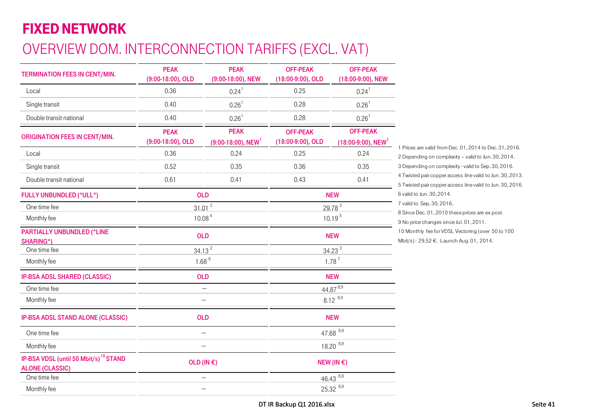# FIXED NETWORK

# OVERVIEW DOM. INTERCONNECTION TARIFFS (EXCL. VAT)

| TERMINATION FEES IN CENT/MIN.                                               | <b>PEAK</b><br>(9:00-18:00), OLD | <b>PEAK</b><br>(9:00-18:00), NEW                 | <b>OFF-PEAK</b><br>(18:00-9:00), OLD | <b>OFF-PEAK</b><br>(18:00-9:00), NEW                 |                                                                                                                      |
|-----------------------------------------------------------------------------|----------------------------------|--------------------------------------------------|--------------------------------------|------------------------------------------------------|----------------------------------------------------------------------------------------------------------------------|
| Local                                                                       | 0.36                             | $0.24^{1}$                                       | 0.25                                 | $0.24^{1}$                                           |                                                                                                                      |
| Single transit                                                              | 0.40                             | $0.26^{1}$                                       | 0.28                                 | $0.26$ <sup>1</sup>                                  |                                                                                                                      |
| Double transit national                                                     | 0.40                             | $0.26$ <sup>1</sup>                              | 0.28                                 | $0.26$ <sup>1</sup>                                  |                                                                                                                      |
| <b>ORIGINATION FEES IN CENT/MIN.</b>                                        | <b>PEAK</b><br>(9:00-18:00), OLD | <b>PEAK</b><br>$(9:00-18:00)$ , NEW <sup>1</sup> | <b>OFF-PEAK</b><br>(18:00-9:00), OLD | <b>OFF-PEAK</b><br>$(18:00-9:00)$ , NEW <sup>1</sup> |                                                                                                                      |
| Local                                                                       | 0.36                             | 0.24                                             | 0.25                                 | 0.24                                                 | 1 Prices are valid from Dec. 01, 2014 to Dec. 31, 2016.<br>2 Depending on complexity - valid to Jun. 30, 2014.       |
| Single transit                                                              | 0.52                             | 0.35                                             | 0.36                                 | 0.35                                                 | 3 Depending on complexity - valid to Sep. 30, 2016.                                                                  |
| Double transit national                                                     | 0.61                             | 0.41                                             | 0.43                                 | 0.41                                                 | 4 Twisted pair copper access line valid to Jun. 30, 2013<br>5 Twisted pair copper access line valid to Jun. 30, 2016 |
| <b>FULLY UNBUNDLED ("ULL")</b>                                              |                                  | <b>OLD</b>                                       |                                      | <b>NEW</b>                                           | 6 valid to Jun. 30, 2014.                                                                                            |
| One time fee                                                                |                                  | $31.01^2$                                        |                                      | 29.78 <sup>3</sup>                                   | 7 valid to Sep. 30, 2016.<br>8 Since Dec. 01, 2010 these prices are ex post.                                         |
| Monthly fee                                                                 |                                  | 10.08 <sup>4</sup>                               | 10.19 <sup>5</sup><br><b>NEW</b>     |                                                      | 9 No price changes since Jul. 01, 2011.                                                                              |
| <b>PARTIALLY UNBUNDLED ("LINE</b><br><b>SHARING")</b>                       |                                  | <b>OLD</b>                                       |                                      |                                                      | 10 Monthly fee for VDSL Vectoring (over 50 to 100<br>Mbit/s): 29.52 €. Launch Aug. 01, 2014.                         |
| One time fee                                                                |                                  | 34.13 <sup>2</sup>                               |                                      | 34.23 <sup>3</sup>                                   |                                                                                                                      |
| Monthly fee                                                                 | $1.68^{6}$                       |                                                  |                                      | $1.78^{7}$                                           |                                                                                                                      |
| <b>IP-BSA ADSL SHARED (CLASSIC)</b>                                         |                                  | <b>OLD</b>                                       |                                      | <b>NEW</b>                                           |                                                                                                                      |
| One time fee                                                                |                                  | $\hspace{0.05cm} -\hspace{0.05cm}$               |                                      | $44.87^{8,9}$                                        |                                                                                                                      |
| Monthly fee                                                                 |                                  |                                                  |                                      | $8.12^{8,9}$                                         |                                                                                                                      |
| <b>IP-BSA ADSL STAND ALONE (CLASSIC)</b>                                    |                                  | <b>OLD</b>                                       |                                      | <b>NEW</b>                                           |                                                                                                                      |
| One time fee                                                                |                                  | $\overline{\phantom{a}}$                         |                                      | 47.68 8,9                                            |                                                                                                                      |
| Monthly fee                                                                 |                                  |                                                  |                                      | 18.20 8,9                                            |                                                                                                                      |
| IP-BSA VDSL (until 50 Mbit/s) <sup>10</sup> STAND<br><b>ALONE (CLASSIC)</b> |                                  | OLD (IN $\epsilon$ )                             |                                      | NEW (IN $\epsilon$ )                                 |                                                                                                                      |
| One time fee                                                                |                                  |                                                  |                                      | $46.43^{8,9}$                                        |                                                                                                                      |
| Monthly fee                                                                 |                                  | $\overline{\phantom{a}}$                         |                                      | 25.32 8,9                                            |                                                                                                                      |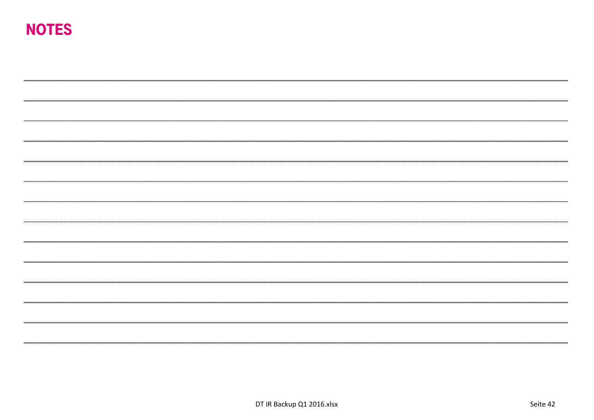# NOTES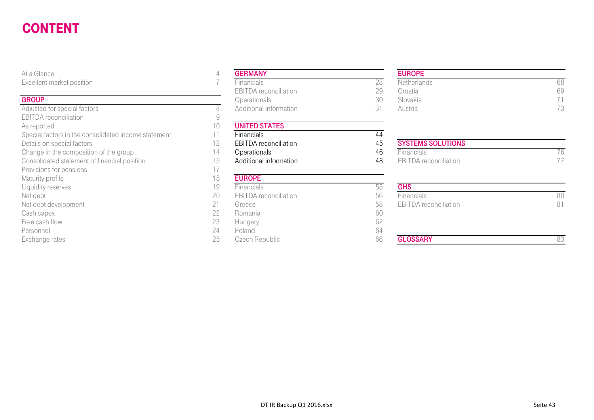#### CONTENTUSE A CONSTRUCTION OF THE CONSTRUCTION OF THE CONSTRUCTION OF THE CONSTRUCTION OF THE CONSTRUCTION OF THE CONSTRUCTION OF THE CONSTRUCTION OF THE CONSTRUCTION OF THE CONSTRUCTION OF THE CONSTRUCTION OF THE CONSTRUCTION OF

At a Glance 4

#### **GROUP**

Adjusted for special factors and the set of the set of the SAD Additional information 31 Additional information 31 Austria 731 EBITDA reconciliation As reported 10<br>Special factors in the consolidated income statement 11 Special factors in the consolidated income statement 11 Financials **Financials** 44 Details on special factors<br>Change in the composition of the group **12** EBITDA reconciliation **14** Constitution **14** Change in the composition of the group **14** Change in the composition of the group Consolidated statement of financial position 15 Additional information 48 EBITDA reconciliation 17<br>Provisions for pensions Provisions for pensions Maturity profile 18<br>
Liquidity reserves 19 Liquidity reserves 55 Net debt development 68 EBIT DATE: 100 EBITDA RECONCILIATION 81 Extended 58 EBITORAL RECONCILIATION 81 Cash capex 22 Romania 60 Free cash flow 23 Hungary 62 Personnel 24 Poland 64

| 4  | <b>GERMANY</b>               |    |
|----|------------------------------|----|
|    | Financials                   | 28 |
|    | <b>EBITDA</b> reconciliation | 29 |
|    | Operationals                 | 30 |
| 8  | Additional information       | 31 |
| 9  |                              |    |
| 10 | <b>UNITED STATES</b>         |    |
| 11 | Financials                   | 44 |
| 12 | <b>EBITDA</b> reconciliation | 45 |
| 14 | Operationals                 | 46 |
| 15 | Additional information       | 48 |
| 17 |                              |    |
| 18 | <b>EUROPE</b>                |    |
| 19 | Financials                   | 55 |
| 20 | <b>EBITDA</b> reconciliation | 56 |
| 21 | Greece                       | 58 |
| 22 | Romania                      | 60 |
| 23 | Hungary                      | 62 |
| 24 | Poland                       | 64 |
| 25 | Czech Republic               | 66 |
|    |                              |    |

#### EUROPE

| ent market position    | Financials                   |    | Netherlands | 68 |
|------------------------|------------------------------|----|-------------|----|
|                        | <b>EBITDA</b> reconciliation |    | Croatia     | 69 |
|                        | <b>Operationals</b>          | 3U | Slovakia    |    |
| ed for special factors | Additional information       |    | Austria     |    |

# Change in the composition of the group 14 Operationals 14 Operationals 46 Financials 76

| iviaturity prome     | $\cup$ | <b>EUNUFE</b>                |    |                              |    |
|----------------------|--------|------------------------------|----|------------------------------|----|
| Liquidity reserves   | 19     | <b>Financials</b>            |    | <b>GHS</b>                   |    |
| Net debt             | 20     | <b>EBITDA</b> reconciliation | 56 | Financials                   | 80 |
| Net debt development | 21     | Greece                       | 58 | <b>EBITDA</b> reconciliation | 81 |
| Cash capex           | 22     | Romania                      | 60 |                              |    |
| Free cash flow       | 23     | Hungary                      | 0Z |                              |    |
| Personnel            | 24     | Poland                       | 64 |                              |    |
| Exchange rates       | 25     | Czech Republic               | 66 | <b>GLOSSARY</b>              | 83 |
|                      |        |                              |    |                              |    |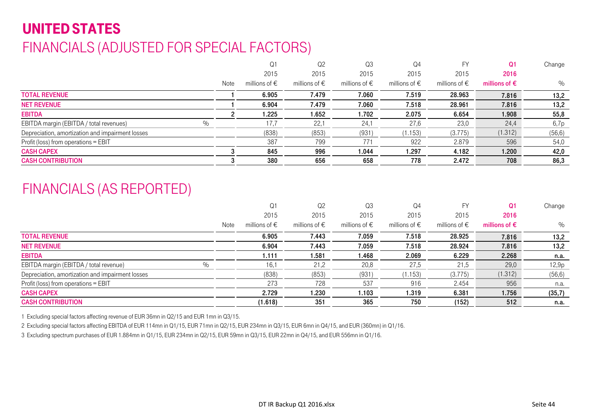# UNITED STATESFINANCIALS (ADJUSTED FOR SPECIAL FACTORS)

|                                                          |      | Q <sub>1</sub>         | Q <sub>2</sub>         | Q3                     | Q4                     | FY                     | Q1                     | Change  |
|----------------------------------------------------------|------|------------------------|------------------------|------------------------|------------------------|------------------------|------------------------|---------|
|                                                          |      | 2015                   | 2015                   | 2015                   | 2015                   | 2015                   | 2016                   |         |
|                                                          | Note | millions of $\epsilon$ | millions of $\epsilon$ | millions of $\epsilon$ | millions of $\epsilon$ | millions of $\epsilon$ | millions of $\epsilon$ | $\%$    |
| <b>TOTAL REVENUE</b>                                     |      | 6.905                  | 7.479                  | 7.060                  | 7.519                  | 28.963                 | 7.816                  | 13,2    |
| <b>NET REVENUE</b>                                       |      | 6.904                  | 7.479                  | 7.060                  | 7.518                  | 28.961                 | 7.816                  | 13,2    |
| <b>EBITDA</b>                                            |      | 1.225                  | 1.652                  | 1.702                  | 2.075                  | 6.654                  | 1.908                  | 55,8    |
| $\frac{0}{0}$<br>EBITDA margin (EBITDA / total revenues) |      | 17,7                   | 22,1                   | 24,1                   | 27,6                   | 23,0                   | 24,4                   | 6,7p    |
| Depreciation, amortization and impairment losses         |      | (838)                  | (853)                  | (931)                  | (1.153)                | (3.775)                | (1.312)                | (56, 6) |
| Profit (loss) from operations = EBIT                     |      | 387                    | 799                    | 771                    | 922                    | 2.879                  | 596                    | 54,0    |
| <b>CASH CAPEX</b>                                        |      | 845                    | 996                    | 044. ا                 | 1.297                  | 4.182                  | 1.200                  | 42,0    |
| <b>CASH CONTRIBUTION</b>                                 |      | 380                    | 656                    | 658                    | 778                    | 2.472                  | 708                    | 86,3    |

### FINANCIALS (AS REPORTED)

|                                                  |      | Q <sub>1</sub>         | Q <sub>2</sub>         | Q3                     | Q4                     | <b>FY</b>              | Q1                     | Change  |
|--------------------------------------------------|------|------------------------|------------------------|------------------------|------------------------|------------------------|------------------------|---------|
|                                                  |      | 2015                   | 2015                   | 2015                   | 2015                   | 2015                   | 2016                   |         |
|                                                  | Note | millions of $\epsilon$ | millions of $\epsilon$ | millions of $\epsilon$ | millions of $\epsilon$ | millions of $\epsilon$ | millions of $\epsilon$ | %       |
| <b>TOTAL REVENUE</b>                             |      | 6.905                  | 7.443                  | 7.059                  | 7.518                  | 28.925                 | 7.816                  | 13,2    |
| <b>NET REVENUE</b>                               |      | 6.904                  | 7.443                  | 7.059                  | 7.518                  | 28.924                 | 7.816                  | 13,2    |
| <b>EBITDA</b>                                    |      | 1.111                  | 1.581                  | 1.468                  | 2.069                  | 6.229                  | 2.268                  | n.a.    |
| $\%$<br>EBITDA margin (EBITDA / total revenue)   |      | 16,1                   | 21,2                   | 20,8                   | 27,5                   | 21,5                   | 29,0                   | 12,9p   |
| Depreciation, amortization and impairment losses |      | (838)                  | (853)                  | (931)                  | (1.153)                | (3.775)                | (1.312)                | (56, 6) |
| Profit (loss) from operations = EBIT             |      | 273                    | 728                    | 537                    | 916                    | 2.454                  | 956                    | n.a.    |
| <b>CASH CAPEX</b>                                |      | 2.729                  | 1.230                  | 1.103                  | 1.319                  | 6.381                  | 1.756                  | (35,7)  |
| <b>CASH CONTRIBUTION</b>                         |      | (1.618)                | 351                    | 365                    | 750                    | (152)                  | 512                    | n.a.    |

1 Excluding special factors affecting revenue of EUR 36mn in Q2/15 and EUR 1mn in Q3/15.

2 Excluding special factors affecting EBITDA of EUR 114mn in Q1/15, EUR 71mn in Q2/15, EUR 234mn in Q3/15, EUR 6mn in Q4/15, and EUR (360mn) in Q1/16.

3 Excluding spectrum purchases of EUR 1.884mn in Q1/15, EUR 234mn in Q2/15, EUR 59mn in Q3/15, EUR 22mn in Q4/15, and EUR 556mn in Q1/16.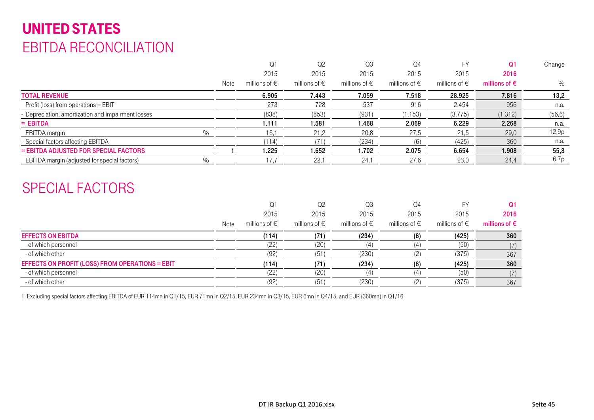# UNITED STATES EBITDA RECONCILIATION

|                                                    |      | Q <sub>1</sub>         | Q2                     | Q <sub>3</sub>         | Q4                     |                        | Q1                     | Change  |
|----------------------------------------------------|------|------------------------|------------------------|------------------------|------------------------|------------------------|------------------------|---------|
|                                                    |      | 2015                   | 2015                   | 2015                   | 2015                   | 2015                   | 2016                   |         |
|                                                    | Note | millions of $\epsilon$ | millions of $\epsilon$ | millions of $\epsilon$ | millions of $\epsilon$ | millions of $\epsilon$ | millions of $\epsilon$ | $\%$    |
| <b>TOTAL REVENUE</b>                               |      | 6.905                  | 7.443                  | 7.059                  | 7.518                  | 28.925                 | 7.816                  | 13,2    |
| Profit (loss) from operations = EBIT               |      | 273                    | 728                    | 537                    | 916                    | 2.454                  | 956                    | n.a.    |
| - Depreciation, amortization and impairment losses |      | (838)                  | (853)                  | (931)                  | (1.153)                | (3.775)                | (1.312)                | (56, 6) |
| $=$ EBITDA                                         |      | 1.111                  | 1.581                  | 1.468                  | 2.069                  | 6.229                  | 2.268                  | n.a.    |
| EBITDA margin<br>$\frac{0}{0}$                     |      | 16,1                   | 21,2                   | 20,8                   | 27,5                   | 21,5                   | 29,0                   | 12,9p   |
| - Special factors affecting EBITDA                 |      | (114)                  |                        | (234)                  | (6)                    | (425)                  | 360                    | n.a.    |
| = EBITDA ADJUSTED FOR SPECIAL FACTORS              |      | 1.225                  | 1.652                  | 1.702                  | 2.075                  | 6.654                  | 1.908                  | 55,8    |
| EBITDA margin (adjusted for special factors)       |      | 17,7                   | 22.                    | 24.1                   | 27,6                   | 23,0                   | 24,4                   | 6,7p    |

### SPECIAL FACTORS

|                                                 |      | Q1                     | Q <sub>2</sub>         | Q <sub>3</sub>         | Q4                     | FY                     | Q1                     |
|-------------------------------------------------|------|------------------------|------------------------|------------------------|------------------------|------------------------|------------------------|
|                                                 |      | 2015                   | 2015                   | 2015                   | 2015                   | 2015                   | 2016                   |
|                                                 | Note | millions of $\epsilon$ | millions of $\epsilon$ | millions of $\epsilon$ | millions of $\epsilon$ | millions of $\epsilon$ | millions of $\epsilon$ |
| <b>EFFECTS ON EBITDA</b>                        |      | (114)                  | (71)                   | (234)                  | (6)                    | (425)                  | 360                    |
| - of which personnel                            |      | (22)                   | (20)                   | (4)                    |                        | (50)                   | (7)                    |
| - of which other                                |      | (92)                   | (51)                   | (230)                  |                        | (375)                  | 367                    |
| EFFECTS ON PROFIT (LOSS) FROM OPERATIONS = EBIT |      | (114)                  | (71)                   | (234)                  | (6)                    | (425)                  | 360                    |
| - of which personnel                            |      | (22)                   | (20)                   | (4)                    |                        | (50)                   | (7)                    |
| - of which other                                |      | (92)                   | (51)                   | (230)                  | (2)                    | (375)                  | 367                    |

1 Excluding special factors affecting EBITDA of EUR 114mn in Q1/15, EUR 71mn in Q2/15, EUR 234mn in Q3/15, EUR 6mn in Q4/15, and EUR (360mn) in Q1/16.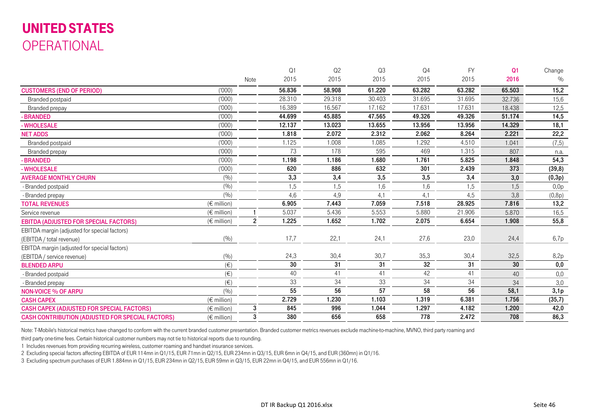# UNITED STATES OPERATIONAL

|                                                         |                      |                | Q1     | Q2     | Q3              | Q4              | <b>FY</b> | Q <sub>1</sub> | Change  |
|---------------------------------------------------------|----------------------|----------------|--------|--------|-----------------|-----------------|-----------|----------------|---------|
|                                                         |                      | Note           | 2015   | 2015   | 2015            | 2015            | 2015      | 2016           | $\%$    |
| <b>CUSTOMERS (END OF PERIOD)</b>                        | (000)                |                | 56.836 | 58.908 | 61.220          | 63.282          | 63.282    | 65.503         | 15,2    |
| Branded postpaid                                        | (000)                |                | 28.310 | 29.318 | 30.403          | 31.695          | 31.695    | 32.736         | 15,6    |
| Branded prepay                                          | (1000)               |                | 16.389 | 16.567 | 17.162          | 17.631          | 17.631    | 18.438         | 12,5    |
| - BRANDED                                               | (000)                |                | 44.699 | 45.885 | 47.565          | 49.326          | 49.326    | 51.174         | 14,5    |
| - WHOLESALE                                             | (1000)               |                | 12.137 | 13.023 | 13.655          | 13.956          | 13.956    | 14.329         | 18,1    |
| <b>NET ADDS</b>                                         | (000)                |                | 1.818  | 2.072  | 2.312           | 2.062           | 8.264     | 2.221          | 22,2    |
| Branded postpaid                                        | (1000)               |                | 1.125  | 1.008  | 1.085           | 1.292           | 4.510     | 1.041          | (7, 5)  |
| Branded prepay                                          | (000)                |                | 73     | 178    | 595             | 469             | 1.315     | 807            | n.a.    |
| - BRANDED                                               | (1000)               |                | 1.198  | 1.186  | 1.680           | 1.761           | 5.825     | 1.848          | 54,3    |
| - WHOLESALE                                             | (000)                |                | 620    | 886    | 632             | 301             | 2.439     | 373            | (39, 8) |
| <b>AVERAGE MONTHLY CHURN</b>                            | (9/0)                |                | 3,3    | 3,4    | 3,5             | 3,5             | 3,4       | 3,0            | (0,3p)  |
| - Branded postpaid                                      | (9/0)                |                | 1,5    | 1,5    | 1,6             | 1,6             | 1,5       | 1,5            | 0,0p    |
| - Branded prepay                                        | (9/0)                |                | 4,6    | 4,9    | 4,1             | 4,1             | 4,5       | 3,8            | (0,8p)  |
| <b>TOTAL REVENUES</b>                                   | $(\epsilon$ million) |                | 6.905  | 7.443  | 7.059           | 7.518           | 28.925    | 7.816          | 13,2    |
| Service revenue                                         | $(\in$ million)      |                | 5.037  | 5.436  | 5.553           | 5.880           | 21.906    | 5.870          | 16,5    |
| <b>EBITDA (ADJUSTED FOR SPECIAL FACTORS)</b>            | $(\epsilon$ million) | $\overline{2}$ | 1.225  | 1.652  | 1.702           | 2.075           | 6.654     | 1.908          | 55,8    |
| EBITDA margin (adjusted for special factors)            |                      |                |        |        |                 |                 |           |                |         |
| (EBITDA / total revenue)                                | (9/0)                |                | 17,7   | 22,1   | 24,1            | 27,6            | 23,0      | 24,4           | 6,7p    |
| EBITDA margin (adjusted for special factors)            |                      |                |        |        |                 |                 |           |                |         |
| (EBITDA / service revenue)                              | (9/0)                |                | 24,3   | 30,4   | 30,7            | 35,3            | 30,4      | 32,5           | 8,2p    |
| <b>BLENDED ARPU</b>                                     | $(\in)$              |                | 30     | 31     | 31              | 32              | 31        | 30             | 0,0     |
| - Branded postpaid                                      | $(\in)$              |                | 40     | 41     | 41              | 42              | 41        | 40             | 0,0     |
| - Branded prepay                                        | $(\in)$              |                | 33     | 34     | 33              | $\overline{34}$ | 34        | 34             | 3,0     |
| <b>NON-VOICE % OF ARPU</b>                              | (9/0)                |                | 55     | 56     | $\overline{57}$ | 58              | 56        | 58,1           | 3,1p    |
| <b>CASH CAPEX</b>                                       | $(\epsilon$ million) |                | 2.729  | 1.230  | 1.103           | 1.319           | 6.381     | 1.756          | (35,7)  |
| <b>CASH CAPEX (ADJUSTED FOR SPECIAL FACTORS)</b>        | $(\epsilon$ million) | 3              | 845    | 996    | 1.044           | 1.297           | 4.182     | 1.200          | 42,0    |
| <b>CASH CONTRIBUTION (ADJUSTED FOR SPECIAL FACTORS)</b> | $(\epsilon$ million) | 3              | 380    | 656    | 658             | 778             | 2.472     | 708            | 86,3    |

Note: T-Mobile's historical metrics have changed to conform with the current branded customer presentation. Branded customer metrics revenues exclude machine-to-machine, MVNO, third party roaming and

third party one-time fees. Certain historical customer numbers may not tie to historical reports due to rounding.

1 Includes revenues from providing recurring wireless, customer roaming and handset insurance services.

2 Excluding special factors affecting EBITDA of EUR 114mn in Q1/15, EUR 71mn in Q2/15, EUR 234mn in Q3/15, EUR 6mn in Q4/15, and EUR (360mn) in Q1/16.

3 Excluding spectrum purchases of EUR 1.884mn in Q1/15, EUR 234mn in Q2/15, EUR 59mn in Q3/15, EUR 22mn in Q4/15, and EUR 556mn in Q1/16.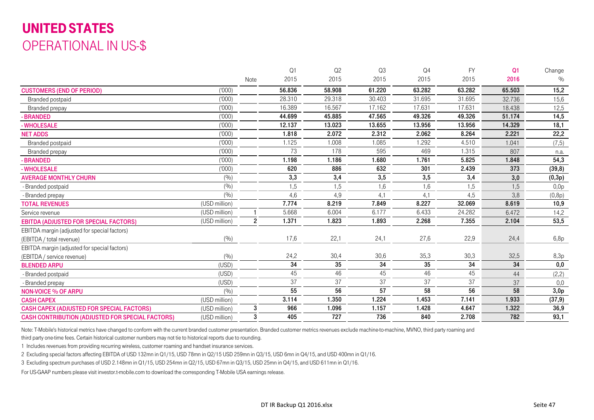# UNITED STATES OPERATIONAL IN US-\$

|                                                         |               |                | Q1     | Q <sub>2</sub>  | Q <sub>3</sub> | Q <sub>4</sub> | <b>FY</b> | Q <sub>1</sub> | Change  |
|---------------------------------------------------------|---------------|----------------|--------|-----------------|----------------|----------------|-----------|----------------|---------|
|                                                         |               | Note           | 2015   | 2015            | 2015           | 2015           | 2015      | 2016           | $\%$    |
| <b>CUSTOMERS (END OF PERIOD)</b>                        | (1000)        |                | 56.836 | 58.908          | 61.220         | 63.282         | 63.282    | 65.503         | 15,2    |
| Branded postpaid                                        | (1000)        |                | 28.310 | 29.318          | 30.403         | 31.695         | 31.695    | 32.736         | 15,6    |
| Branded prepay                                          | (1000)        |                | 16.389 | 16.567          | 17.162         | 17.631         | 17.631    | 18.438         | 12,5    |
| - BRANDED                                               | (000)         |                | 44.699 | 45.885          | 47.565         | 49.326         | 49.326    | 51.174         | 14,5    |
| - WHOLESALE                                             | (1000)        |                | 12.137 | 13.023          | 13.655         | 13.956         | 13.956    | 14.329         | 18,1    |
| <b>NET ADDS</b>                                         | (1000)        |                | 1.818  | 2.072           | 2.312          | 2.062          | 8.264     | 2.221          | 22,2    |
| Branded postpaid                                        | (1000)        |                | 1.125  | 1.008           | 1.085          | 1.292          | 4.510     | 1.041          | (7, 5)  |
| Branded prepay                                          | (1000)        |                | 73     | 178             | 595            | 469            | 1.315     | 807            | n.a.    |
| - BRANDED                                               | (1000)        |                | 1.198  | 1.186           | .680           | 1.761          | 5.825     | 1.848          | 54,3    |
| - WHOLESALE                                             | (1000)        |                | 620    | 886             | 632            | 301            | 2.439     | 373            | (39, 8) |
| <b>AVERAGE MONTHLY CHURN</b>                            | (%)           |                | 3,3    | 3,4             | 3,5            | 3,5            | 3,4       | 3,0            | (0,3p)  |
| - Branded postpaid                                      | (%)           |                | 1,5    | 1,5             | 1,6            | 1,6            | 1,5       | 1,5            | 0,0p    |
| - Branded prepay                                        | (9/0)         |                | 4,6    | 4,9             | 4,1            | 4,1            | 4,5       | 3,8            | (0,8p)  |
| <b>TOTAL REVENUES</b>                                   | (USD million) |                | 7.774  | 8.219           | 7.849          | 8.227          | 32.069    | 8.619          | 10,9    |
| Service revenue                                         | (USD million) |                | 5.668  | 6.004           | 6.177          | 6.433          | 24.282    | 6.472          | 14,2    |
| <b>EBITDA (ADJUSTED FOR SPECIAL FACTORS)</b>            | (USD million) | $\overline{2}$ | 1.371  | 1.823           | 1.893          | 2.268          | 7.355     | 2.104          | 53,5    |
| EBITDA margin (adjusted for special factors)            |               |                |        |                 |                |                |           |                |         |
| (EBITDA / total revenue)                                | (9/0)         |                | 17,6   | 22,1            | 24,1           | 27,6           | 22,9      | 24,4           | 6,8p    |
| EBITDA margin (adjusted for special factors)            |               |                |        |                 |                |                |           |                |         |
| (EBITDA / service revenue)                              | (9/0)         |                | 24,2   | 30,4            | 30,6           | 35,3           | 30,3      | 32,5           | 8,3p    |
| <b>BLENDED ARPU</b>                                     | (USD)         |                | 34     | 35              | 34             | 35             | 34        | 34             | 0,0     |
| - Branded postpaid                                      | (USD)         |                | 45     | 46              | 45             | 46             | 45        | 44             | (2,2)   |
| - Branded prepay                                        | (USD)         |                | 37     | $\overline{37}$ | 37             | 37             | 37        | 37             | 0,0     |
| <b>NON-VOICE % OF ARPU</b>                              | (%)           |                | 55     | 56              | 57             | 58             | 56        | 58             | 3,0p    |
| <b>CASH CAPEX</b>                                       | (USD million) |                | 3.114  | 1.350           | 1.224          | 1.453          | 7.141     | 1.933          | (37, 9) |
| <b>CASH CAPEX (ADJUSTED FOR SPECIAL FACTORS)</b>        | (USD million) | 3              | 966    | 1.096           | 1.157          | 1.428          | 4.647     | 1.322          | 36,9    |
| <b>CASH CONTRIBUTION (ADJUSTED FOR SPECIAL FACTORS)</b> | (USD million) | 3              | 405    | 727             | 736            | 840            | 2.708     | 782            | 93,1    |

Note: T-Mobile's historical metrics have changed to conform with the current branded customer presentation. Branded customer metrics revenues exclude machine-to-machine, MVNO, third party roaming and third party one-time fees. Certain historical customer numbers may not tie to historical reports due to rounding.

1 Includes revenues from providing recurring wireless, customer roaming and handset insurance services.

2 Excluding special factors affecting EBITDA of USD 132mn in Q1/15, USD 78mn in Q2/15 USD 259mn in Q3/15, USD 6mn in Q4/15, and USD 400mn in Q1/16.

3 Excluding spectrum purchases of USD 2.148mn in Q1/15, USD 254mn in Q2/15, USD 67mn in Q3/15, USD 25mn in Q4/15, and USD 611mn in Q1/16.

For US-GAAP numbers please visit investor.t-mobile.com to download the corresponding T-Mobile USA earnings release.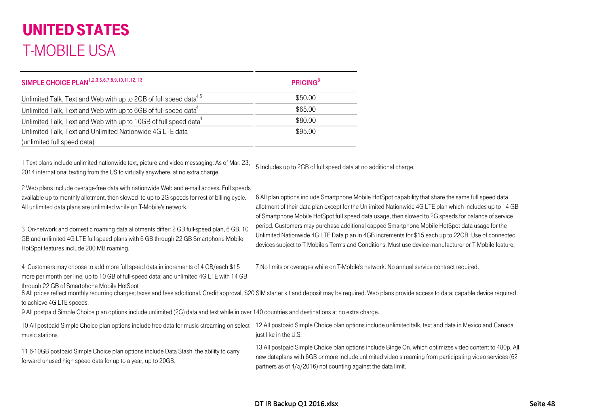| SIMPLE CHOICE PLAN <sup>1,2,3,5,6,7,8,9,10,11,12,13</sup>                     | <b>PRICING</b> <sup>8</sup> |
|-------------------------------------------------------------------------------|-----------------------------|
| Unlimited Talk, Text and Web with up to 2GB of full speed data <sup>4,5</sup> | \$50.00                     |
| Unlimited Talk, Text and Web with up to 6GB of full speed data <sup>4</sup>   | \$65.00                     |
| Unlimited Talk, Text and Web with up to 10GB of full speed data <sup>4</sup>  | \$80.00                     |
| Unlimited Talk, Text and Unlimited Nationwide 4G LTE data                     | \$95.00                     |
| (unlimited full speed data)                                                   |                             |

1 Text plans include unlimited nationwide text, picture and video messaging. As of Mar. 23, 2014 international texting from the US to virtually anywhere, at no extra charge.

5 Includes up to 2GB of full speed data at no additional charge.

2 Web plans include overage-free data with nationwide Web and e-mail access. Full speeds available up to monthly allotment, then slowed to up to 2G speeds for rest of billing cycle. All unlimited data plans are unlimited while on T-Mobile's network.

3 On-network and domestic roaming data allotments differ: 2 GB full-speed plan, 6 GB, 10 GB and unlimited 4G LTE full-speed plans with 6 GB through 22 GB Smartphone Mobile HotSpot features include 200 MB roaming.

4 Customers may choose to add more full speed data in increments of 4 GB/each \$15 more per month per line, up to 10 GB of full-speed data; and unlimited 4G LTE with 14 GB through 22 GB of Smartphone Mobile HotSpot

7 No limits or overages while on T-Mobile's network. No annual service contract required.

6 All plan options include Smartphone Mobile HotSpot capability that share the same full speed data allotment of their data plan except for the Unlimited Nationwide 4G LTE plan which includes up to 14 GB

of Smartphone Mobile HotSpot full speed data usage, then slowed to 2G speeds for balance of service period. Customers may purchase additional capped Smartphone Mobile HotSpot data usage for the Unlimited Nationwide 4G LTE Data plan in 4GB increments for \$15 each up to 22GB. Use of connected devices subject to T-Mobile's Terms and Conditions. Must use device manufacturer or T-Mobile feature.

8 All prices reflect monthly recurring charges; taxes and fees additional. Credit approval, \$20 SIM starter kit and deposit may be required. Web plans provide access to data; capable device required to achieve 4G LTE speeds.

9 All postpaid Simple Choice plan options include unlimited (2G) data and text while in over 140 countries and destinations at no extra charge.

10 All postpaid Simple Choice plan options include free data for music streaming on select 12 All postpaid Simple Choice plan options include unlimited talk, text and data in Mexico and Canada music stations just like in the U.S.

11 6-10GB postpaid Simple Choice plan options include Data Stash, the ability to carry forward unused high speed data for up to a year, up to 20GB.

13 All postpaid Simple Choice plan options include Binge On, which optimizes video content to 480p. All new dataplans with 6GB or more include unlimited video streaming from participating video services (62 partners as of 4/5/2016) not counting against the data limit.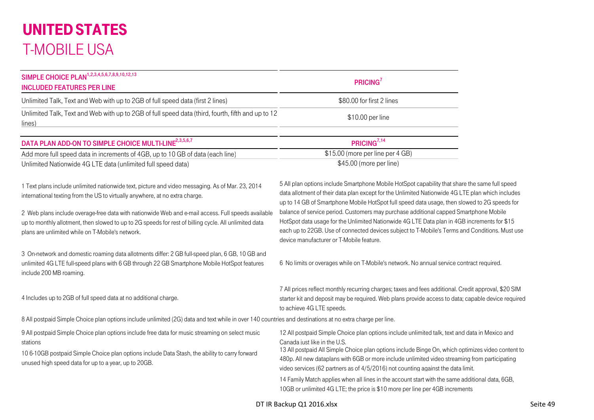| SIMPLE CHOICE PLAN <sup>1,2,3,4,5,6,7,8,9,10,12,13</sup><br><b>INCLUDED FEATURES PER LINE</b>                                                                                                                                                                         | PRICING <sup>7</sup>                                                                                                                                                                                                                                                                                                                                                                                                     |
|-----------------------------------------------------------------------------------------------------------------------------------------------------------------------------------------------------------------------------------------------------------------------|--------------------------------------------------------------------------------------------------------------------------------------------------------------------------------------------------------------------------------------------------------------------------------------------------------------------------------------------------------------------------------------------------------------------------|
| Unlimited Talk, Text and Web with up to 2GB of full speed data (first 2 lines)                                                                                                                                                                                        | \$80.00 for first 2 lines                                                                                                                                                                                                                                                                                                                                                                                                |
| Unlimited Talk, Text and Web with up to 2GB of full speed data (third, fourth, fifth and up to 12<br>lines)                                                                                                                                                           | \$10.00 per line                                                                                                                                                                                                                                                                                                                                                                                                         |
| DATA PLAN ADD-ON TO SIMPLE CHOICE MULTI-LINE <sup>2,3,5,6,7</sup>                                                                                                                                                                                                     | PRICING <sup>7,14</sup>                                                                                                                                                                                                                                                                                                                                                                                                  |
| Add more full speed data in increments of 4GB, up to 10 GB of data (each line)                                                                                                                                                                                        | \$15.00 (more per line per 4 GB)                                                                                                                                                                                                                                                                                                                                                                                         |
| Unlimited Nationwide 4G LTE data (unlimited full speed data)                                                                                                                                                                                                          | \$45.00 (more per line)                                                                                                                                                                                                                                                                                                                                                                                                  |
| 1 Text plans include unlimited nationwide text, picture and video messaging. As of Mar. 23, 2014<br>international texting from the US to virtually anywhere, at no extra charge.                                                                                      | 5 All plan options include Smartphone Mobile HotSpot capability that share the same full speed<br>data allotment of their data plan except for the Unlimited Nationwide 4G LTE plan which includes<br>up to 14 GB of Smartphone Mobile HotSpot full speed data usage, then slowed to 2G speeds for                                                                                                                       |
| 2 Web plans include overage-free data with nationwide Web and e-mail access. Full speeds available<br>up to monthly allotment, then slowed to up to 2G speeds for rest of billing cycle. All unlimited data<br>plans are unlimited while on T-Mobile's network.       | balance of service period. Customers may purchase additional capped Smartphone Mobile<br>HotSpot data usage for the Unlimited Nationwide 4G LTE Data plan in 4GB increments for \$15<br>each up to 22GB. Use of connected devices subject to T-Mobile's Terms and Conditions. Must use<br>device manufacturer or T-Mobile feature.                                                                                       |
| 3 On-network and domestic roaming data allotments differ: 2 GB full-speed plan, 6 GB, 10 GB and<br>unlimited 4G LTE full-speed plans with 6 GB through 22 GB Smartphone Mobile HotSpot features<br>include 200 MB roaming.                                            | 6 No limits or overages while on T-Mobile's network. No annual service contract required.                                                                                                                                                                                                                                                                                                                                |
| 4 Includes up to 2GB of full speed data at no additional charge.                                                                                                                                                                                                      | 7 All prices reflect monthly recurring charges; taxes and fees additional. Credit approval, \$20 SIM<br>starter kit and deposit may be required. Web plans provide access to data; capable device required<br>to achieve 4G LTE speeds.                                                                                                                                                                                  |
| 8 All postpaid Simple Choice plan options include unlimited (2G) data and text while in over 140 countries and destinations at no extra charge per line.                                                                                                              |                                                                                                                                                                                                                                                                                                                                                                                                                          |
| 9 All postpaid Simple Choice plan options include free data for music streaming on select music<br>stations<br>10 6-10GB postpaid Simple Choice plan options include Data Stash, the ability to carry forward<br>unused high speed data for up to a year, up to 20GB. | 12 All postpaid Simple Choice plan options include unlimited talk, text and data in Mexico and<br>Canada just like in the U.S.<br>13 All postpaid All Simple Choice plan options include Binge On, which optimizes video content to<br>480p. All new dataplans with 6GB or more include unlimited video streaming from participating<br>video services (62 partners as of 4/5/2016) not counting against the data limit. |
|                                                                                                                                                                                                                                                                       | 14 Family Match applies when all lines in the account start with the same additional data, 6GB,<br>10GB or unlimited 4G LTE; the price is \$10 more per line per 4GB increments                                                                                                                                                                                                                                          |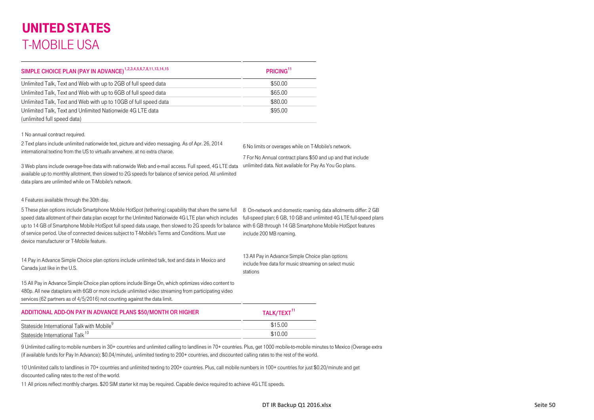| SIMPLE CHOICE PLAN (PAY IN ADVANCE) <sup>1,2,3,4,5,6,7,8,11,13,14,15</sup> | PRICING <sup>11</sup> |
|----------------------------------------------------------------------------|-----------------------|
| Unlimited Talk, Text and Web with up to 2GB of full speed data             | \$50.00               |
| Unlimited Talk, Text and Web with up to 6GB of full speed data             | \$65.00               |
| Unlimited Talk, Text and Web with up to 10GB of full speed data            | \$80.00               |
| Unlimited Talk, Text and Unlimited Nationwide 4G LTE data                  | \$95.00               |
| (unlimited full speed data)                                                |                       |

1 No annual contract required.

2 Text plans include unlimited nationwide text, picture and video messaging. As of Apr. 26, 2014 international texting from the US to virtually anywhere, at no extra charge.

6 No limits or overages while on T-Mobile's network.

7 For No Annual contract plans \$50 and up and that include

3 Web plans include overage-free data with nationwide Web and e-mail access. Full speed, 4G LTE data available up to monthly allotment, then slowed to 2G speeds for balance of service period. All unlimited data plans are unlimited while on T-Mobile's network. unlimited data. Not available for Pay As You Go plans.

4 Features available through the 30th day.

5 These plan options include Smartphone Mobile HotSpot (tethering) capability that share the same full 8 On-network and domestic roaming data allotments differ: 2 GB speed data allotment of their data plan except for the Unlimited Nationwide 4G LTE plan which includes up to 14 GB of Smartphone Mobile HotSpot full speed data usage, then slowed to 2G speeds for balance with 6 GB through 14 GB Smartphone Mobile HotSpot features of service period. Use of connected devices subject to T-Mobile's Terms and Conditions. Must use device manufacturer or T-Mobile feature.

full-speed plan; 6 GB, 10 GB and unlimited 4G LTE full-speed plans include 200 MB roaming.

| 14 Pay in Advance Simple Choice plan options include unlimited talk, text and data in Mexico and |  |
|--------------------------------------------------------------------------------------------------|--|
| Canada just like in the U.S.                                                                     |  |

13 All Pay in Advance Simple Choice plan options include free data for music streaming on select music stations

15 All Pay in Advance Simple Choice plan options include Binge On, which optimizes video content to 480p. All new dataplans with 6GB or more include unlimited video streaming from participating video services (62 partners as of 4/5/2016) not counting against the data limit.

#### ADDITIONAL ADD-ON PAY IN ADVANCE PLANS \$50/MONTH OR HIGHER  $T^{11}$ Stateside International Talk with Mobile $^9$ Stateside International Talk<sup>10</sup>  $k^{10}$  \$10.00

9 Unlimited calling to mobile numbers in 30+ countries and unlimited calling to landlines in 70+ countries. Plus, get 1000 mobile-to-mobile minutes to Mexico (Overage extra (if available funds for Pay In Advance); \$0.04/minute), unlimited texting to 200+ countries, and discounted calling rates to the rest of the world.

10 Unlimited calls to landlines in 70+ countries and unlimited texting to 200+ countries. Plus, call mobile numbers in 100+ countries for just \$0.20/minute and get discounted calling rates to the rest of the world.

11 All prices reflect monthly charges. \$20 SIM starter kit may be required. Capable device required to achieve 4G LTE speeds.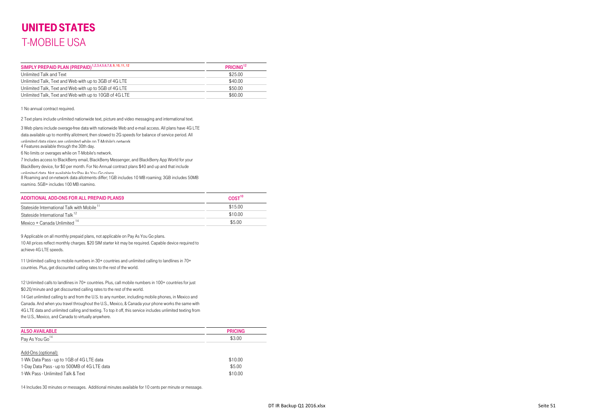| SIMPLY PREPAID PLAN (PREPAID) <sup>1,2,3,4,5,6,7,8,9,10,11,12</sup> | PRICING <sup>12</sup> |
|---------------------------------------------------------------------|-----------------------|
| Unlimited Talk and Text                                             | \$25.00               |
| Unlimited Talk, Text and Web with up to 3GB of 4G LTE               | \$40.00               |
| Unlimited Talk, Text and Web with up to 5GB of 4G LTE               | \$50.00               |
| Unlimited Talk, Text and Web with up to 10GB of 4G LTE              | \$60.00               |

1 No annual contract required.

2 Text plans include unlimited nationwide text, picture and video messaging and international text.

3 Web plans include overage-free data with nationwide Web and e-mail access. All plans have 4G LTE data available up to monthly allotment, then slowed to 2G speeds for balance of service period. All unlimited data plans are unlimited while on T-Mobile's network 4 Features available through the 30th day. 6 No limits or overages while on T-Mobile's network.

7 Includes access to BlackBerry email, BlackBerry Messenger, and BlackBerry App World for your BlackBerry device, for \$0 per month. For No Annual contract plans \$40 and up and that include unlimited data Not available for Pay As You Go plans 8 Roaming and on-network data allotments differ; 1GB includes 10 MB roaming; 3GB includes 50MB roaming, 5GB+ includes 100 MB roaming.

| ADDITIONAL ADD-ONS FOR ALL PREPAID PLANS9              | $\mathsf{COST}^\mathsf{1U}$ |
|--------------------------------------------------------|-----------------------------|
| Stateside International Talk with Mobile <sup>11</sup> | \$15.00                     |
| Stateside International Talk <sup>12</sup>             | \$10.00                     |
| Mexico + Canada Unlimited $14$                         | \$5.00                      |

9 Applicable on all monthly prepaid plans, not applicable on Pay As You Go plans.

10 All prices reflect monthly charges. \$20 SIM starter kit may be required. Capable device required to achieve 4G LTE speeds.

11 Unlimited calling to mobile numbers in 30+ countries and unlimited calling to landlines in 70+ countries. Plus, get discounted calling rates to the rest of the world.

12 Unlimited calls to landlines in 70+ countries. Plus, call mobile numbers in 100+ countries for just \$0.20/minute and get discounted calling rates to the rest of the world.

14 Get unlimited calling to and from the U.S. to any number, including mobile phones, in Mexico and Canada. And when you travel throughout the U.S., Mexico, & Canada your phone works the same with 4G LTE data and unlimited calling and texting. To top it off, this service includes unlimited texting from the U.S., Mexico, and Canada to virtually anywhere.

| <b>ALSO AVAILABLE</b>                        | <b>PRICING</b> |
|----------------------------------------------|----------------|
| Pay As You Go <sup>14</sup>                  | \$3.00         |
| Add-Ons (optional):                          |                |
| 1-Wk Data Pass - up to 1GB of 4G LTE data    | \$10.00        |
| 1-Day Data Pass - up to 500MB of 4G LTE data | \$5.00         |
| 1-Wk Pass - Unlimited Talk & Text            | \$10.00        |

14 Includes 30 minutes or messages. Additional minutes available for 10 cents per minute or message.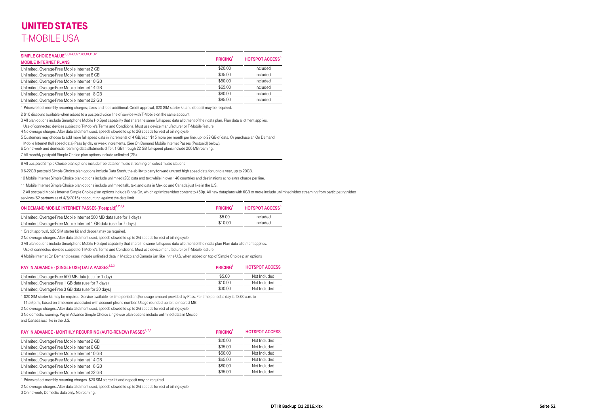| SIMPLE CHOICE VALUE <sup>1,2,3,4,5,6,7,8,9,10,11,12</sup><br><b>MOBILE INTERNET PLANS</b> | <b>PRICING</b> | <b>HOTSPOT ACCESS<sup>3</sup></b> |
|-------------------------------------------------------------------------------------------|----------------|-----------------------------------|
| Unlimited, Overage-Free Mobile Internet 2 GB                                              | \$20.00        | Included                          |
| Unlimited, Overage-Free Mobile Internet 6 GB                                              | \$35.00        | Included                          |
| Unlimited, Overage-Free Mobile Internet 10 GB                                             | \$50.00        | Included                          |
| Unlimited, Overage-Free Mobile Internet 14 GB                                             | \$65.00        | Included                          |
| Unlimited, Overage-Free Mobile Internet 18 GB                                             | \$80.00        | Included                          |
| Unlimited, Overage-Free Mobile Internet 22 GB                                             | \$95.00        | Included                          |

1 Prices reflect monthly recurring charges; taxes and fees additional. Credit approval, \$20 SIM starter kit and deposit may be required.

2 \$10 discount available when added to a postpaid voice line of service with T-Mobile on the same account.

3 All plan options include Smartphone Mobile HotSpot capability that share the same full speed data allotment of their data plan. Plan data allotment applies.

Use of connected devices subject to T-Mobile's Terms and Conditions. Must use device manufacturer or T-Mobile feature.

4 No overage charges. After data allotment used, speeds slowed to up to 2G speeds for rest of billing cycle.

5 Customers may choose to add more full speed data in increments of 4 GB/each \$15 more per month per line, up to 22 GB of data. Or purchase an On Demand

Mobile Internet (full speed data) Pass by day or week increments. (See On Demand Mobile Internet Passes (Postpaid) below).

6 On-network and domestic roaming data allotments differ: 1 GB through 22 GB full-speed plans include 200 MB roaming.

7 All monthly postpaid Simple Choice plan options include unlimited (2G).

8 All postpaid Simple Choice plan options include free data for music streaming on select music stations

9 6-22GB postpaid Simple Choice plan options include Data Stash, the ability to carry forward unused high speed data for up to a year, up to 20GB.

10 Mobile Internet Simple Choice plan options include unlimited (2G) data and text while in over 140 countries and destinations at no extra charge per line.

11 Mobile Internet Simple Choice plan options include unlimited talk, text and data in Mexico and Canada just like in the U.S.

12 All postpaid Mobile Internet Simple Choice plan options include Binge On, which optimizes video content to 480p. All new dataplans with 6GB or more include unlimited video streaming from participating video services (62 partners as of 4/5/2016) not counting against the data limit.

| ON DEMAND MOBILE INTERNET PASSES (Postpaid) <sup>1,2,3,4</sup>       | <b>PRICING</b> | <b>HOTSPOT ACCESS</b> <sup>3</sup> |
|----------------------------------------------------------------------|----------------|------------------------------------|
| Unlimited, Overage-Free Mobile Internet 500 MB data (use for 1 days) | \$5.00         | Included                           |
| Unlimited, Overage-Free Mobile Internet 1 GB data (use for 7 days)   | \$10.00        | Included                           |

1 Credit approval, \$20 SIM starter kit and deposit may be required.

2 No overage charges. After data allotment used, speeds slowed to up to 2G speeds for rest of billing cycle.

3 All plan options include Smartphone Mobile HotSpot capability that share the same full speed data allotment of their data plan Plan data allotment applies.

Use of connected devices subject to T-Mobile's Terms and Conditions. Must use device manufacturer or T-Mobile feature.

4 Mobile Internet On Demand passes include unlimtied data in Mexico and Canada just like in the U.S. when added on top of Simple Choice plan options

| PAY IN ADVANCE - (SINGLE USE) DATA PASSES <sup>1,2,3</sup> | <b>PRICING</b> | <b>HOTSPOT ACCESS</b> |
|------------------------------------------------------------|----------------|-----------------------|
| Unlimited, Overage-Free 500 MB data (use for 1 day)        | \$5.00         | Not Included          |
| Unlimited, Overage-Free 1 GB data (use for 7 days)         | \$10.00        | Not Included          |
| Unlimited, Overage-Free 3 GB data (use for 30 days)        | \$30.00        | Not Included          |

1 \$20 SIM starter kit may be required. Service available for time period and/or usage amount provided by Pass. For time period, a day is 12:00 a.m. to

11:59 p.m., based on time zone associated with account phone number. Usage rounded up to the nearest MB

2 No overage charges. After data allotment used, speeds slowed to up to 2G speeds for rest of billing cycle.

3 No domestic roaming. Pay in Advance Simple Choice single-use plan options include unlimited data in Mexico

and Canada just like in the U.S.

| PAY IN ADVANCE - MONTHLY RECURRING (AUTO-RENEW) PASSES <sup>1, 2,3</sup> | <b>PRICING</b> | <b>HOTSPOT ACCESS</b> |
|--------------------------------------------------------------------------|----------------|-----------------------|
| Unlimited, Overage-Free Mobile Internet 2 GB                             | \$20.00        | Not Included          |
| Unlimited, Overage-Free Mobile Internet 6 GB                             | \$35.00        | Not Included          |
| Unlimited, Overage-Free Mobile Internet 10 GB                            | \$50.00        | Not Included          |
| Unlimited, Overage-Free Mobile Internet 14 GB                            | \$65.00        | Not Included          |
| Unlimited, Overage-Free Mobile Internet 18 GB                            | \$80.00        | Not Included          |
| Unlimited, Overage-Free Mobile Internet 22 GB                            | \$95.00        | Not Included          |

1 Prices reflect monthly recurring charges. \$20 SIM starter kit and deposit may be required.

2 No overage charges. After data allotment used, speeds slowed to up to 2G speeds for rest of billing cycle.

3 On-network, Domestic data only. No roaming.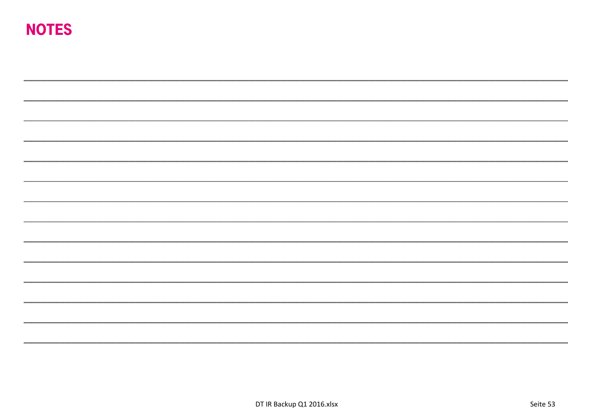# NOTES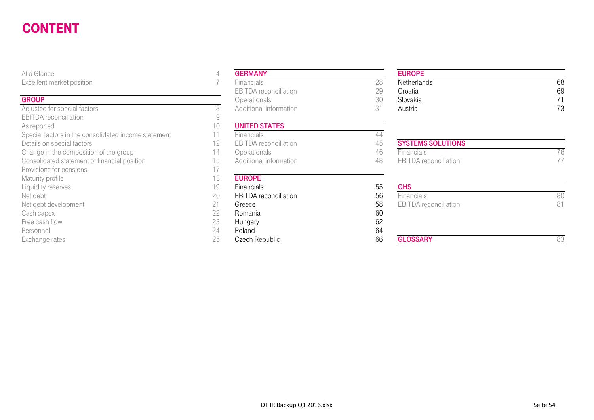#### CONTENTSEE AND A CONTRACT COMMUNICATION CONTRACT CONTRACT CONTRACT CONTRACT CONTRACT CONTRACT CONTRACT CONTRACT CONTR

#### **GROUP**

Adjusted for special factors and the set of the set of the SAD Additional information 31 Additional information 31 Austria 731 EBITDA reconciliation As reported 10<br>Special factors in the consolidated income statement 11 Special factors in the consolidated income statement 11 Financials **Financials** 44 Details on special factors<br>
Change in the composition of the group<br>
Change in the composition of the group<br>

2008 - 2014 Derationals Consolidated statement of financial position 15 Additional information 48 EBITDA reconciliation 17<br>Provisions for pensions Provisions for pensions Maturity profile 18<br>
Liquidity reserves 19 Liquidity reserves **19** Financials **19** Financials **55**<br>Net debt **56** GHS COMERTINA reconciliation 56 Net debt 20 Net debt development 58 EBIT DATE: 1000 EBITDA RECONCILIATION 21 Greece 58 EBITORA RECONCILIATION 58 Cash capex 22 Romania 60 Free cash flow 23 Personnel 24

| At a Glance                                          | 4  | <b>GERMANY</b>               |    |
|------------------------------------------------------|----|------------------------------|----|
| Excellent market position                            |    | <b>Financials</b>            | 28 |
|                                                      |    | <b>EBITDA</b> reconciliation | 29 |
| <b>GROUP</b>                                         |    | Operationals                 | 30 |
| Adjusted for special factors                         | 8  | Additional information       | 31 |
| <b>EBITDA</b> reconciliation                         | 9  |                              |    |
| As reported                                          | 10 | <b>UNITED STATES</b>         |    |
| Special factors in the consolidated income statement | 11 | Financials                   | 44 |
| Details on special factors                           | 12 | <b>EBITDA</b> reconciliation | 45 |
| Change in the composition of the group               | 14 | Operationals                 | 46 |
| Consolidated statement of financial position         | 15 | Additional information       | 48 |
| Provisions for pensions                              | 17 |                              |    |
| Maturity profile                                     | 18 | <b>EUROPE</b>                |    |
| Liquidity reserves                                   | 19 | Financials                   | 55 |
| Net debt                                             | 20 | <b>EBITDA</b> reconciliation | 56 |
| Net debt development                                 | 21 | Greece                       | 58 |
| Cash capex                                           | 22 | Romania                      | 60 |
| Free cash flow                                       | 23 | Hungary                      | 62 |
| Personnel                                            | 24 | Poland                       | 64 |
| Exchange rates                                       | 25 | Czech Republic               | 66 |

#### EUROPE

| ------                 | __________                   |                     | _______     |    |
|------------------------|------------------------------|---------------------|-------------|----|
| ent market position    | ⊦ınancials                   | ∩∩                  | Netherlands | 68 |
|                        | <b>EBITDA</b> reconciliation | $\cap$<br>- -       | Croatia     | 69 |
|                        | <b>Operationals</b>          | $\cap$ $\cap$<br>UU | Slovakia    |    |
| ed for special factors | Additional information       |                     | Austria     | 70 |

# Change in the composition of the group 14 Operationals 14 Operationals 46 Financials 76

| iviaturity pronie    | I O | <b>EUNUFE</b>                |    |                              |    |
|----------------------|-----|------------------------------|----|------------------------------|----|
| Liquidity reserves   | 19  | <b>Financials</b>            | 55 | <b>GHS</b>                   |    |
| Net debt             | 20  | <b>EBITDA</b> reconciliation | 56 | <b>Financials</b>            | 80 |
| Net debt development | ገ 1 | Greece                       | 58 | <b>EBITDA</b> reconciliation | 81 |
| Cash capex           | 22  | Romania                      | 60 |                              |    |
| Free cash flow       | 23  | Hungary                      | 62 |                              |    |
| Personnel            | 24  | Poland                       | 64 |                              |    |
| Exchange rates       | 25  | Czech Republic               | 66 | <b>GLOSSARY</b>              | 33 |
|                      |     |                              |    |                              |    |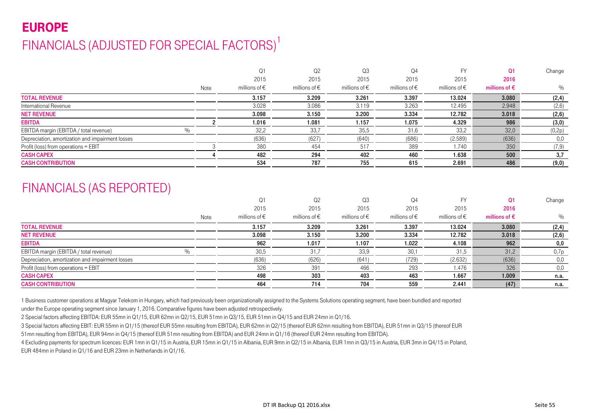# EUROPEFINANCIALS (ADJUSTED FOR SPECIAL FACTORS)<sup>1</sup>

|                                                  |      | Q1                     | Q <sub>2</sub>         | Q3                | Q <sub>4</sub>         | <b>FY</b>              | Q1                     | Change |
|--------------------------------------------------|------|------------------------|------------------------|-------------------|------------------------|------------------------|------------------------|--------|
|                                                  |      | 2015                   | 2015                   | 2015              | 2015                   | 2015                   | 2016                   |        |
|                                                  | Note | millions of $\epsilon$ | millions of $\epsilon$ | millions of $\in$ | millions of $\epsilon$ | millions of $\epsilon$ | millions of $\epsilon$ | $\%$   |
| <b>TOTAL REVENUE</b>                             |      | 3.157                  | 3.209                  | 3.261             | 3.397                  | 13.024                 | 3.080                  | (2, 4) |
| International Revenue                            |      | 3.028                  | 3.086                  | 3.119             | 3.263                  | 12.495                 | 2.948                  | (2,6)  |
| <b>NET REVENUE</b>                               |      | 3.098                  | 3.150                  | 3.200             | 3.334                  | 12.782                 | 3.018                  | (2,6)  |
| <b>EBITDA</b>                                    |      | 1.016                  | 1.081                  | 1.157             | 1.075                  | 4.329                  | 986                    | (3,0)  |
| EBITDA margin (EBITDA / total revenue)<br>$\%$   |      | 32,2                   | 33,7                   | 35,5              | 31,6                   | 33,2                   | 32,0                   | (0,2p) |
| Depreciation, amortization and impairment losses |      | (636)                  | (627)                  | (640)             | (686)                  | (2.589)                | (636)                  | 0.0    |
| Profit (loss) from operations = EBIT             |      | 380                    | 454                    | 517               | 389                    | 1.740                  | 350                    | (7,9)  |
| <b>CASH CAPEX</b>                                |      | 482                    | 294                    | 402               | 460                    | 1.638                  | 500                    | 3,7    |
| <b>CASH CONTRIBUTION</b>                         |      | 534                    | 787                    | 755               | 615                    | 2.691                  | 486                    | (9, 0) |

### FINANCIALS (AS REPORTED)

|                                                  |      | Q1                     | Q2                     | Q3                     | Q <sub>4</sub>         | FY                     | Q1                     | Change |
|--------------------------------------------------|------|------------------------|------------------------|------------------------|------------------------|------------------------|------------------------|--------|
|                                                  |      | 2015                   | 2015                   | 2015                   | 2015                   | 2015                   | 2016                   |        |
|                                                  | Note | millions of $\epsilon$ | millions of $\epsilon$ | millions of $\epsilon$ | millions of $\epsilon$ | millions of $\epsilon$ | millions of $\epsilon$ | %      |
| <b>TOTAL REVENUE</b>                             |      | 3.157                  | 3.209                  | 3.261                  | 3.397                  | 13.024                 | 3.080                  | (2, 4) |
| <b>NET REVENUE</b>                               |      | 3.098                  | 3.150                  | 3.200                  | 3.334                  | 12.782                 | 3.018                  | (2, 6) |
| <b>EBITDA</b>                                    |      | 962                    | 1.017                  | 1.107                  | 1.022                  | 4.108                  | 962                    | 0,0    |
| $\%$<br>EBITDA margin (EBITDA / total revenue)   |      | 30,5                   | 31,7                   | 33,9                   | 30,1                   | 31,5                   | 31,2                   | 0,7p   |
| Depreciation, amortization and impairment losses |      | (636)                  | (626)                  | (641)                  | (729)                  | (2.632)                | (636)                  | 0,0    |
| Profit (loss) from operations = EBIT             |      | 326                    | 391                    | 466                    | 293                    | 1.476                  | 326                    | 0,0    |
| <b>CASH CAPEX</b>                                |      | 498                    | 303                    | 403                    | 463                    | 1.667                  | 1.009                  | n.a.   |
| <b>CASH CONTRIBUTION</b>                         |      | 464                    | 714                    | 704                    | 559                    | 2.441                  | (47)                   | n.a.   |

1 Business customer operations at Magyar Telekom in Hungary, which had previously been organizationally assigned to the Systems Solutions operating segment, have been bundled and reported

under the Europe operating segment since January 1, 2016. Comparative figures have been adjusted retrospectively.

2 Special factors affecting EBITDA: EUR 55mn in Q1/15, EUR 62mn in Q2/15, EUR 51mn in Q3/15, EUR 51mn in Q4/15 and EUR 24mn in Q1/16.

3 Special factors affecting EBIT: EUR 55mn in Q1/15 (thereof EUR 55mn resulting from EBITDA), EUR 62mn in Q2/15 (thereof EUR 62mn resulting from EBITDA), EUR 51mn in Q3/15 (thereof EUR 51mn resulting from EBITDA), EUR 94mn in Q4/15 (thereof EUR 51mn resulting from EBITDA) and EUR 24mn in Q1/16 (thereof EUR 24mn resulting from EBITDA).

4 Excluding payments for spectrum licences: EUR 1mn in Q1/15 in Austria, EUR 15mn in Q1/15 in Albania, EUR 9mn in Q2/15 in Albania, EUR 1mn in Q3/15 in Austria, EUR 3mn in Q4/15 in Poland, EUR 484mn in Poland in Q1/16 and EUR 23mn in Netherlands in Q1/16.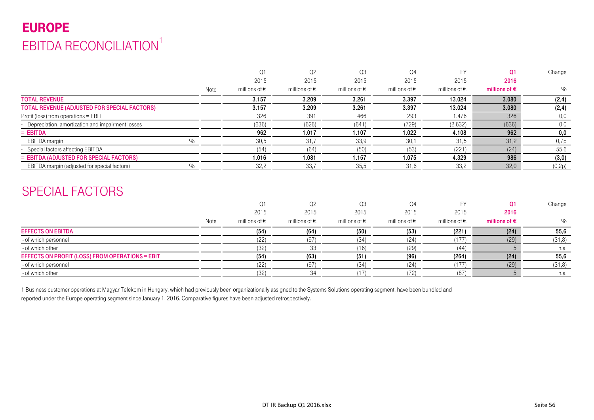# EUROPE EBITDA RECONCILIATION<sup>1</sup>

|                                                    |               | $\Omega$ 1             | Q <sub>2</sub>         | Q3                     | Q4                     |                        | <b>O1</b>              | Change |
|----------------------------------------------------|---------------|------------------------|------------------------|------------------------|------------------------|------------------------|------------------------|--------|
|                                                    |               | 2015                   | 2015                   | 2015                   | 2015                   | 2015                   | 2016                   |        |
|                                                    | Note          | millions of $\epsilon$ | millions of $\epsilon$ | millions of $\epsilon$ | millions of $\epsilon$ | millions of $\epsilon$ | millions of $\epsilon$ | $\%$   |
| <b>TOTAL REVENUE</b>                               |               | 3.157                  | 3.209                  | 3.261                  | 3.397                  | 13.024                 | 3.080                  | (2, 4) |
| TOTAL REVENUE (ADJUSTED FOR SPECIAL FACTORS)       |               | 3.157                  | 3.209                  | 3.261                  | 3.397                  | 13.024                 | 3.080                  | (2, 4) |
| Profit (loss) from operations = EBIT               |               | 326                    | 391                    | 466                    | 293                    | 1.476                  | 326                    | 0,0    |
| - Depreciation, amortization and impairment losses |               | (636)                  | (626)                  | (641)                  | (729)                  | (2.632)                | (636)                  | 0,0    |
| $=$ EBITDA                                         |               | 962                    | 1.017                  | 1.107                  | 1.022                  | 4.108                  | 962                    | 0,0    |
| EBITDA margin                                      | $\frac{0}{0}$ | 30,5                   | 31,7                   | 33,9                   | 30,1                   | 31,5                   | 31,2                   | 0,7p   |
| - Special factors affecting EBITDA                 |               | (54)                   | (64)                   | (50)                   | (53)                   | (221)                  | (24)                   | 55,6   |
| = EBITDA (ADJUSTED FOR SPECIAL FACTORS)            |               | 1.016                  | 1.081                  | 1.157                  | 1.075                  | 4.329                  | 986                    | (3,0)  |
| EBITDA margin (adjusted for special factors)       | O/2           | 32,2                   | 33,7                   | 35,5                   | 31,6                   | 33,2                   | 32,0                   | (0,2p) |
|                                                    |               |                        |                        |                        |                        |                        |                        |        |

### SPECIAL FACTORS

|                                                 |      |                        | Q <sub>2</sub>         | Q <sub>3</sub>         | Q4                     |                        |                        | Change  |
|-------------------------------------------------|------|------------------------|------------------------|------------------------|------------------------|------------------------|------------------------|---------|
|                                                 |      | 2015                   | 2015                   | 2015                   | 2015                   | 2015                   | 2016                   |         |
|                                                 | Note | millions of $\epsilon$ | millions of $\epsilon$ | millions of $\epsilon$ | millions of $\epsilon$ | millions of $\epsilon$ | millions of $\epsilon$ | $\%$    |
| <b>EFFECTS ON EBITDA</b>                        |      | (54)                   | (64)                   | (50)                   | (53)                   | (221)                  | (24)                   | 55,6    |
| - of which personnel                            |      |                        | (97)                   | (34)                   | (24)                   | (177)                  | (29)                   | (31, 8) |
| - of which other                                |      | 132                    |                        | (16)                   | (29)                   | (44)                   |                        | n.a.    |
| EFFECTS ON PROFIT (LOSS) FROM OPERATIONS = EBIT |      | (54)                   | (63)                   | (51)                   | (96)                   | (264)                  | (24)                   | 55,6    |
| - of which personnel                            |      |                        | (97)                   | (34)                   | '24)                   | (177)                  | (29)                   | (31, 8) |
| - of which other                                |      | (32)                   |                        |                        |                        | (87)                   |                        | n.a.    |

1 Business customer operations at Magyar Telekom in Hungary, which had previously been organizationally assigned to the Systems Solutions operating segment, have been bundled and reported under the Europe operating segment since January 1, 2016. Comparative figures have been adjusted retrospectively.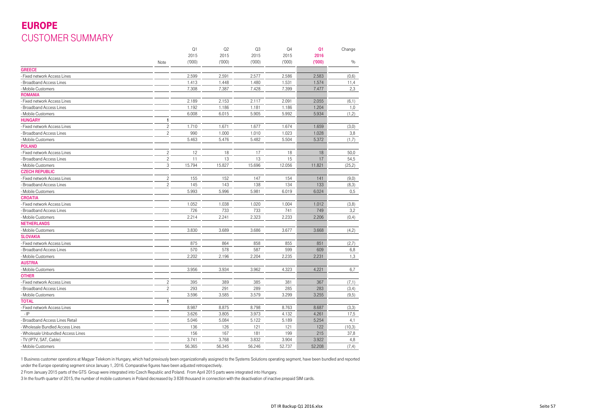### EUROPE CUSTOMER SUMMARY

|                                  |                         | Q1     | Q <sub>2</sub> | Q <sub>3</sub> | Q4     | Q <sub>1</sub> | Change  |
|----------------------------------|-------------------------|--------|----------------|----------------|--------|----------------|---------|
|                                  |                         | 2015   | 2015           | 2015           | 2015   | 2016           |         |
|                                  | Note                    | (000)  | (000)          | (000)          | (000)  | (000)          | $\%$    |
| <b>GREECE</b>                    |                         |        |                |                |        |                |         |
| Fixed network Access Lines       |                         | 2.599  | 2.591          | 2.577          | 2.586  | 2.583          | (0,6)   |
| <b>Broadband Access Lines</b>    |                         | 1.413  | 1.448          | 1.480          | 1.531  | 1.574          | 11,4    |
| Mobile Customers                 |                         | 7.308  | 7.387          | 7.428          | 7.399  | 7.477          | 2,3     |
| <b>ROMANIA</b>                   |                         |        |                |                |        |                |         |
| Fixed network Access Lines       |                         | 2.189  | 2.153          | 2.117          | 2.091  | 2.055          | (6,1)   |
| <b>Broadband Access Lines</b>    |                         | 1.192  | 1.186          | 1.181          | 1.186  | 1.204          | 1,0     |
| Mobile Customers                 |                         | 6.008  | 6.015          | 5.905          | 5.992  | 5.934          | (1,2)   |
| <b>HUNGARY</b>                   | 1                       |        |                |                |        |                |         |
| Fixed network Access Lines       | $\overline{\mathbf{c}}$ | 1.710  | 1.671          | 1.677          | 1.674  | 1.659          | (3,0)   |
| Broadband Access Lines           | $\overline{c}$          | 990    | 1.000          | 1.010          | 1.023  | 1.028          | 3,8     |
| Mobile Customers                 |                         | 5.463  | 5.476          | 5.482          | 5.504  | 5.372          | (1,7)   |
| <b>POLAND</b>                    |                         |        |                |                |        |                |         |
| Fixed network Access Lines       | $\overline{\mathbf{c}}$ | 12     | 18             | 17             | 18     | 18             | 50,0    |
| <b>Broadband Access Lines</b>    | $\overline{\mathbf{c}}$ | 11     | 13             | 13             | 15     | 17             | 54,5    |
| Mobile Customers                 | 3                       | 15.794 | 15.827         | 15.696         | 12.056 | 11.821         | (25, 2) |
| <b>CZECH REPUBLIC</b>            |                         |        |                |                |        |                |         |
| Fixed network Access Lines       | $\overline{\mathbf{c}}$ | 155    | 152            | 147            | 154    | 141            | (9,0)   |
| Broadband Access Lines           | $\overline{c}$          | 145    | 143            | 138            | 134    | 133            | (8,3)   |
| Mobile Customers                 |                         | 5.993  | 5.996          | 5.981          | 6.019  | 6.024          | 0,5     |
| <b>CROATIA</b>                   |                         |        |                |                |        |                |         |
| Fixed network Access Lines       |                         | 1.052  | 1.038          | 1.020          | 1.004  | 1.012          | (3,8)   |
| Broadband Access Lines           |                         | 726    | 733            | 733            | 741    | 749            | 3,2     |
| Mobile Customers                 |                         | 2.214  | 2.241          | 2.323          | 2.233  | 2.206          | (0, 4)  |
| <b>NETHERLANDS</b>               |                         |        |                |                |        |                |         |
| - Mobile Customers               |                         | 3.830  | 3.689          | 3.686          | 3.677  | 3.668          | (4,2)   |
| <b>SLOVAKIA</b>                  |                         |        |                |                |        |                |         |
| Fixed network Access Lines       |                         | 875    | 864            | 858            | 855    | 851            | (2,7)   |
| <b>Broadband Access Lines</b>    |                         | 570    | 578            | 587            | 599    | 609            | 6,8     |
| - Mobile Customers               |                         | 2.202  | 2.196          | 2.204          | 2.235  | 2.231          | 1,3     |
| <b>AUSTRIA</b>                   |                         |        |                |                |        |                |         |
| Mobile Customers                 |                         | 3.956  | 3.934          | 3.962          | 4.323  | 4.221          | 6,7     |
| <b>OTHER</b>                     |                         |        |                |                |        |                |         |
| Fixed network Access Lines       | $\overline{\mathbf{c}}$ | 395    | 389            | 385            | 381    | 367            | (7,1)   |
| <b>Broadband Access Lines</b>    | $\overline{c}$          | 293    | 291            | 289            | 285    | 283            | (3,4)   |
| Mobile Customers                 |                         | 3.596  | 3.585          | 3.579          | 3.299  | 3.255          | (9,5)   |
| TOTAL                            | 1                       |        |                |                |        |                |         |
| Fixed network Access Lines       |                         | 8.987  | 8.875          | 8.798          | 8.763  | 8.687          | (3,3)   |
| $-IP$                            |                         | 3.626  | 3.805          | 3.973          | 4.132  | 4.261          | 17,5    |
|                                  |                         | 5.046  | 5.084          | 5.122          | 5.189  | 5.254          |         |
| Broadband Access Lines Retail    |                         |        |                |                |        |                | 4,1     |
| Wholesale Bundled Access Lines   |                         | 136    | 126            | 121            | 121    | 122            | (10,3)  |
| Wholesale Unbundled Access Lines |                         | 156    | 167            | 181            | 199    | 215            | 37,8    |
| - TV (IPTV, SAT, Cable)          |                         | 3.741  | 3.768          | 3.832          | 3.904  | 3.922          | 4,8     |
| - Mobile Customers               |                         | 56.365 | 56.345         | 56.246         | 52.737 | 52.208         | (7, 4)  |

1 Business customer operations at Magyar Telekom in Hungary, which had previously been organizationally assigned to the Systems Solutions operating segment, have been bundled and reported under the Europe operating segment since January 1, 2016. Comparative figures have been adjusted retrospectively.

2 From January 2015 parts of the GTS Group were integrated into Czech Republic and Poland. From April 2015 parts were integrated into Hungary.

3 In the fourth quarter of 2015, the number of mobile customers in Poland decreased by 3 838 thousand in connection with the deactivation of inactive prepaid SIM cards.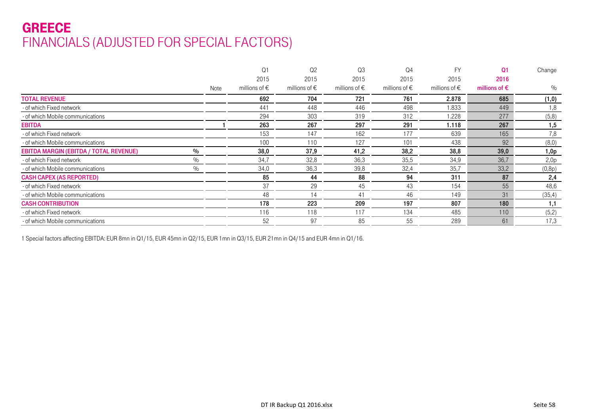### GREECE FINANCIALS (ADJUSTED FOR SPECIAL FACTORS)

|                                                       |      | Q <sub>1</sub>         | Q <sub>2</sub>         | Q3                     | Q <sub>4</sub>         | <b>FY</b>              | Q <sub>1</sub>         | Change |
|-------------------------------------------------------|------|------------------------|------------------------|------------------------|------------------------|------------------------|------------------------|--------|
|                                                       |      | 2015                   | 2015                   | 2015                   | 2015                   | 2015                   | 2016                   |        |
|                                                       | Note | millions of $\epsilon$ | millions of $\epsilon$ | millions of $\epsilon$ | millions of $\epsilon$ | millions of $\epsilon$ | millions of $\epsilon$ | $\%$   |
| <b>TOTAL REVENUE</b>                                  |      | 692                    | 704                    | 721                    | 761                    | 2.878                  | 685                    | (1, 0) |
| - of which Fixed network                              |      | 441                    | 448                    | 446                    | 498                    | 1.833                  | 449                    | 1,8    |
| - of which Mobile communications                      |      | 294                    | 303                    | 319                    | 312                    | 1.228                  | 277                    | (5,8)  |
| <b>EBITDA</b>                                         |      | 263                    | 267                    | 297                    | 291                    | 1.118                  | 267                    | 1,5    |
| - of which Fixed network                              |      | 153                    | 147                    | 162                    | 177                    | 639                    | 165                    | 7,8    |
| - of which Mobile communications                      |      | 100                    | 110                    | 127                    | 101                    | 438                    | 92                     | (8,0)  |
| <b>EBITDA MARGIN (EBITDA / TOTAL REVENUE)</b><br>$\%$ |      | 38,0                   | 37,9                   | 41,2                   | 38,2                   | 38,8                   | 39,0                   | 1,0p   |
| $\%$<br>- of which Fixed network                      |      | 34,7                   | 32,8                   | 36,3                   | 35,5                   | 34,9                   | 36,7                   | 2,0p   |
| $\%$<br>- of which Mobile communications              |      | 34,0                   | 36,3                   | 39,8                   | 32,4                   | 35,7                   | 33,2                   | (0,8p) |
| <b>CASH CAPEX (AS REPORTED)</b>                       |      | 85                     | 44                     | 88                     | 94                     | 311                    | 87                     | 2,4    |
| - of which Fixed network                              |      | 37                     | 29                     | 45                     | 43                     | 154                    | 55                     | 48,6   |
| - of which Mobile communications                      |      | 48                     | 14                     | 41                     | 46                     | 149                    | 31                     | (35,4) |
| <b>CASH CONTRIBUTION</b>                              |      | 178                    | 223                    | 209                    | 197                    | 807                    | 180                    | 1,1    |
| - of which Fixed network                              |      | 116                    | 118                    | 117                    | 134                    | 485                    | 110                    | (5,2)  |
| - of which Mobile communications                      |      | 52                     | 97                     | 85                     | 55                     | 289                    | 61                     | 17,3   |

1 Special factors affecting EBITDA: EUR 8mn in Q1/15, EUR 45mn in Q2/15, EUR 1mn in Q3/15, EUR 21mn in Q4/15 and EUR 4mn in Q1/16.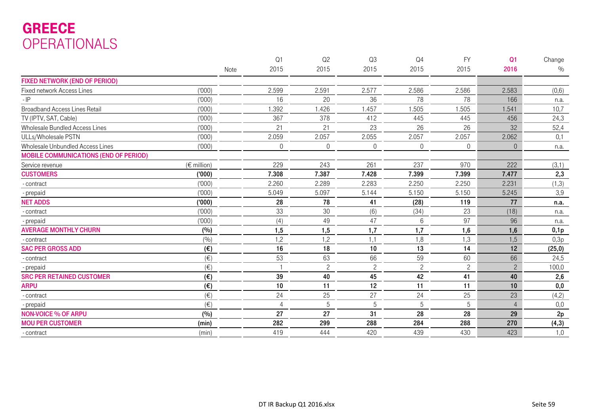# GREECE OPERATIONALS

|                                              |                      |      | Q <sub>1</sub> | Q2             | Q3             | Q <sub>4</sub> | <b>FY</b>      | Q <sub>1</sub> | Change  |
|----------------------------------------------|----------------------|------|----------------|----------------|----------------|----------------|----------------|----------------|---------|
|                                              |                      | Note | 2015           | 2015           | 2015           | 2015           | 2015           | 2016           | $\%$    |
| <b>FIXED NETWORK (END OF PERIOD)</b>         |                      |      |                |                |                |                |                |                |         |
| <b>Fixed network Access Lines</b>            | (000)                |      | 2.599          | 2.591          | 2.577          | 2.586          | 2.586          | 2.583          | (0, 6)  |
| $-IP$                                        | (1000)               |      | 16             | 20             | 36             | 78             | 78             | 166            | n.a.    |
| <b>Broadband Access Lines Retail</b>         | (000)                |      | 1.392          | 1.426          | 1.457          | 1.505          | 1.505          | 1.541          | 10,7    |
| TV (IPTV, SAT, Cable)                        | (000)                |      | 367            | 378            | 412            | 445            | 445            | 456            | 24,3    |
| Wholesale Bundled Access Lines               | (000)                |      | 21             | 21             | 23             | 26             | 26             | 32             | 52,4    |
| ULLs/Wholesale PSTN                          | (000)                |      | 2.059          | 2.057          | 2.055          | 2.057          | 2.057          | 2.062          | 0,1     |
| Wholesale Unbundled Access Lines             | (000)                |      | $\overline{0}$ | $\overline{0}$ | $\overline{0}$ | $\overline{0}$ | $\overline{0}$ | $\theta$       | n.a.    |
| <b>MOBILE COMMUNICATIONS (END OF PERIOD)</b> |                      |      |                |                |                |                |                |                |         |
| Service revenue                              | $(\epsilon$ million) |      | 229            | 243            | 261            | 237            | 970            | 222            | (3,1)   |
| <b>CUSTOMERS</b>                             | (000)                |      | 7.308          | 7.387          | 7.428          | 7.399          | 7.399          | 7.477          | 2,3     |
| - contract                                   | (000)                |      | 2.260          | 2.289          | 2.283          | 2.250          | 2.250          | 2.231          | (1,3)   |
| - prepaid                                    | (000)                |      | 5.049          | 5.097          | 5.144          | 5.150          | 5.150          | 5.245          | 3,9     |
| <b>NET ADDS</b>                              | (000)                |      | 28             | 78             | 41             | (28)           | 119            | 77             | n.a.    |
| - contract                                   | (000)                |      | 33             | 30             | (6)            | (34)           | 23             | (18)           | n.a.    |
| - prepaid                                    | (1000)               |      | (4)            | 49             | 47             | 6              | 97             | 96             | n.a.    |
| <b>AVERAGE MONTHLY CHURN</b>                 | (%)                  |      | 1,5            | 1,5            | 1,7            | 1,7            | 1,6            | 1,6            | 0,1p    |
| - contract                                   | (%)                  |      | 1,2            | ,2             | 1,1            | 1,8            | 1,3            | 1,5            | 0,3p    |
| <b>SAC PER GROSS ADD</b>                     | $(\epsilon)$         |      | 16             | 18             | 10             | 13             | 14             | 12             | (25, 0) |
| - contract                                   | $(\in)$              |      | 53             | 63             | 66             | 59             | 60             | 66             | 24,5    |
| - prepaid                                    | $(\in)$              |      |                | $\overline{c}$ | $\mathbf{2}$   | $\overline{c}$ | $\overline{c}$ | $\mathbf{2}$   | 100,0   |
| <b>SRC PER RETAINED CUSTOMER</b>             | $(\epsilon)$         |      | 39             | 40             | 45             | 42             | 41             | 40             | 2,6     |
| <b>ARPU</b>                                  | $(\epsilon)$         |      | 10             | 11             | 12             | 11             | 11             | 10             | 0,0     |
| - contract                                   | $(\in)$              |      | 24             | 25             | 27             | 24             | 25             | 23             | (4,2)   |
| - prepaid                                    | $(\in)$              |      | $\overline{4}$ | 5              | $\mathbf 5$    | 5              | 5              | $\overline{4}$ | 0,0     |
| <b>NON-VOICE % OF ARPU</b>                   | (%)                  |      | 27             | 27             | 31             | 28             | 28             | 29             | 2p      |
| <b>MOU PER CUSTOMER</b>                      | (min)                |      | 282            | 299            | 288            | 284            | 288            | 270            | (4,3)   |
| - contract                                   | (min)                |      | 419            | 444            | 420            | 439            | 430            | 423            | 1,0     |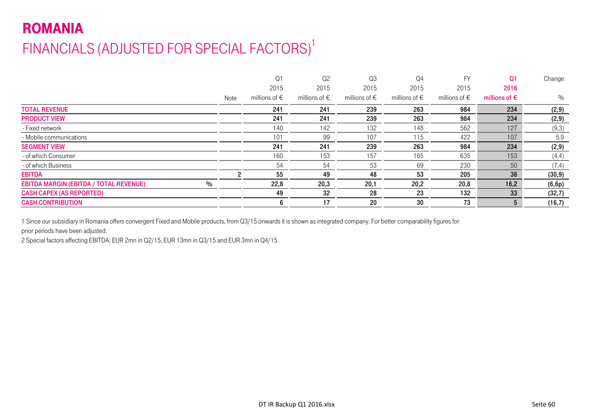# ROMANIA FINANCIALS (ADJUSTED FOR SPECIAL FACTORS)<sup>1</sup>

|      | Q <sub>1</sub>         | Q <sub>2</sub>         | Q <sub>3</sub>         | Q <sub>4</sub>         | <b>FV</b>              | Q <sub>1</sub>         | Change  |
|------|------------------------|------------------------|------------------------|------------------------|------------------------|------------------------|---------|
|      | 2015                   | 2015                   | 2015                   | 2015                   | 2015                   | 2016                   |         |
| Note | millions of $\epsilon$ | millions of $\epsilon$ | millions of $\epsilon$ | millions of $\epsilon$ | millions of $\epsilon$ | millions of $\epsilon$ | %       |
|      | 241                    | 241                    | 239                    | 263                    | 984                    | 234                    | (2,9)   |
|      | 241                    | 241                    | 239                    | 263                    | 984                    | 234                    | (2, 9)  |
|      | 140                    | 142                    | 132                    | 148                    | 562                    | 127                    | (9,3)   |
|      | 101                    | 99                     | 107                    | 115                    | 422                    | 107                    | 5,9     |
|      | 241                    | 241                    | 239                    | 263                    | 984                    | 234                    | (2, 9)  |
|      | 160                    | 153                    | 157                    | 165                    | 635                    | 153                    | (4,4)   |
|      | 54                     | 54                     | 53                     | 69                     | 230                    | 50                     | (7, 4)  |
|      | 55                     | 49                     | 48                     | 53                     | 205                    | 38                     | (30, 9) |
|      | 22,8                   | 20,3                   | 20,1                   | 20,2                   | 20,8                   | 16,2                   | (6, 6p) |
|      | 49                     | 32                     | 28                     | 23                     | 132                    | 33                     | (32,7)  |
|      | 6                      | 17                     | 20                     | 30                     | 73                     | 5                      | (16,7)  |
|      |                        |                        |                        |                        |                        |                        |         |

1 Since our subsidiary in Romania offers convergent Fixed and Mobile products, from Q3/15 onwards it is shown as integrated company. For better comparability figures for prior periods have been adjusted.

2 Special factors affecting EBITDA: EUR 2mn in Q2/15, EUR 13mn in Q3/15 and EUR 3mn in Q4/15.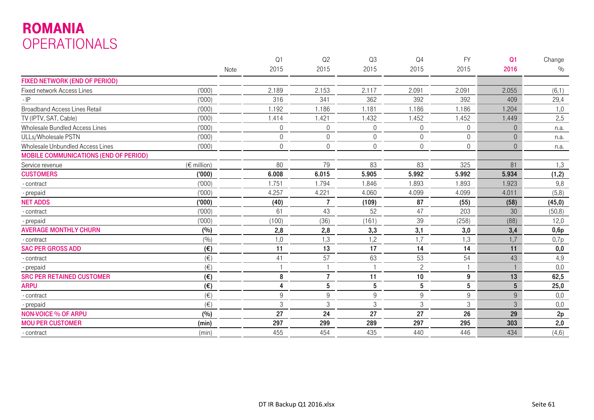# ROMANIA OPERATIONALS

|                                              |                      |      | Q <sub>1</sub> | Q2             | Q3               | Q <sub>4</sub> | <b>FY</b>       | Q <sub>1</sub>  | Change  |
|----------------------------------------------|----------------------|------|----------------|----------------|------------------|----------------|-----------------|-----------------|---------|
|                                              |                      | Note | 2015           | 2015           | 2015             | 2015           | 2015            | 2016            | $\%$    |
| <b>FIXED NETWORK (END OF PERIOD)</b>         |                      |      |                |                |                  |                |                 |                 |         |
| Fixed network Access Lines                   | (000)                |      | 2.189          | 2.153          | 2.117            | 2.091          | 2.091           | 2.055           | (6,1)   |
| $-IP$                                        | (000)                |      | 316            | 341            | 362              | 392            | 392             | 409             | 29,4    |
| <b>Broadband Access Lines Retail</b>         | (000)                |      | 1.192          | 1.186          | 1.181            | 1.186          | 1.186           | 1.204           | 1,0     |
| TV (IPTV, SAT, Cable)                        | (000)                |      | 1.414          | 1.421          | 1.432            | 1.452          | 1.452           | 1.449           | 2,5     |
| Wholesale Bundled Access Lines               | (000)                |      | $\theta$       | $\mathbf 0$    | $\overline{0}$   | $\Omega$       | $\overline{0}$  | $\Omega$        | n.a.    |
| ULLs/Wholesale PSTN                          | (000)                |      | $\mathbf 0$    | $\mathbf 0$    | $\boldsymbol{0}$ | $\Omega$       | $\overline{0}$  | $\Omega$        | n.a.    |
| Wholesale Unbundled Access Lines             | (000)                |      | $\mathbf 0$    | $\mathbf 0$    | $\overline{0}$   | 0              | $\overline{0}$  | $\mathbf{0}$    | n.a.    |
| <b>MOBILE COMMUNICATIONS (END OF PERIOD)</b> |                      |      |                |                |                  |                |                 |                 |         |
| Service revenue                              | $(\epsilon$ million) |      | 80             | 79             | 83               | 83             | 325             | 81              | 1,3     |
| <b>CUSTOMERS</b>                             | (000)                |      | 6.008          | 6.015          | 5.905            | 5.992          | 5.992           | 5.934           | (1,2)   |
| - contract                                   | (000)                |      | 1.751          | 1.794          | 1.846            | 1.893          | 1.893           | 1.923           | 9,8     |
| - prepaid                                    | (000)                |      | 4.257          | 4.221          | 4.060            | 4.099          | 4.099           | 4.011           | (5,8)   |
| <b>NET ADDS</b>                              | (000)                |      | (40)           | $\overline{7}$ | (109)            | 87             | (55)            | (58)            | (45, 0) |
| - contract                                   | (000)                |      | 61             | 43             | 52               | 47             | 203             | 30              | (50, 8) |
| - prepaid                                    | (000)                |      | (100)          | (36)           | (161)            | 39             | (258)           | (88)            | 12,0    |
| <b>AVERAGE MONTHLY CHURN</b>                 | (%)                  |      | 2,8            | 2,8            | 3,3              | 3,1            | 3,0             | 3,4             | 0,6p    |
| - contract                                   | (9/0)                |      | 1,0            | 1,3            | 1,2              | 1,7            | 1,3             | 1,7             | 0,7p    |
| <b>SAC PER GROSS ADD</b>                     | $(\epsilon)$         |      | 11             | 13             | 17               | 14             | 14              | 11              | 0,0     |
| - contract                                   | $(\in)$              |      | 41             | 57             | 63               | 53             | 54              | 43              | 4,9     |
| - prepaid                                    | $(\in)$              |      |                |                |                  | $\overline{c}$ |                 |                 | 0,0     |
| <b>SRC PER RETAINED CUSTOMER</b>             | $(\epsilon)$         |      | 8              | $\overline{7}$ | 11               | 10             | 9               | 13              | 62,5    |
| <b>ARPU</b>                                  | $(\epsilon)$         |      | 4              | 5              | $\bf 5$          | $\bf 5$        | $5\phantom{.0}$ | $5\phantom{.0}$ | 25,0    |
| - contract                                   | $(\in)$              |      | $9\,$          | 9              | 9                | 9              | 9               | 9               | 0,0     |
| - prepaid                                    | $(\in)$              |      | $\sqrt{3}$     | 3              | $\mathfrak{Z}$   | 3              | 3               | 3               | 0,0     |
| <b>NON-VOICE % OF ARPU</b>                   | (%)                  |      | 27             | 24             | 27               | 27             | 26              | 29              | 2p      |
| <b>MOU PER CUSTOMER</b>                      | (min)                |      | 297            | 299            | 289              | 297            | 295             | 303             | 2,0     |
| - contract                                   | (min)                |      | 455            | 454            | 435              | 440            | 446             | 434             | (4, 6)  |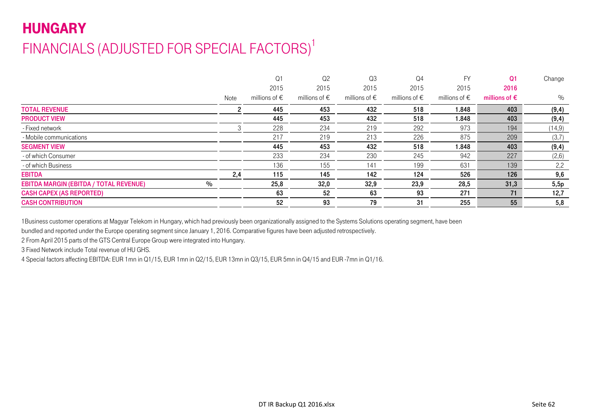# **HUNGARY** FINANCIALS (ADJUSTED FOR SPECIAL FACTORS)<sup>1</sup>

|                                                       |      | Q <sub>1</sub>         | Q <sub>2</sub>         | Q <sub>3</sub>         | Q4                     | FY                     | Q <sub>1</sub>         | Change  |
|-------------------------------------------------------|------|------------------------|------------------------|------------------------|------------------------|------------------------|------------------------|---------|
|                                                       |      | 2015                   | 2015                   | 2015                   | 2015                   | 2015                   | 2016                   |         |
|                                                       | Note | millions of $\epsilon$ | millions of $\epsilon$ | millions of $\epsilon$ | millions of $\epsilon$ | millions of $\epsilon$ | millions of $\epsilon$ | $\%$    |
| <b>TOTAL REVENUE</b>                                  |      | 445                    | 453                    | 432                    | 518                    | 1.848                  | 403                    | (9, 4)  |
| <b>PRODUCT VIEW</b>                                   |      | 445                    | 453                    | 432                    | 518                    | 1.848                  | 403                    | (9, 4)  |
| - Fixed network                                       |      | 228                    | 234                    | 219                    | 292                    | 973                    | 194                    | (14, 9) |
| - Mobile communications                               |      | 217                    | 219                    | 213                    | 226                    | 875                    | 209                    | (3,7)   |
| <b>SEGMENT VIEW</b>                                   |      | 445                    | 453                    | 432                    | 518                    | 1.848                  | 403                    | (9, 4)  |
| - of which Consumer                                   |      | 233                    | 234                    | 230                    | 245                    | 942                    | 227                    | (2,6)   |
| - of which Business                                   |      | 136                    | 155                    | 141                    | 199                    | 631                    | 139                    | 2,2     |
| <b>EBITDA</b>                                         | 2,4  | 115                    | 145                    | 142                    | 124                    | 526                    | 126                    | 9,6     |
| $\%$<br><b>EBITDA MARGIN (EBITDA / TOTAL REVENUE)</b> |      | 25,8                   | 32,0                   | 32,9                   | 23,9                   | 28,5                   | 31,3                   | 5,5p    |
| <b>CASH CAPEX (AS REPORTED)</b>                       |      | 63                     | 52                     | 63                     | 93                     | 271                    | 71                     | 12,7    |
| <b>CASH CONTRIBUTION</b>                              |      | 52                     | 93                     | 79                     | 31                     | 255                    | 55                     | 5,8     |
|                                                       |      |                        |                        |                        |                        |                        |                        |         |

1Business customer operations at Magyar Telekom in Hungary, which had previously been organizationally assigned to the Systems Solutions operating segment, have been

bundled and reported under the Europe operating segment since January 1, 2016. Comparative figures have been adjusted retrospectively.

2 From April 2015 parts of the GTS Central Europe Group were integrated into Hungary.

3 Fixed Network include Total revenue of HU GHS.

4 Special factors affecting EBITDA: EUR 1mn in Q1/15, EUR 1mn in Q2/15, EUR 13mn in Q3/15, EUR 5mn in Q4/15 and EUR -7mn in Q1/16.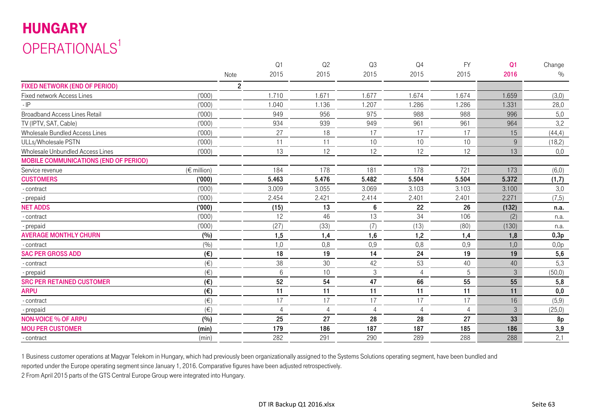# HUNGARY OPERATIONALS<sup>1</sup>

|                                                  |                | Q1              | Q2             | Q3             | Q <sub>4</sub> | <b>FY</b>      | Q <sub>1</sub> | Change  |
|--------------------------------------------------|----------------|-----------------|----------------|----------------|----------------|----------------|----------------|---------|
|                                                  | Note           | 2015            | 2015           | 2015           | 2015           | 2015           | 2016           | $\%$    |
| <b>FIXED NETWORK (END OF PERIOD)</b>             | $\overline{c}$ |                 |                |                |                |                |                |         |
| (000)<br>Fixed network Access Lines              |                | 1.710           | 1.671          | 1.677          | 1.674          | 1.674          | 1.659          | (3,0)   |
| (1000)<br>$-IP$                                  |                | 1.040           | 1.136          | 1.207          | .286           | 1.286          | 1.331          | 28,0    |
| (1000)<br><b>Broadband Access Lines Retail</b>   |                | 949             | 956            | 975            | 988            | 988            | 996            | 5,0     |
| (000)<br>TV (IPTV, SAT, Cable)                   |                | 934             | 939            | 949            | 961            | 961            | 964            | 3,2     |
| (000)<br>Wholesale Bundled Access Lines          |                | 27              | 18             | 17             | 17             | 17             | 15             | (44, 4) |
| (1000)<br>ULLs/Wholesale PSTN                    |                | 11              | 11             | 10             | 10             | 10             | 9              | (18,2)  |
| Wholesale Unbundled Access Lines<br>(1000)       |                | 13              | 12             | 12             | 12             | 12             | 13             | 0,0     |
| <b>MOBILE COMMUNICATIONS (END OF PERIOD)</b>     |                |                 |                |                |                |                |                |         |
| $(\epsilon$ million)<br>Service revenue          |                | 184             | 178            | 181            | 178            | 721            | 173            | (6, 0)  |
| (000)<br><b>CUSTOMERS</b>                        |                | 5.463           | 5.476          | 5.482          | 5.504          | 5.504          | 5.372          | (1,7)   |
| (000)<br>- contract                              |                | 3.009           | 3.055          | 3.069          | 3.103          | 3.103          | 3.100          | 3,0     |
| (000)<br>- prepaid                               |                | 2.454           | 2.421          | 2.414          | 2.401          | 2.401          | 2.271          | (7, 5)  |
| <b>NET ADDS</b><br>(000)                         |                | (15)            | 13             | 6              | 22             | 26             | (132)          | n.a.    |
| (000)<br>- contract                              |                | 12              | 46             | 13             | 34             | 106            | (2)            | n.a.    |
| (1000)<br>- prepaid                              |                | (27)            | (33)           | (7)            | (13)           | (80)           | (130)          | n.a.    |
| <b>AVERAGE MONTHLY CHURN</b><br>(%)              |                | 1,5             | 1,4            | 1,6            | 1,2            | 1,4            | 1,8            | 0,3p    |
| (9/0)<br>- contract                              |                | 1,0             | 0,8            | 0,9            | 0,8            | 0,9            | 1,0            | 0,0p    |
| <b>SAC PER GROSS ADD</b><br>$(\epsilon)$         |                | 18              | 19             | 14             | 24             | 19             | 19             | 5,6     |
| $(\in)$<br>- contract                            |                | 38              | 30             | 42             | 53             | 40             | 40             | 5,3     |
| $(\in)$<br>- prepaid                             |                | $6\phantom{.}6$ | 10             | $\sqrt{3}$     |                | 5              | 3              | (50, 0) |
| <b>SRC PER RETAINED CUSTOMER</b><br>$(\epsilon)$ |                | 52              | 54             | 47             | 66             | 55             | 55             | 5,8     |
| <b>ARPU</b><br>$(\epsilon)$                      |                | 11              | 11             | 11             | 11             | 11             | 11             | 0,0     |
| $(\in)$<br>- contract                            |                | 17              | 17             | 17             | 17             | 17             | 16             | (5,9)   |
| $(\in)$<br>- prepaid                             |                | $\overline{4}$  | $\overline{4}$ | $\overline{4}$ | $\overline{4}$ | $\overline{4}$ | 3              | (25,0)  |
| (%)<br><b>NON-VOICE % OF ARPU</b>                |                | 25              | 27             | 28             | 28             | 27             | 33             | 8p      |
| <b>MOU PER CUSTOMER</b><br>(min)                 |                | 179             | 186            | 187            | 187            | 185            | 186            | 3,9     |
| (min)<br>- contract                              |                | 282             | 291            | 290            | 289            | 288            | 288            | 2,1     |

1 Business customer operations at Magyar Telekom in Hungary, which had previously been organizationally assigned to the Systems Solutions operating segment, have been bundled and

reported under the Europe operating segment since January 1, 2016. Comparative figures have been adjusted retrospectively.

2 From April 2015 parts of the GTS Central Europe Group were integrated into Hungary.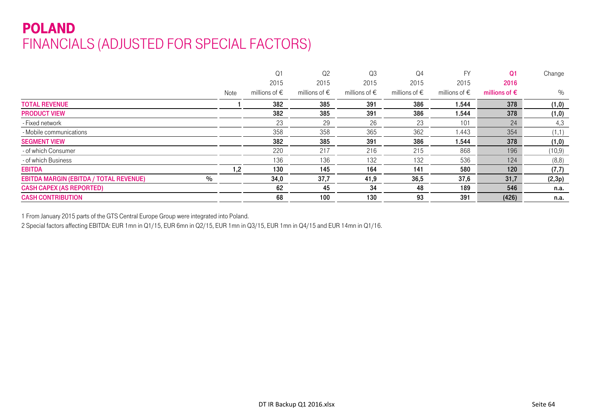# POLAND FINANCIALS (ADJUSTED FOR SPECIAL FACTORS)

|                                                                |               | Q <sub>1</sub>         | Q <sub>2</sub>         | Q <sub>3</sub>         | Q4                     | FY                     | Q <sub>1</sub>         | Change  |
|----------------------------------------------------------------|---------------|------------------------|------------------------|------------------------|------------------------|------------------------|------------------------|---------|
|                                                                |               | 2015                   | 2015                   | 2015                   | 2015                   | 2015                   | 2016                   |         |
|                                                                | Note          | millions of $\epsilon$ | millions of $\epsilon$ | millions of $\epsilon$ | millions of $\epsilon$ | millions of $\epsilon$ | millions of $\epsilon$ | $\%$    |
| <b>TOTAL REVENUE</b>                                           |               | 382                    | 385                    | 391                    | 386                    | 544. ا                 | 378                    | (1, 0)  |
| <b>PRODUCT VIEW</b>                                            |               | 382                    | 385                    | 391                    | 386                    | 544. ا                 | 378                    | (1, 0)  |
| - Fixed network                                                |               | 23                     | 29                     | 26                     | 23                     | 101                    | 24                     | 4,3     |
| - Mobile communications                                        |               | 358                    | 358                    | 365                    | 362                    | 1.443                  | 354                    | (1,1)   |
| <b>SEGMENT VIEW</b>                                            |               | 382                    | 385                    | 391                    | 386                    | 544. ا                 | 378                    | (1, 0)  |
| - of which Consumer                                            |               | 220                    | 217                    | 216                    | 215                    | 868                    | 196                    | (10, 9) |
| - of which Business                                            |               | 136                    | 136                    | 132                    | 132                    | 536                    | 124                    | (8, 8)  |
| <b>EBITDA</b>                                                  | $\mathbf{.2}$ | 130                    | 145                    | 164                    | 141                    | 580                    | 120 <sub>1</sub>       | (7,7)   |
| $\frac{0}{0}$<br><b>EBITDA MARGIN (EBITDA / TOTAL REVENUE)</b> |               | 34,0                   | 37,7                   | 41,9                   | 36,5                   | 37,6                   | 31,7                   | (2,3p)  |
| <b>CASH CAPEX (AS REPORTED)</b>                                |               | 62                     | 45                     | 34                     | 48                     | 189                    | 546                    | n.a.    |
| <b>CASH CONTRIBUTION</b>                                       |               | 68                     | 100                    | 130                    | 93                     | 391                    | (426)                  | n.a.    |

1 From January 2015 parts of the GTS Central Europe Group were integrated into Poland.

2 Special factors affecting EBITDA: EUR 1mn in Q1/15, EUR 6mn in Q2/15, EUR 1mn in Q3/15, EUR 1mn in Q4/15 and EUR 14mn in Q1/16.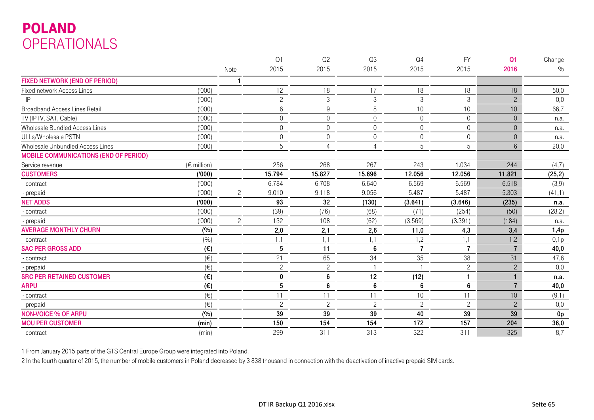# POLAND OPERATIONALS

|                                                  |                | Q1             | Q2             | Q3               | Q <sub>4</sub> | <b>FY</b>       | Q <sub>1</sub>   | Change         |
|--------------------------------------------------|----------------|----------------|----------------|------------------|----------------|-----------------|------------------|----------------|
|                                                  | Note           | 2015           | 2015           | 2015             | 2015           | 2015            | 2016             | $\%$           |
| <b>FIXED NETWORK (END OF PERIOD)</b>             |                |                |                |                  |                |                 |                  |                |
| (000)<br>Fixed network Access Lines              |                | 12             | 18             | 17               | 18             | 18              | 18               | 50,0           |
| (1000)<br>$-IP$                                  |                | $\overline{c}$ | 3              | $\sqrt{3}$       | 3              | 3               | $\overline{2}$   | 0,0            |
| (1000)<br><b>Broadband Access Lines Retail</b>   |                | $6\,$          | 9              | $\,8\,$          | 10             | 10 <sup>°</sup> | 10               | 66,7           |
| (000)<br>TV (IPTV, SAT, Cable)                   |                | $\mathbf 0$    | $\mathbf 0$    | $\overline{0}$   | $\Omega$       | $\overline{0}$  | $\theta$         | n.a.           |
| (1000)<br>Wholesale Bundled Access Lines         |                | $\mathbf 0$    | $\mathbf 0$    | $\mathbf 0$      | $\mathbf 0$    | $\overline{0}$  | $\boldsymbol{0}$ | n.a.           |
| (1000)<br>ULLs/Wholesale PSTN                    |                | $\Omega$       | $\mathbf 0$    | $\mathbf 0$      | $\Omega$       | $\overline{0}$  | $\Omega$         | n.a.           |
| (000)<br>Wholesale Unbundled Access Lines        |                | 5              | $\overline{4}$ | $\overline{4}$   | 5              | 5               | $6\,$            | 20,0           |
| <b>MOBILE COMMUNICATIONS (END OF PERIOD)</b>     |                |                |                |                  |                |                 |                  |                |
| $(\epsilon$ million)<br>Service revenue          |                | 256            | 268            | 267              | 243            | 1.034           | 244              | (4,7)          |
| (000)<br><b>CUSTOMERS</b>                        |                | 15.794         | 15.827         | 15.696           | 12.056         | 12.056          | 11.821           | (25, 2)        |
| (000)<br>- contract                              |                | 6.784          | 6.708          | 6.640            | 6.569          | 6.569           | 6.518            | (3,9)          |
| (1000)<br>- prepaid                              | $\overline{c}$ | 9.010          | 9.118          | 9.056            | 5.487          | 5.487           | 5.303            | (41,1)         |
| <b>NET ADDS</b><br>(000)                         |                | 93             | 32             | (130)            | (3.641)        | (3.646)         | (235)            | n.a.           |
| (000)<br>- contract                              |                | (39)           | (76)           | (68)             | (71)           | (254)           | (50)             | (28, 2)        |
| (000)<br>- prepaid                               | $\overline{c}$ | 132            | 108            | (62)             | (3.569)        | (3.391)         | (184)            | n.a.           |
| <b>AVERAGE MONTHLY CHURN</b><br>(%)              |                | 2,0            | 2,1            | 2,6              | 11,0           | 4,3             | 3,4              | 1,4p           |
| (9/0)<br>- contract                              |                | 1,1            | 1,1            | 1,1              | 1,2            | 1,1             | 1,2              | 0,1p           |
| <b>SAC PER GROSS ADD</b><br>$(\epsilon)$         |                | $\sqrt{5}$     | 11             | $\boldsymbol{6}$ | 7              | $\overline{7}$  | $\overline{7}$   | 40,0           |
| $(\in)$<br>- contract                            |                | 21             | 65             | 34               | 35             | 38              | 31               | 47,6           |
| (E)<br>- prepaid                                 |                | $\mathbf{2}$   | $\overline{c}$ |                  |                | $\overline{c}$  | $\mathbf{2}$     | 0,0            |
| <b>SRC PER RETAINED CUSTOMER</b><br>$(\epsilon)$ |                | $\mathbf 0$    | 6              | 12               | (12)           | 1               |                  | n.a.           |
| <b>ARPU</b><br>$(\epsilon)$                      |                | 5              | 6              | 6                | 6              | 6               | $\overline{7}$   | 40,0           |
| $(\in)$<br>- contract                            |                | 11             | 11             | 11               | 10             | 11              | 10               | (9,1)          |
| $(\in)$<br>- prepaid                             |                | $\overline{c}$ | $\overline{c}$ | $\overline{c}$   | $\mathbf{2}$   | $\overline{c}$  | $\overline{c}$   | 0,0            |
| <b>NON-VOICE % OF ARPU</b><br>(%)                |                | 39             | 39             | 39               | 40             | 39              | 39               | 0 <sub>p</sub> |
| (min)<br><b>MOU PER CUSTOMER</b>                 |                | 150            | 154            | 154              | 172            | 157             | 204              | 36,0           |
| (min)<br>- contract                              |                | 299            | 311            | 313              | 322            | 311             | 325              | 8,7            |

1 From January 2015 parts of the GTS Central Europe Group were integrated into Poland.

2 In the fourth quarter of 2015, the number of mobile customers in Poland decreased by 3 838 thousand in connection with the deactivation of inactive prepaid SIM cards.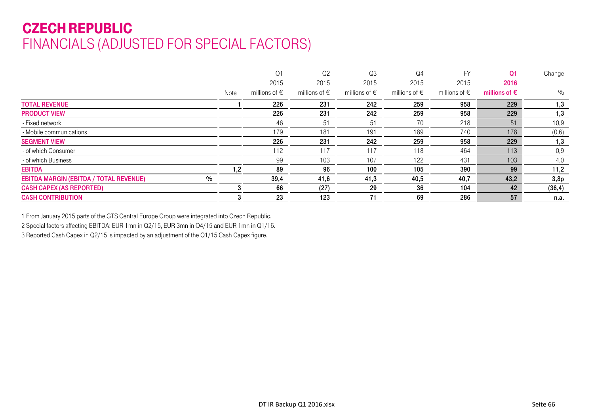# CZECH REPUBLIC FINANCIALS (ADJUSTED FOR SPECIAL FACTORS)

|                                                       |      | Q <sub>1</sub>         | Q <sub>2</sub>         | Q <sub>3</sub>         | Q4                     | <b>FY</b>              | Q <sub>1</sub>         | Change  |
|-------------------------------------------------------|------|------------------------|------------------------|------------------------|------------------------|------------------------|------------------------|---------|
|                                                       |      | 2015                   | 2015                   | 2015                   | 2015                   | 2015                   | 2016                   |         |
|                                                       | Note | millions of $\epsilon$ | millions of $\epsilon$ | millions of $\epsilon$ | millions of $\epsilon$ | millions of $\epsilon$ | millions of $\epsilon$ | %       |
| <b>TOTAL REVENUE</b>                                  |      | 226                    | 231                    | 242                    | 259                    | 958                    | 229                    | 1,3     |
| <b>PRODUCT VIEW</b>                                   |      | 226                    | 231                    | 242                    | 259                    | 958                    | 229                    | 1,3     |
| - Fixed network                                       |      | 46                     | 51                     | 51                     | 70                     | 218                    | 51                     | 10,9    |
| - Mobile communications                               |      | 179                    | 181                    | 191                    | 189                    | 740                    | 178                    | (0, 6)  |
| <b>SEGMENT VIEW</b>                                   |      | 226                    | 231                    | 242                    | 259                    | 958                    | 229                    | 1,3     |
| - of which Consumer                                   |      | 112                    | 117                    | 117                    | 118                    | 464                    | 113                    | 0,9     |
| - of which Business                                   |      | 99                     | 103                    | 107                    | 122                    | 431                    | 103                    | 4,0     |
| <b>EBITDA</b>                                         | 1,2  | 89                     | 96                     | 100                    | 105                    | 390                    | 99                     | 11,2    |
| $\%$<br><b>EBITDA MARGIN (EBITDA / TOTAL REVENUE)</b> |      | 39,4                   | 41,6                   | 41,3                   | 40,5                   | 40,7                   | 43,2                   | 3,8p    |
| <b>CASH CAPEX (AS REPORTED)</b>                       |      | 66                     | (27)                   | 29                     | 36                     | 104                    | 42                     | (36, 4) |
| <b>CASH CONTRIBUTION</b>                              |      | 23                     | 123                    | 71                     | 69                     | 286                    | 57                     | n.a.    |

1 From January 2015 parts of the GTS Central Europe Group were integrated into Czech Republic. 2 Special factors affecting EBITDA: EUR 1mn in Q2/15, EUR 3mn in Q4/15 and EUR 1mn in Q1/16. 3 Reported Cash Capex in Q2/15 is impacted by an adjustment of the Q1/15 Cash Capex figure.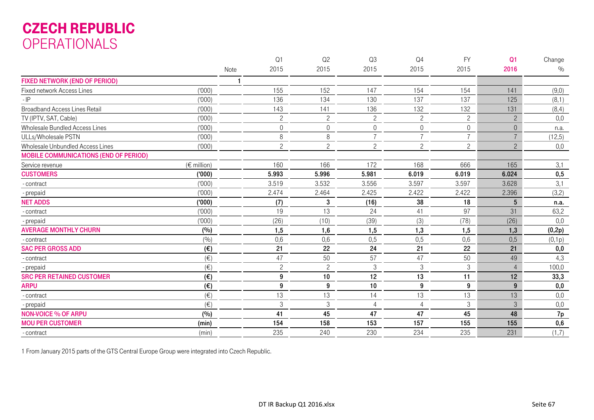### CZECH REPUBLIC OPERATIONALS

|                                              |                      | Q1             | Q2             | Q3               | Q <sub>4</sub>   | <b>FY</b>      | Q <sub>1</sub> | Change |
|----------------------------------------------|----------------------|----------------|----------------|------------------|------------------|----------------|----------------|--------|
|                                              |                      | 2015<br>Note   | 2015           | 2015             | 2015             | 2015           | 2016           | $\%$   |
| <b>FIXED NETWORK (END OF PERIOD)</b>         |                      |                |                |                  |                  |                |                |        |
| Fixed network Access Lines                   | (000)                | 155            | 152            | 147              | 154              | 154            | 141            | (9,0)  |
| $-IP$                                        | (000)                | 136            | 134            | 130              | 137              | 137            | 125            | (8,1)  |
| <b>Broadband Access Lines Retail</b>         | (000)                | 143            | 141            | 136              | 132              | 132            | 131            | (8,4)  |
| TV (IPTV, SAT, Cable)                        | (000)                | $\overline{c}$ | $\overline{c}$ | $\overline{c}$   | $\overline{c}$   | $\overline{c}$ | $\overline{c}$ | 0,0    |
| Wholesale Bundled Access Lines               | (000)                | $\theta$       | 0              | $\boldsymbol{0}$ | 0                | $\overline{0}$ | $\overline{0}$ | n.a.   |
| ULLs/Wholesale PSTN                          | (000)                | 8              | 8              | $\overline{7}$   |                  |                | $\overline{7}$ | (12,5) |
| Wholesale Unbundled Access Lines             | (000)                | $\overline{c}$ | $\overline{c}$ | $\overline{c}$   | $\overline{c}$   | $\overline{2}$ | $\overline{c}$ | 0,0    |
| <b>MOBILE COMMUNICATIONS (END OF PERIOD)</b> |                      |                |                |                  |                  |                |                |        |
| Service revenue                              | $(\epsilon$ million) | 160            | 166            | 172              | 168              | 666            | 165            | 3,1    |
| <b>CUSTOMERS</b>                             | ('000)               | 5.993          | 5.996          | 5.981            | 6.019            | 6.019          | 6.024          | 0,5    |
| - contract                                   | (000)                | 3.519          | 3.532          | 3.556            | 3.597            | 3.597          | 3.628          | 3,1    |
| - prepaid                                    | (000)                | 2.474          | 2.464          | 2.425            | 2.422            | 2.422          | 2.396          | (3,2)  |
| <b>NET ADDS</b>                              | (000)                | (7)            | 3              | (16)             | 38               | 18             | 5              | n.a.   |
| - contract                                   | (000)                | 19             | 13             | 24               | 41               | 97             | 31             | 63,2   |
| - prepaid                                    | (000)                | (26)           | (10)           | (39)             | (3)              | (78)           | (26)           | 0,0    |
| <b>AVERAGE MONTHLY CHURN</b>                 | (%)                  | 1,5            | 1,6            | 1,5              | 1,3              | 1,5            | 1,3            | (0,2p) |
| - contract                                   | (%)                  | 0,6            | 0,6            | 0,5              | 0,5              | 0,6            | 0,5            | (0,1p) |
| <b>SAC PER GROSS ADD</b>                     | (€)                  | 21             | 22             | 24               | 21               | 22             | 21             | 0,0    |
| - contract                                   | $(\in)$              | 47             | 50             | 57               | 47               | 50             | 49             | 4,3    |
| - prepaid                                    | $(\in)$              | $\overline{c}$ | $\overline{c}$ | $\sqrt{3}$       | $\mathfrak{Z}$   | $\mathfrak{Z}$ | $\overline{4}$ | 100,0  |
| <b>SRC PER RETAINED CUSTOMER</b>             | (€)                  | 9              | 10             | 12               | 13               | 11             | 12             | 33,3   |
| <b>ARPU</b>                                  | $(\epsilon)$         | 9              | 9              | 10               | $\boldsymbol{9}$ | 9              | 9              | 0,0    |
| - contract                                   | $(\in)$              | 13             | 13             | 14               | 13               | 13             | 13             | 0,0    |
| - prepaid                                    | $(\in)$              | 3              | $\,3$          | $\overline{4}$   | 4                | $\sqrt{3}$     | 3              | 0,0    |
| <b>NON-VOICE % OF ARPU</b>                   | (%)                  | 41             | 45             | 47               | 47               | 45             | 48             | 7p     |
| <b>MOU PER CUSTOMER</b>                      | (min)                | 154            | 158            | 153              | 157              | 155            | 155            | 0,6    |
| - contract                                   | (min)                | 235            | 240            | 230              | 234              | 235            | 231            | (1,7)  |

1 From January 2015 parts of the GTS Central Europe Group were integrated into Czech Republic.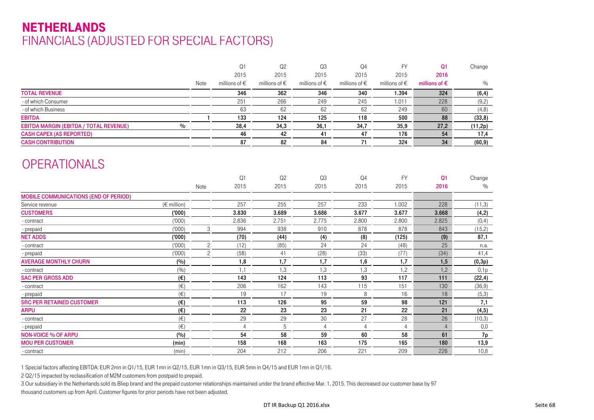### NETHERLANDSFINANCIALS (ADJUSTED FOR SPECIAL FACTORS)

|                                              |                 |                | Q1                     | Q2                     | Q3                     | Q <sub>4</sub>         | <b>FY</b>              | Q <sub>1</sub>         | Change  |
|----------------------------------------------|-----------------|----------------|------------------------|------------------------|------------------------|------------------------|------------------------|------------------------|---------|
|                                              |                 |                | 2015                   | 2015                   | 2015                   | 2015                   | 2015                   | 2016                   |         |
|                                              |                 | Note           | millions of $\epsilon$ | millions of $\epsilon$ | millions of $\epsilon$ | millions of $\epsilon$ | millions of $\epsilon$ | millions of $\epsilon$ | $\%$    |
| <b>TOTAL REVENUE</b>                         |                 |                | 346                    | 362                    | 346                    | 340                    | 1.394                  | 324                    | (6, 4)  |
| - of which Consumer                          |                 |                | 251                    | 266                    | 249                    | 245                    | 1.011                  | 228                    | (9,2)   |
| - of which Business                          |                 |                | 63                     | 62                     | 62                     | 62                     | 249                    | 60                     | (4, 8)  |
| <b>EBITDA</b>                                |                 |                | 133                    | 124                    | 125                    | 118                    | 500                    | 88                     | (33, 8) |
| EBITDA MARGIN (EBITDA / TOTAL REVENUE)       | $\%$            |                | 38,4                   | 34,3                   | 36,1                   | 34,7                   | 35,9                   | 27,2                   | (11,2p) |
| <b>CASH CAPEX (AS REPORTED)</b>              |                 |                | 46                     | 42                     | 41                     | 47                     | 176                    | 54                     | 17,4    |
| <b>CASH CONTRIBUTION</b>                     |                 |                | 87                     | 82                     | 84                     | 71                     | 324                    | 34                     | (60, 9) |
|                                              |                 |                |                        |                        |                        |                        |                        |                        |         |
| <b>OPERATIONALS</b>                          |                 |                |                        |                        |                        |                        |                        |                        |         |
|                                              |                 |                | Q <sub>1</sub>         | Q2                     | Q3                     | Q <sub>4</sub>         | <b>FY</b>              | Q <sub>1</sub>         | Change  |
|                                              |                 | Note           | 2015                   | 2015                   | 2015                   | 2015                   | 2015                   | 2016                   | $\%$    |
| <b>MOBILE COMMUNICATIONS (END OF PERIOD)</b> |                 |                |                        |                        |                        |                        |                        |                        |         |
| Service revenue                              | $(\in$ million) |                | 257                    | 255                    | 257                    | 233                    | 1.002                  | 228                    | (11,3)  |
| <b>CUSTOMERS</b>                             | (000)           |                | 3.830                  | 3.689                  | 3.686                  | 3.677                  | 3.677                  | 3.668                  | (4,2)   |
| - contract                                   | (1000)          |                | 2.836                  | 2.751                  | 2.775                  | 2.800                  | 2.800                  | 2.825                  | (0,4)   |
| - prepaid                                    | (1000)          | 3              | 994                    | 938                    | 910                    | 878                    | 878                    | 843                    | (15,2)  |
| <b>NET ADDS</b>                              | (000)           |                | (70)                   | (44)                   | (4)                    | (8)                    | (125)                  | (9)                    | 87,1    |
| - contract                                   | (000)           | $\overline{c}$ | (12)                   | (85)                   | 24                     | 24                     | (48)                   | 25                     | n.a.    |
| - prepaid                                    | (000)           | $\overline{c}$ | (58)                   | 41                     | (28)                   | (33)                   | (77)                   | (34)                   | 41,4    |
| <b>AVERAGE MONTHLY CHURN</b>                 | (%)             |                | 1,8                    | 1,7                    | 1,7                    | 1,6                    | 1,7                    | 1,5                    | (0,3p)  |
| - contract                                   | (%)             |                | 1,1                    | 1,3                    | 1,3                    | 1,3                    | 1,2                    | 1,2                    | 0,1p    |
| <b>SAC PER GROSS ADD</b>                     | $(\epsilon)$    |                | 143                    | 124                    | 113                    | 93                     | 117                    | 111                    | (22, 4) |
| - contract                                   | $(\in)$         |                | 206                    | 162                    | 143                    | 115                    | 151                    | 130                    | (36, 9) |
| - prepaid                                    | $(\in)$         |                | 19                     | 17                     | 19                     | 8                      | 16                     | 18                     | (5,3)   |
| <b>SRC PER RETAINED CUSTOMER</b>             | $(\epsilon)$    |                | 113                    | 126                    | 95                     | 59                     | 98                     | 121                    | 7,1     |
| <b>ARPU</b>                                  | $(\epsilon)$    |                | 22                     | 23                     | 23                     | 21                     | 22                     | 21                     | (4, 5)  |
| - contract                                   | $(\in)$         |                | 29                     | 29                     | 30                     | 27                     | 28                     | 26                     | (10,3)  |
| - prepaid                                    | $(\in)$         |                | $\overline{4}$         | 5                      | $\overline{4}$         | $\overline{4}$         | $\overline{4}$         | $\overline{4}$         | 0,0     |
| <b>NON-VOICE % OF ARPU</b>                   | (%)             |                | 54                     | 58                     | 59                     | 60                     | 58                     | 61                     | 7p      |
| <b>MOU PER CUSTOMER</b>                      | (min)           |                | 158                    | 168                    | 163                    | 175                    | 165                    | 180                    | 13,9    |
| - contract                                   | (min)           |                | 204                    | 212                    | 206                    | 221                    | 209                    | 226                    | 10,8    |

1 Special factors affecting EBITDA: EUR 2mn in Q1/15, EUR 1mn in Q2/15, EUR 1mn in Q3/15, EUR 5mn in Q4/15 and EUR 1mn in Q1/16.

2 Q2/15 impacted by reclassification of M2M customers from postpaid to prepaid.

3 Our subsidiary in the Netherlands sold its Bliep brand and the prepaid customer relationships maintained under the brand effective Mar. 1, 2015. This decreased our customer base by 97 thousand customers up from April. Customer figures for prior periods have not been adjusted.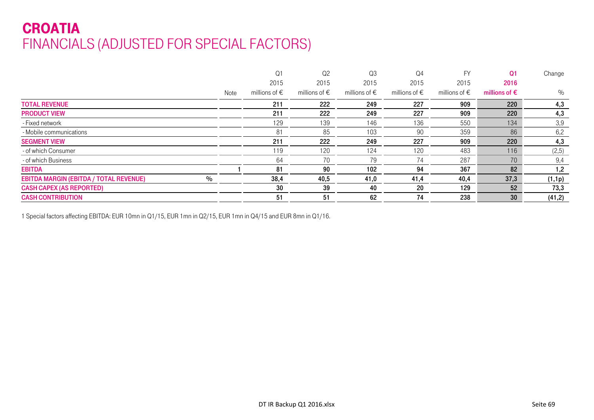# CROATIA FINANCIALS (ADJUSTED FOR SPECIAL FACTORS)

|                                                       |      | Q <sub>1</sub>         | Q <sub>2</sub>         | Q3                     | Q4                     | <b>FV</b>              | Q <sub>1</sub>         | Change |
|-------------------------------------------------------|------|------------------------|------------------------|------------------------|------------------------|------------------------|------------------------|--------|
|                                                       |      | 2015                   | 2015                   | 2015                   | 2015                   | 2015                   | 2016                   |        |
|                                                       | Note | millions of $\epsilon$ | millions of $\epsilon$ | millions of $\epsilon$ | millions of $\epsilon$ | millions of $\epsilon$ | millions of $\epsilon$ | %      |
| <b>TOTAL REVENUE</b>                                  |      | 211                    | 222                    | 249                    | 227                    | 909                    | 220                    | 4,3    |
| <b>PRODUCT VIEW</b>                                   |      | 211                    | 222                    | 249                    | 227                    | 909                    | 220                    | 4,3    |
| - Fixed network                                       |      | 129                    | 139                    | 146                    | 136                    | 550                    | 134                    | 3,9    |
| - Mobile communications                               |      | 81                     | 85                     | 103                    | 90                     | 359                    | 86                     | 6,2    |
| <b>SEGMENT VIEW</b>                                   |      | 211                    | 222                    | 249                    | 227                    | 909                    | 220                    | 4,3    |
| - of which Consumer                                   |      | 119                    | 120                    | 124                    | 120                    | 483                    | 116                    | (2,5)  |
| - of which Business                                   |      | 64                     | 70                     | 79                     | 74                     | 287                    | 70                     | 9,4    |
| <b>EBITDA</b>                                         |      | 81                     | 90                     | 102                    | 94                     | 367                    | 82                     | 1,2    |
| $\%$<br><b>EBITDA MARGIN (EBITDA / TOTAL REVENUE)</b> |      | 38,4                   | 40,5                   | 41,0                   | 41,4                   | 40,4                   | 37,3                   | (1,1p) |
| <b>CASH CAPEX (AS REPORTED)</b>                       |      | 30                     | 39                     | 40                     | 20                     | 129                    | 52                     | 73,3   |
| <b>CASH CONTRIBUTION</b>                              |      | 51                     | 51                     | 62                     | 74                     | 238                    | 30                     | (41,2) |

1 Special factors affecting EBITDA: EUR 10mn in Q1/15, EUR 1mn in Q2/15, EUR 1mn in Q4/15 and EUR 8mn in Q1/16.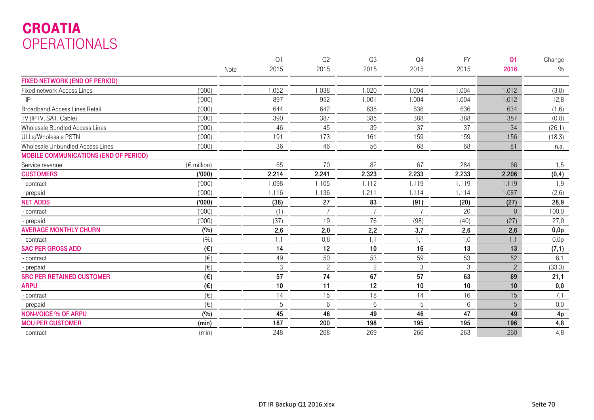# CROATIA OPERATIONALS

|                                              |                       |      | Q <sub>1</sub> | Q2             | Q3             | Q <sub>4</sub> | <b>FY</b> | Q <sub>1</sub> | Change |
|----------------------------------------------|-----------------------|------|----------------|----------------|----------------|----------------|-----------|----------------|--------|
|                                              |                       | Note | 2015           | 2015           | 2015           | 2015           | 2015      | 2016           | $\%$   |
| <b>FIXED NETWORK (END OF PERIOD)</b>         |                       |      |                |                |                |                |           |                |        |
| <b>Fixed network Access Lines</b>            | (000)                 |      | 1.052          | 1.038          | 1.020          | 1.004          | 1.004     | 1.012          | (3,8)  |
| $-IP$                                        | (000)                 |      | 897            | 952            | 1.001          | 1.004          | 1.004     | 1.012          | 12,8   |
| <b>Broadband Access Lines Retail</b>         | (000)                 |      | 644            | 642            | 638            | 636            | 636       | 634            | (1,6)  |
| TV (IPTV, SAT, Cable)                        | (000)                 |      | 390            | 387            | 385            | 388            | 388       | 387            | (0,8)  |
| Wholesale Bundled Access Lines               | (000)                 |      | 46             | 45             | 39             | 37             | 37        | 34             | (26,1) |
| ULLs/Wholesale PSTN                          | (000)                 |      | 191            | 173            | 161            | 159            | 159       | 156            | (18,3) |
| Wholesale Unbundled Access Lines             | (000)                 |      | 36             | 46             | 56             | 68             | 68        | 81             | n.a.   |
| <b>MOBILE COMMUNICATIONS (END OF PERIOD)</b> |                       |      |                |                |                |                |           |                |        |
| Service revenue                              | $(E \text{ million})$ |      | 65             | 70             | 82             | 67             | 284       | 66             | 1,5    |
| <b>CUSTOMERS</b>                             | (000)                 |      | 2.214          | 2.241          | 2.323          | 2.233          | 2.233     | 2.206          | (0, 4) |
| - contract                                   | (000)                 |      | 1.098          | 1.105          | 1.112          | 1.119          | 1.119     | 1.119          | 1,9    |
| - prepaid                                    | (000)                 |      | 1.116          | 1.136          | 1.211          | 1.114          | 1.114     | 1.087          | (2, 6) |
| <b>NET ADDS</b>                              | (000)                 |      | (38)           | 27             | 83             | (91)           | (20)      | (27)           | 28,9   |
| - contract                                   | (000)                 |      | (1)            | $\overline{7}$ |                |                | 20        | $\Omega$       | 100,0  |
| - prepaid                                    | (000)                 |      | (37)           | 19             | 76             | (98)           | (40)      | (27)           | 27,0   |
| <b>AVERAGE MONTHLY CHURN</b>                 | (%)                   |      | 2,6            | 2,0            | 2,2            | 3,7            | 2,6       | 2,6            | 0,0p   |
| - contract                                   | (9/0)                 |      | 1,1            | 0,8            | 1,1            | 1,1            | 1,0       | 1,1            | 0,0p   |
| <b>SAC PER GROSS ADD</b>                     | $(\epsilon)$          |      | 14             | 12             | 10             | 16             | 13        | 13             | (7, 1) |
| - contract                                   | $(\in)$               |      | 49             | 50             | 53             | 59             | 53        | 52             | 6,1    |
| - prepaid                                    | $(\in)$               |      | $\sqrt{3}$     | $\overline{c}$ | $\overline{c}$ | $\,3$          | 3         | $\overline{c}$ | (33,3) |
| <b>SRC PER RETAINED CUSTOMER</b>             | $(\epsilon)$          |      | 57             | 74             | 67             | 57             | 63        | 69             | 21,1   |
| <b>ARPU</b>                                  | $(\epsilon)$          |      | 10             | 11             | 12             | 10             | 10        | 10             | 0,0    |
| - contract                                   | $(\in)$               |      | 14             | 15             | 18             | 14             | 16        | 15             | 7,1    |
| - prepaid                                    | $(\in)$               |      | 5              | 6              | $6\,$          | 5              | 6         | 5              | 0,0    |
| <b>NON-VOICE % OF ARPU</b>                   | (%)                   |      | 45             | 46             | 49             | 46             | 47        | 49             | 4p     |
| <b>MOU PER CUSTOMER</b>                      | (min)                 |      | 187            | 200            | 198            | 195            | 195       | 196            | 4,8    |
| - contract                                   | (min)                 |      | 248            | 268            | 269            | 266            | 263       | 260            | 4,8    |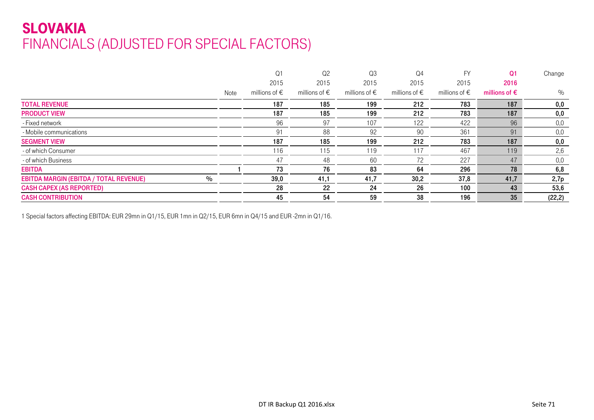# SLOVAKIA FINANCIALS (ADJUSTED FOR SPECIAL FACTORS)

|                                                       |      | Q <sub>1</sub>         | Q <sub>2</sub>         | Q <sub>3</sub>         | Q4                     | FY                     | Q <sub>1</sub>         | Change  |
|-------------------------------------------------------|------|------------------------|------------------------|------------------------|------------------------|------------------------|------------------------|---------|
|                                                       |      | 2015                   | 2015                   | 2015                   | 2015                   | 2015                   | 2016                   |         |
|                                                       | Note | millions of $\epsilon$ | millions of $\epsilon$ | millions of $\epsilon$ | millions of $\epsilon$ | millions of $\epsilon$ | millions of $\epsilon$ | %       |
| <b>TOTAL REVENUE</b>                                  |      | 187                    | 185                    | 199                    | 212                    | 783                    | 187                    | 0,0     |
| <b>PRODUCT VIEW</b>                                   |      | 187                    | 185                    | 199                    | 212                    | 783                    | 187                    | 0,0     |
| - Fixed network                                       |      | 96                     | 97                     | 107                    | 122                    | 422                    | 96                     | 0,0     |
| - Mobile communications                               |      | 91                     | 88                     | 92                     | 90                     | 361                    | 91                     | 0,0     |
| <b>SEGMENT VIEW</b>                                   |      | 187                    | 185                    | 199                    | 212                    | 783                    | 187                    | 0,0     |
| - of which Consumer                                   |      | 116                    | 115                    | 119                    | 117                    | 467                    | 119                    | 2,6     |
| - of which Business                                   |      | 47                     | 48                     | 60                     | 72                     | 227                    | 47                     | 0,0     |
| <b>EBITDA</b>                                         |      | 73                     | 76                     | 83                     | 64                     | 296                    | 78                     | 6,8     |
| $\%$<br><b>EBITDA MARGIN (EBITDA / TOTAL REVENUE)</b> |      | 39,0                   | 41,1                   | 41,7                   | 30,2                   | 37,8                   | 41,7                   | 2,7p    |
| <b>CASH CAPEX (AS REPORTED)</b>                       |      | 28                     | 22                     | 24                     | 26                     | 100                    | 43                     | 53,6    |
| <b>CASH CONTRIBUTION</b>                              |      | 45                     | 54                     | 59                     | 38                     | 196                    | 35                     | (22, 2) |

1 Special factors affecting EBITDA: EUR 29mn in Q1/15, EUR 1mn in Q2/15, EUR 6mn in Q4/15 and EUR -2mn in Q1/16.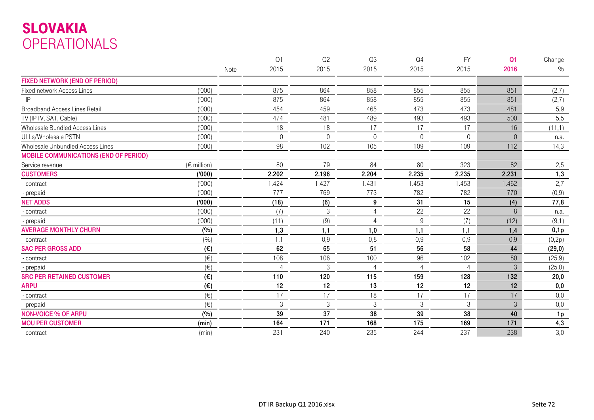# SLOVAKIA OPERATIONALS

|                                              |                      |      | Q <sub>1</sub> | Q2       | Q3               | Q <sub>4</sub> | <b>FY</b>      | Q <sub>1</sub> | Change         |
|----------------------------------------------|----------------------|------|----------------|----------|------------------|----------------|----------------|----------------|----------------|
|                                              |                      | Note | 2015           | 2015     | 2015             | 2015           | 2015           | 2016           | $\%$           |
| <b>FIXED NETWORK (END OF PERIOD)</b>         |                      |      |                |          |                  |                |                |                |                |
| <b>Fixed network Access Lines</b>            | (000)                |      | 875            | 864      | 858              | 855            | 855            | 851            | (2,7)          |
| $-IP$                                        | (000)                |      | 875            | 864      | 858              | 855            | 855            | 851            | (2,7)          |
| <b>Broadband Access Lines Retail</b>         | (000)                |      | 454            | 459      | 465              | 473            | 473            | 481            | 5,9            |
| TV (IPTV, SAT, Cable)                        | (000)                |      | 474            | 481      | 489              | 493            | 493            | 500            | 5,5            |
| Wholesale Bundled Access Lines               | (000)                |      | 18             | 18       | 17               | 17             | 17             | 16             | (11,1)         |
| ULLs/Wholesale PSTN                          | (000)                |      | $\Omega$       | $\Omega$ | $\Omega$         | $\Omega$       | $\Omega$       | $\Omega$       | n.a.           |
| Wholesale Unbundled Access Lines             | (1000)               |      | 98             | 102      | 105              | 109            | 109            | 112            | 14,3           |
| <b>MOBILE COMMUNICATIONS (END OF PERIOD)</b> |                      |      |                |          |                  |                |                |                |                |
| Service revenue                              | $(\epsilon$ million) |      | 80             | 79       | 84               | 80             | 323            | 82             | 2,5            |
| <b>CUSTOMERS</b>                             | ('000)               |      | 2.202          | 2.196    | 2.204            | 2.235          | 2.235          | 2.231          | 1,3            |
| - contract                                   | (000)                |      | 1.424          | 1.427    | 1.431            | 1.453          | 1.453          | 1.462          | 2,7            |
| - prepaid                                    | (000)                |      | 777            | 769      | 773              | 782            | 782            | 770            | (0,9)          |
| <b>NET ADDS</b>                              | (000)                |      | (18)           | (6)      | $\boldsymbol{9}$ | 31             | 15             | (4)            | 77,8           |
| - contract                                   | (000)                |      | (7)            | 3        | 4                | 22             | 22             | 8              | n.a.           |
| - prepaid                                    | (1000)               |      | (11)           | (9)      | $\overline{4}$   | 9              | (7)            | (12)           | (9,1)          |
| <b>AVERAGE MONTHLY CHURN</b>                 | (%)                  |      | 1,3            | 1,1      | 1,0              | 1,1            | 1,1            | 1,4            | 0,1p           |
| - contract                                   | (%)                  |      | 1,1            | 0,9      | 0,8              | 0,9            | 0,9            | 0,9            | (0,2p)         |
| <b>SAC PER GROSS ADD</b>                     | $(\epsilon)$         |      | 62             | 65       | 51               | 56             | 58             | 44             | (29,0)         |
| - contract                                   | $(\in)$              |      | 108            | 106      | 100              | 96             | 102            | 80             | (25, 9)        |
| - prepaid                                    | $(\in)$              |      | $\overline{4}$ | 3        | $\overline{4}$   | 4              | $\overline{4}$ | 3              | (25,0)         |
| <b>SRC PER RETAINED CUSTOMER</b>             | $(\epsilon)$         |      | 110            | 120      | 115              | 159            | 128            | 132            | 20,0           |
| <b>ARPU</b>                                  | $(\epsilon)$         |      | 12             | 12       | 13               | 12             | 12             | 12             | 0,0            |
| - contract                                   | $(\in)$              |      | 17             | 17       | 18               | 17             | 17             | 17             | 0,0            |
| - prepaid                                    | $(\in)$              |      | $\sqrt{3}$     | 3        | $\mathfrak{Z}$   | $\mathfrak{Z}$ | $\mathfrak{Z}$ | 3              | 0,0            |
| <b>NON-VOICE % OF ARPU</b>                   | (%)                  |      | 39             | 37       | 38               | 39             | 38             | 40             | 1 <sub>p</sub> |
| <b>MOU PER CUSTOMER</b>                      | (min)                |      | 164            | 171      | 168              | 175            | 169            | 171            | 4,3            |
| - contract                                   | (min)                |      | 231            | 240      | 235              | 244            | 237            | 238            | 3,0            |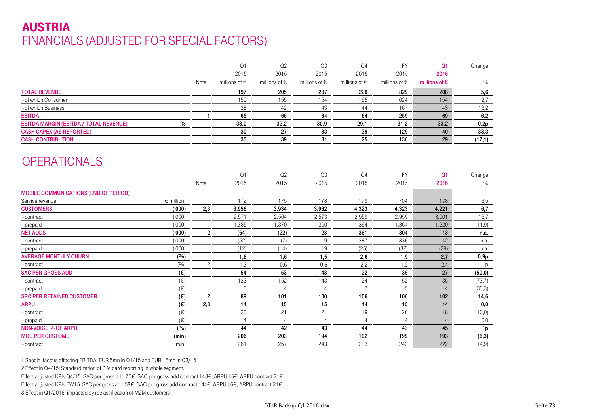## AUSTRIAFINANCIALS (ADJUSTED FOR SPECIAL FACTORS)

|                                                       |                         | Q1                | Q2                | Q3                     | Q <sub>4</sub>    | <b>FY</b>              | Q <sub>1</sub>         | Change  |
|-------------------------------------------------------|-------------------------|-------------------|-------------------|------------------------|-------------------|------------------------|------------------------|---------|
|                                                       |                         | 2015              | 2015              | 2015                   | 2015              | 2015                   | 2016                   |         |
|                                                       | Note                    | millions of $\in$ | millions of $\in$ | millions of $\epsilon$ | millions of $\in$ | millions of $\epsilon$ | millions of $\epsilon$ | $\%$    |
| <b>TOTAL REVENUE</b>                                  |                         | 197               | 205               | 207                    | 220               | 829                    | 208                    | 5,6     |
| - of which Consumer                                   |                         | 150               | 155               | 154                    | 165               | 624                    | 154                    | 2,7     |
| - of which Business                                   |                         | 38                | 42                | 43                     | 44                | 167                    | 43                     | 13,2    |
| <b>EBITDA</b>                                         |                         | 65                | 66                | 64                     | 64                | 259                    | 69                     | 6,2     |
| $\%$<br><b>EBITDA MARGIN (EBITDA / TOTAL REVENUE)</b> |                         | 33,0              | 32,2              | 30,9                   | 29,1              | 31,2                   | 33,2                   | 0,2p    |
| <b>CASH CAPEX (AS REPORTED)</b>                       |                         | 30                | 27                | 33                     | 39                | 129                    | 40                     | 33,3    |
| <b>CASH CONTRIBUTION</b>                              |                         | 35                | 39                | 31                     | 25                | 130                    | 29                     | (17,1)  |
| <b>OPERATIONALS</b>                                   |                         |                   |                   |                        |                   |                        |                        |         |
|                                                       |                         | Q1                | Q2                | Q3                     | Q <sub>4</sub>    | <b>FY</b>              | Q <sub>1</sub>         | Change  |
|                                                       | Note                    | 2015              | 2015              | 2015                   | 2015              | 2015                   | 2016                   | $\%$    |
| <b>MOBILE COMMUNICATIONS (END OF PERIOD)</b>          |                         |                   |                   |                        |                   |                        |                        |         |
| $(\epsilon$ million)<br>Service revenue               |                         | 172               | 175               | 178                    | 179               | 704                    | 178                    | 3,5     |
| <b>CUSTOMERS</b><br>(000)                             | 2,3                     | 3.956             | 3.934             | 3.962                  | 4.323             | 4.323                  | 4.221                  | 6,7     |
| (1000)<br>- contract                                  |                         | 2.571             | 2.564             | 2.573                  | 2.959             | 2.959                  | 3.001                  | 16,7    |
| (1000)<br>- prepaid                                   |                         | 1.385             | 1.370             | 1.390                  | 1.364             | 1.364                  | 1.220                  | (11, 9) |
| <b>NET ADDS</b><br>(000)                              | $\overline{\mathbf{c}}$ | (64)              | (22)              | 28                     | 361               | 304                    | 13                     | n.a.    |
| (000)<br>- contract                                   |                         | (52)              | (7)               | $9\,$                  | 387               | 336                    | 42                     | n.a.    |
| (000)<br>- prepaid                                    |                         | (12)              | (14)              | 19                     | (25)              | (32)                   | (29)                   | n.a.    |
| <b>AVERAGE MONTHLY CHURN</b><br>(%)                   |                         | 1,8               | 1,6               | 1,5                    | 2,6               | 1,9                    | 2,7                    | 0,9p    |
| (%)<br>- contract                                     | $\overline{c}$          | 1,3               | 0,6               | 0,6                    | 2,2               | 1,2                    | 2,4                    | 1,1p    |
| <b>SAC PER GROSS ADD</b><br>$(\epsilon)$              |                         | 54                | 53                | 48                     | 22                | 35                     | 27                     | (50, 0) |
| $(\in)$<br>- contract                                 |                         | 133               | 152               | 143                    | 24                | 52                     | 35                     | (73,7)  |
| $(\in)$<br>- prepaid                                  |                         | 6                 | $\Delta$          | $\overline{4}$         | $\overline{7}$    | 5                      | $\overline{4}$         | (33,3)  |
| <b>SRC PER RETAINED CUSTOMER</b><br>$(\epsilon)$      | $\overline{c}$          | 89                | 101               | 100                    | 106               | 100                    | 102                    | 14,6    |
| <b>ARPU</b><br>$(\epsilon)$                           | 2,3                     | 14                | 15                | 15                     | 14                | 15                     | 14                     | 0,0     |
| $(\in)$<br>- contract                                 |                         | 20                | 21                | 21                     | 19                | 20                     | 18                     | (10,0)  |
| $(\in)$<br>- prepaid                                  |                         | $\overline{4}$    | $\overline{4}$    | $\overline{4}$         | $\overline{4}$    | $\overline{4}$         | $\overline{4}$         | 0,0     |
| (%)<br><b>NON-VOICE % OF ARPU</b>                     |                         | 44                | 42                | 43                     | 44                | 43                     | 45                     | 1p      |
| <b>MOU PER CUSTOMER</b><br>(min)                      |                         | 206               | 203               | 194                    | 192               | 199                    | 193                    | (6, 3)  |
| (min)<br>- contract                                   |                         | 261               | 257               | 243                    | 233               | 242                    | 222                    | (14, 9) |

1 Special factors affecting EBITDA: EUR 5mn in Q1/15 and EUR 16mn in Q3/15.

2 Effect in Q4/15: Standardization of SIM card reporting in whole segment.

Effect adjusted KPIs Q4/15: SAC per gross add 76€, SAC per gross add contract 143€, ARPU 15€, ARPU contract 21€.

Effect adjusted KPIs FY/15: SAC per gross add 58€, SAC per gross add contract 144€, ARPU 16€, ARPU contract 21€.

3 Effect in Q1/2016: impacted by reclassification of M2M customers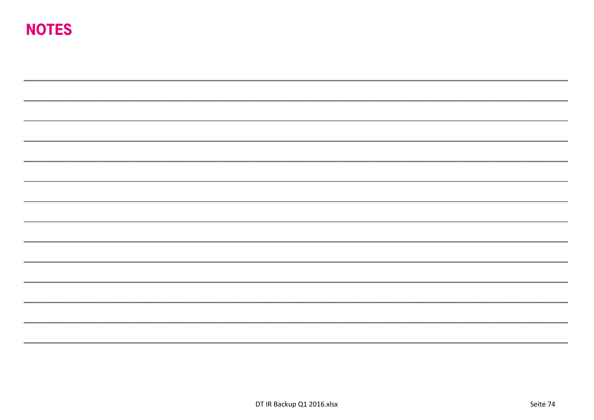# NOTES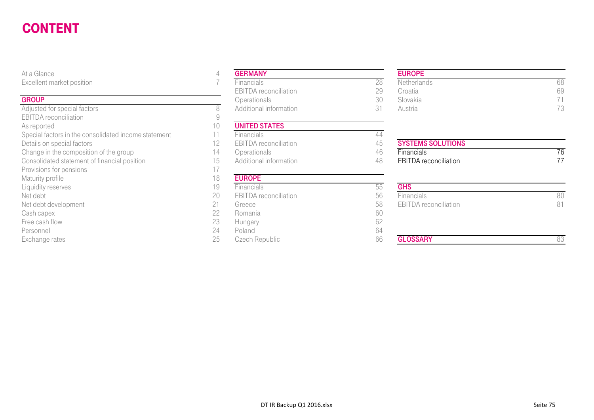#### CONTENTgeneral production of the control of the control of the control of the control of the control of the control of

#### **GROUP**

| At a Glance                                          | 4  | <b>GERMANY</b>               |    |
|------------------------------------------------------|----|------------------------------|----|
| Excellent market position                            |    | Financials                   | 28 |
|                                                      |    | <b>EBITDA</b> reconciliation | 29 |
| <b>GROUP</b>                                         |    | Operationals                 | 30 |
| Adjusted for special factors                         | 8  | Additional information       | 31 |
| <b>EBITDA</b> reconciliation                         | 9  |                              |    |
| As reported                                          | 10 | <b>UNITED STATES</b>         |    |
| Special factors in the consolidated income statement | 11 | Financials                   | 44 |
| Details on special factors                           | 12 | <b>EBITDA</b> reconciliation | 45 |
| Change in the composition of the group               | 14 | Operationals                 | 46 |
| Consolidated statement of financial position         | 15 | Additional information       | 48 |
| Provisions for pensions                              | 17 |                              |    |
| Maturity profile                                     | 18 | <b>EUROPE</b>                |    |
| Liquidity reserves                                   | 19 | Financials                   | 55 |
| Net debt                                             | 20 | <b>EBITDA</b> reconciliation | 56 |
| Net debt development                                 | 21 | Greece                       | 58 |
| Cash capex                                           | 22 | Romania                      | 60 |
| Free cash flow                                       | 23 | Hungary                      | 62 |
| Personnel                                            | 24 | Poland                       | 64 |
| Exchange rates                                       | 25 | Czech Republic               | 66 |

#### EUROPE

| ------                 | ___________                  |        | _______            |    |
|------------------------|------------------------------|--------|--------------------|----|
| ent market position    | Financials                   | ററ     | <b>Netherlands</b> | 68 |
|                        | <b>EBITDA</b> reconciliation | $\cap$ | Croatia            | 69 |
|                        | <b>Operationals</b>          | JU     | Slovakia           |    |
| ed for special factors | Additional information       |        | Austria            | 70 |

| I O | <b>CUNUPE</b>                |    |                              |    |
|-----|------------------------------|----|------------------------------|----|
| 19  | Financials                   | UU | <b>GHS</b>                   |    |
| 20  | <b>EBITDA</b> reconciliation | 56 | <b>Financials</b>            | 80 |
| 21  | Greece                       | 58 | <b>EBITDA</b> reconciliation | 81 |
| 22  | Romania                      | 60 |                              |    |
| 23  | Hungary                      | bΖ |                              |    |
| 24  | Poland                       | 64 |                              |    |
| 25  | Czech Republic               | 66 | <b>GLOSSARY</b>              |    |
|     |                              |    |                              |    |
|     |                              |    |                              |    |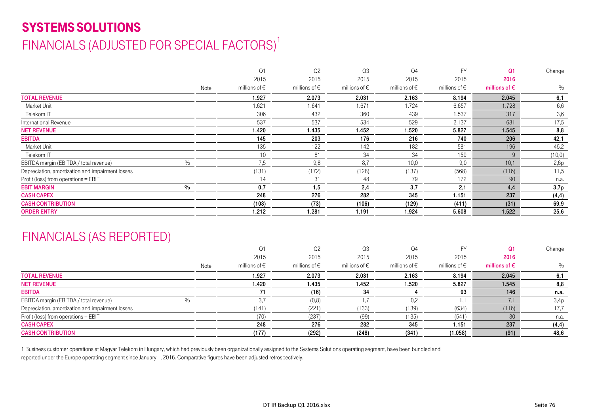# SYSTEMS SOLUTIONS

# FINANCIALS (ADJUSTED FOR SPECIAL FACTORS)<sup>1</sup>

|                                                  |      |      | Q <sub>1</sub>         | Q <sub>2</sub>         | Q <sub>3</sub>         | Q <sub>4</sub>         | <b>FY</b>              | Q <sub>1</sub>         | Change  |
|--------------------------------------------------|------|------|------------------------|------------------------|------------------------|------------------------|------------------------|------------------------|---------|
|                                                  |      |      | 2015                   | 2015                   | 2015                   | 2015                   | 2015                   | 2016                   |         |
|                                                  |      | Note | millions of $\epsilon$ | millions of $\epsilon$ | millions of $\epsilon$ | millions of $\epsilon$ | millions of $\epsilon$ | millions of $\epsilon$ | $\%$    |
| <b>TOTAL REVENUE</b>                             |      |      | 1.927                  | 2.073                  | 2.031                  | 2.163                  | 8.194                  | 2.045                  | 6,1     |
| Market Unit                                      |      |      | 1.621                  | 1.641                  | 1.671                  | 1.724                  | 6.657                  | 1.728                  | 6,6     |
| Telekom IT                                       |      |      | 306                    | 432                    | 360                    | 439                    | 1.537                  | 317                    | 3,6     |
| International Revenue                            |      |      | 537                    | 537                    | 534                    | 529                    | 2.137                  | 631                    | 17,5    |
| <b>NET REVENUE</b>                               |      |      | 1.420                  | 1.435                  | 1.452                  | 1.520                  | 5.827                  | 1.545                  | 8,8     |
| <b>EBITDA</b>                                    |      |      | 145                    | 203                    | 176                    | 216                    | 740                    | 206                    | 42,1    |
| Market Unit                                      |      |      | 135                    | 122                    | 142                    | 182                    | 581                    | 196                    | 45,2    |
| Telekom IT                                       |      |      | 10 <sup>1</sup>        | 81                     | 34                     | 34                     | 159                    | $\mathbf{Q}$           | (10, 0) |
| EBITDA margin (EBITDA / total revenue)           | $\%$ |      | 7,5                    | 9,8                    | 8,7                    | 10,0                   | 9,0                    | 10.1                   | 2,6p    |
| Depreciation, amortization and impairment losses |      |      | (131)                  | (172)                  | (128)                  | (137)                  | (568)                  | (116)                  | 11,5    |
| Profit (loss) from operations = EBIT             |      |      | 14                     | 31                     | 48                     | 79                     | 172                    | 90                     | n.a.    |
| <b>EBIT MARGIN</b>                               | $\%$ |      | 0.7                    | 1,5                    | 2,4                    | 3,7                    | 2,1                    | 4,4                    | 3,7p    |
| <b>CASH CAPEX</b>                                |      |      | 248                    | 276                    | 282                    | 345                    | 1.151                  | 237                    | (4, 4)  |
| <b>CASH CONTRIBUTION</b>                         |      |      | (103)                  | (73)                   | (106)                  | (129)                  | (411)                  | (31)                   | 69,9    |
| <b>ORDER ENTRY</b>                               |      |      | 1.212                  | 1.281                  | 1.191                  | 1.924                  | 5.608                  | 1.522                  | 25,6    |

## FINANCIALS (AS REPORTED)

|                                                  |      | $\Omega$ 1             | Q <sub>2</sub>         | Q3                     | Q4                     | EV                     |                        | Change |
|--------------------------------------------------|------|------------------------|------------------------|------------------------|------------------------|------------------------|------------------------|--------|
|                                                  |      | 2015                   | 2015                   | 2015                   | 2015                   | 2015                   | 2016                   |        |
|                                                  | Note | millions of $\epsilon$ | millions of $\epsilon$ | millions of $\epsilon$ | millions of $\epsilon$ | millions of $\epsilon$ | millions of $\epsilon$ | %      |
| <b>TOTAL REVENUE</b>                             |      | 1.927                  | 2.073                  | 2.031                  | 2.163                  | 8.194                  | 2.045                  | 6,1    |
| <b>NET REVENUE</b>                               |      | 1.420                  | 1.435                  | 1.452                  | 1.520                  | 5.827                  | 1.545                  | 8,8    |
| <b>EBITDA</b>                                    |      |                        | (16)                   | 34                     |                        | 93                     | 146                    | n.a.   |
| EBITDA margin (EBITDA / total revenue)           |      |                        | (0,8)                  |                        | 0,2                    |                        |                        | 3,4p   |
| Depreciation, amortization and impairment losses |      | (141)                  | (221)                  | (133)                  | (139)                  | (634)                  | (116)                  | 17,7   |
| Profit (loss) from operations = EBIT             |      | (70)                   | (237)                  | (99)                   | (135)                  | (541)                  | 30                     | n.a.   |
| <b>CASH CAPEX</b>                                |      | 248                    | 276                    | 282                    | 345                    | 1.151                  | 237                    | (4, 4) |
| <b>CASH CONTRIBUTION</b>                         |      | (177)                  | (292)                  | (248)                  | (341)                  | (1.058)                | (91)                   | 48,6   |

1 Business customer operations at Magyar Telekom in Hungary, which had previously been organizationally assigned to the Systems Solutions operating segment, have been bundled and reported under the Europe operating segment since January 1, 2016. Comparative figures have been adjusted retrospectively.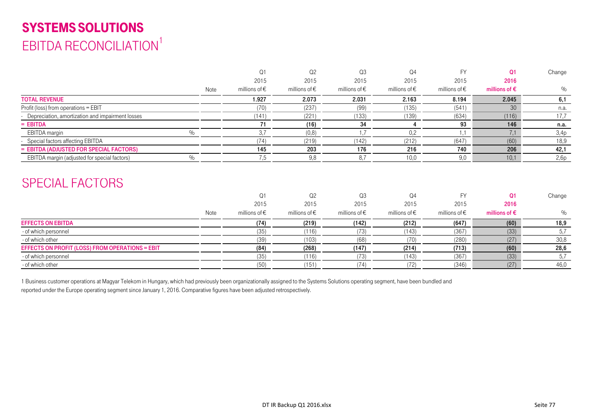# SYSTEMS SOLUTIONS EBITDA RECONCILIATION<sup>1</sup>

|                                                      |      | Q <sub>1</sub>         | Q <sub>2</sub>         | Q <sub>3</sub>         | Q <sub>4</sub>         | <b>FY</b>              | O <sub>1</sub>         | Change |
|------------------------------------------------------|------|------------------------|------------------------|------------------------|------------------------|------------------------|------------------------|--------|
|                                                      |      | 2015                   | 2015                   | 2015                   | 2015                   | 2015                   | 2016                   |        |
|                                                      | Note | millions of $\epsilon$ | millions of $\epsilon$ | millions of $\epsilon$ | millions of $\epsilon$ | millions of $\epsilon$ | millions of $\epsilon$ | %      |
| <b>TOTAL REVENUE</b>                                 |      | 1.927                  | 2.073                  | 2.031                  | 2.163                  | 8.194                  | 2.045                  | 6,1    |
| Profit (loss) from operations = EBIT                 |      | (70)                   | (237)                  | (99)                   | (135)                  | (541)                  | 30                     | n.a.   |
| - Depreciation, amortization and impairment losses   |      | (141)                  | (221)                  | (133)                  | (139)                  | (634)                  | (116)                  | 17,7   |
| $=$ EBITDA                                           |      | 71                     | (16)                   | 34                     |                        | 93                     | 146                    | n.a.   |
| $\%$<br>EBITDA margin                                |      | 3,7                    | (0,8)                  | 1,7                    | 0,2                    | 1,1                    | 7,1                    | 3,4p   |
| - Special factors affecting EBITDA                   |      | (74)                   | (219)                  | (142)                  | (212)                  | (647)                  | (60)                   | 18,9   |
| = EBITDA (ADJUSTED FOR SPECIAL FACTORS)              |      | 145                    | 203                    | 176                    | 216                    | 740                    | 206                    | 42,1   |
| $\%$<br>EBITDA margin (adjusted for special factors) |      | 7,5                    | 9,8                    | 8,7                    | 10,0                   | 9,0                    | 10,1                   | 2,6p   |
| <b>SPECIAL FACTORS</b>                               |      |                        |                        |                        |                        |                        |                        |        |
|                                                      |      | Q <sub>1</sub>         | Q <sub>2</sub>         | Q <sub>3</sub>         | Q <sub>4</sub>         | <b>FY</b>              | <b>O1</b>              | Change |
|                                                      |      | 2015                   | 2015                   | 2015                   | 2015                   | 2015                   | 2016                   |        |
|                                                      | Note | millions of $\epsilon$ | millions of $\epsilon$ | millions of $\epsilon$ | millions of $\epsilon$ | millions of $\epsilon$ | millions of $\epsilon$ | $\%$   |
| <b>EFFECTS ON EBITDA</b>                             |      | (74)                   | (219)                  | (142)                  | (212)                  | (647)                  | (60)                   | 18,9   |
| - of which personnel                                 |      | (35)                   | (116)                  | (73)                   | (143)                  | (367)                  | (33)                   | 5,7    |
| - of which other                                     |      | (39)                   | (103)                  | (68)                   | (70)                   | (280)                  | (27)                   | 30,8   |
| EFFECTS ON PROFIT (LOSS) FROM OPERATIONS = EBIT      |      | (84)                   | (268)                  | (147)                  | (214)                  | (713)                  | (60)                   | 28,6   |
| - of which personnel                                 |      | (35)                   | (116)                  | (73)                   | (143)                  | (367)                  | (33)                   | 5,7    |
| - of which other                                     |      | (50)                   | (151)                  | (74)                   | (72)                   | (346)                  | (27)                   | 46,0   |

1 Business customer operations at Magyar Telekom in Hungary, which had previously been organizationally assigned to the Systems Solutions operating segment, have been bundled and reported under the Europe operating segment since January 1, 2016. Comparative figures have been adjusted retrospectively.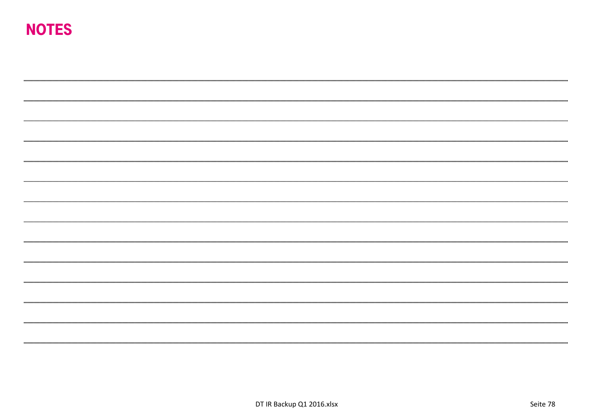# NOTES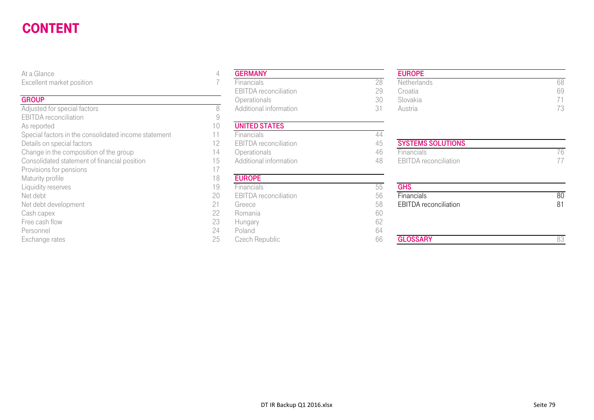#### CONTENT $\blacksquare$ Ghendale and Ghendale and Ghendale and Ghendale and Ghendale and Ghendale and Ghendale and Ghendale and Ghendale and Ghendale and Ghendale and Ghendale and Ghendale and Ghendale and Ghendale and Ghendale and Ghendal

#### **GROUP**

Adjusted for special factors and the set of the set of the SAD Additional information 31 Additional information 31 Austria 731 EBITDA reconciliation As reported 10<br>Special factors in the consolidated income statement 11 Special factors in the consolidated income statement 11 Financials **Financials** 44 Details on special factors<br>
Change in the composition of the group<br>
Change in the composition of the group<br>

2008 - 2014 Derationals Consolidated statement of financial position 15 Additional information 48 EBITDA reconciliation 17<br>Provisions for pensions Provisions for pensions Maturity profile 18<br>
Liquidity reserves 19 Liquidity reserves 55 Net debt 20 EBITDA reconciliation 56Net debt development 68 EBIT DATE: 100 EBITDA RECONCILIATION 81 Extended 58 EBITORAL RECONCILIATION 81 Cash capex 22 Romania 60 Free cash flow 23 Hungary 62 Personnel 24 Poland 64

| At a Glance                                          | 4  | <b>GERMANY</b>               |    |
|------------------------------------------------------|----|------------------------------|----|
| Excellent market position                            |    | Financials                   | 28 |
|                                                      |    | <b>EBITDA</b> reconciliation | 29 |
| <b>GROUP</b>                                         |    | Operationals                 | 30 |
| Adjusted for special factors                         | 8  | Additional information       | 31 |
| <b>EBITDA</b> reconciliation                         | 9  |                              |    |
| As reported                                          | 10 | <b>UNITED STATES</b>         |    |
| Special factors in the consolidated income statement | 11 | Financials                   | 44 |
| Details on special factors                           | 12 | <b>EBITDA</b> reconciliation | 45 |
| Change in the composition of the group               | 14 | Operationals                 | 46 |
| Consolidated statement of financial position         | 15 | Additional information       | 48 |
| Provisions for pensions                              | 17 |                              |    |
| Maturity profile                                     | 18 | <b>EUROPE</b>                |    |
| Liquidity reserves                                   | 19 | Financials                   | 55 |
| Net debt                                             | 20 | <b>EBITDA</b> reconciliation | 56 |
| Net debt development                                 | 21 | Greece                       | 58 |
| Cash capex                                           | 22 | Romania                      | 60 |
| Free cash flow                                       | 23 | Hungary                      | 62 |
| Personnel                                            | 24 | Poland                       | 64 |
| Exchange rates                                       | 25 | Czech Republic               | 66 |

#### EUROPE

| $\sim$ $\sim$ $\sim$   | .                            |    | .           |    |
|------------------------|------------------------------|----|-------------|----|
| ent market position    | ⊦inancials                   |    | Netherlands | 68 |
|                        | <b>EBITDA</b> reconciliation | 20 | Croatia     | 69 |
|                        | <b>Operationals</b>          | 3U | Slovakia    |    |
| ed for special factors | Additional information       |    | Austria     |    |

# Change in the composition of the group 14 Operationals 14 Operationals 46 Financials 76

| iviaturity profile-  | 1 O | <b>EURUPE</b>                |    |                              |    |
|----------------------|-----|------------------------------|----|------------------------------|----|
| Liquidity reserves   | 19  | <b>Financials</b>            |    | <b>GHS</b>                   |    |
| Net debt             | 20  | <b>EBITDA</b> reconciliation | 56 | Financials                   | 80 |
| Net debt development | 21  | Greece                       | 58 | <b>EBITDA</b> reconciliation | 81 |
| Cash capex           | 22  | Romania                      | 60 |                              |    |
| Free cash flow       | 23  | Hungary                      |    |                              |    |
| Personnel            | 24  | Poland                       | 64 |                              |    |
| Exchange rates       | 25  | Czech Republic               | 66 | <b>GLOSSARY</b>              |    |
|                      |     |                              |    |                              |    |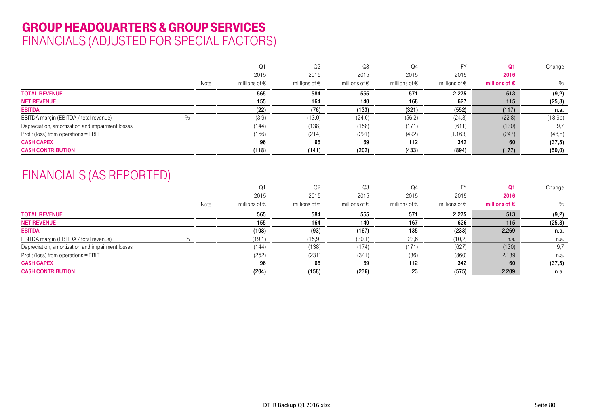## GROUP HEADQUARTERS & GROUP SERVICES FINANCIALS (ADJUSTED FOR SPECIAL FACTORS)

|                                                  |      | Q1                     | Q <sub>2</sub>         | Q3                | Q4                     |                        | O <sub>1</sub>         | Change  |
|--------------------------------------------------|------|------------------------|------------------------|-------------------|------------------------|------------------------|------------------------|---------|
|                                                  |      | 2015                   | 2015                   | 2015              | 2015                   | 2015                   | 2016                   |         |
|                                                  | Note | millions of $\epsilon$ | millions of $\epsilon$ | millions of $\in$ | millions of $\epsilon$ | millions of $\epsilon$ | millions of $\epsilon$ | $\%$    |
| <b>TOTAL REVENUE</b>                             |      | 565                    | 584                    | 555               | 571                    | 2.275                  | 513                    | (9,2)   |
| <b>NET REVENUE</b>                               |      | 155                    | 164                    | 140               | 168                    | 627                    | 115                    | (25, 8) |
| <b>EBITDA</b>                                    |      | (22)                   | (76)                   | (133)             | (321)                  | (552)                  | (117)                  | n.a.    |
| EBITDA margin (EBITDA / total revenue)<br>$\%$   |      | (3,9)                  | (13,0)                 | (24,0)            | (56,2)                 | (24,3)                 | (22,8)                 | (18,9p) |
| Depreciation, amortization and impairment losses |      | (144)                  | (138)                  | (158)             | (171                   | (611)                  | (130)                  | 9,7     |
| Profit (loss) from operations = EBIT             |      | (166)                  | (214)                  | (291)             | (492)                  | (1.163)                | (247)                  | (48, 8) |
| <b>CASH CAPEX</b>                                |      | 96                     | 65                     | 69                | 112                    | 342                    | 60                     | (37,5)  |
| <b>CASH CONTRIBUTION</b>                         |      | (118)                  | (141)                  | (202)             | (433)                  | (894)                  | (177)                  | (50, 0) |

## FINANCIALS (AS REPORTED)

|                                                  |                                | Q <sub>2</sub>         | Q3                     | Q4                     |                        |                        | Change  |
|--------------------------------------------------|--------------------------------|------------------------|------------------------|------------------------|------------------------|------------------------|---------|
|                                                  | 2015                           | 2015                   | 2015                   | 2015                   | 2015                   | 2016                   |         |
|                                                  | millions of $\epsilon$<br>Note | millions of $\epsilon$ | millions of $\epsilon$ | millions of $\epsilon$ | millions of $\epsilon$ | millions of $\epsilon$ | %       |
| <b>TOTAL REVENUE</b>                             | 565                            | 584                    | 555                    | 571                    | 2.275                  | 513                    | (9,2)   |
| <b>NET REVENUE</b>                               | 155                            | 164                    | 140                    | 167                    | 626                    | 115                    | (25, 8) |
| <b>EBITDA</b>                                    | (108)                          | (93)                   | (167)                  | 135                    | (233)                  | 2.269                  | n.a.    |
| EBITDA margin (EBITDA / total revenue)           | (19,1)                         | (15, 9)                | (30,1)                 | 23,6                   | (10,2)                 | n.a.                   | n.a.    |
| Depreciation, amortization and impairment losses | (144)                          | (138)                  | (174)                  | (171)                  | (627)                  | (130)                  | 9,7     |
| Profit (loss) from operations = EBIT             | (252)                          | (231)                  | (341)                  | (36)                   | (860)                  | 2.139                  | n.a.    |
| <b>CASH CAPEX</b>                                | 96                             | 65                     | 69                     | 112                    | 342                    | 60                     | (37, 5) |
| <b>CASH CONTRIBUTION</b>                         | (204)                          | (158)                  | (236)                  | 23                     | (575)                  | 2.209                  | n.a.    |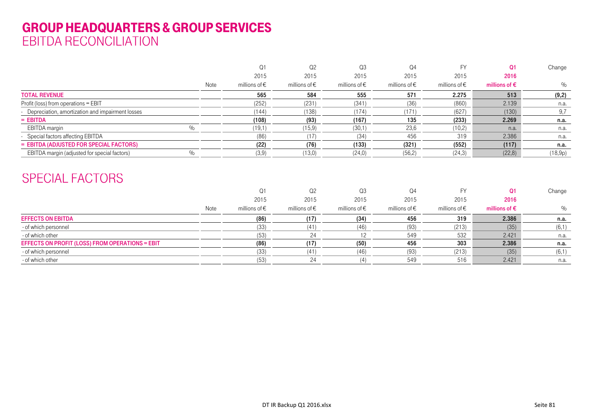## GROUP HEADQUARTERS & GROUP SERVICES EBITDA RECONCILIATION

|                                                    |      |                        | Q2                     | Q3                | Q4                     |                        |                        | Change  |
|----------------------------------------------------|------|------------------------|------------------------|-------------------|------------------------|------------------------|------------------------|---------|
|                                                    |      | 2015                   | 2015                   | 2015              | 2015                   | 2015                   | 2016                   |         |
|                                                    | Note | millions of $\epsilon$ | millions of $\epsilon$ | millions of $\in$ | millions of $\epsilon$ | millions of $\epsilon$ | millions of $\epsilon$ | $\%$    |
| <b>TOTAL REVENUE</b>                               |      | 565                    | 584                    | 555               | 571                    | 2.275                  | 513                    | (9,2)   |
| Profit (loss) from operations = EBIT               |      | (252)                  | (231)                  | (341)             | (36)                   | (860)                  | 2.139                  | n.a.    |
| - Depreciation, amortization and impairment losses |      | (144)                  | (138)                  | (174)             | (171                   | (627)                  | (130)                  | 9,7     |
| $=$ EBITDA                                         |      | (108)                  | (93)                   | (167)             | 135                    | (233)                  | 2.269                  | n.a.    |
| EBITDA margin                                      |      | (19,1)                 | (15, 9)                | (30,1)            | 23,6                   | (10,2)                 | n.a.                   | n.a.    |
| Special factors affecting EBITDA                   |      | (86                    | (17)                   | (34)              | 456                    | 319                    | 2.386                  | n.a.    |
| = EBITDA (ADJUSTED FOR SPECIAL FACTORS)            |      | (22)                   | (76)                   | (133)             | (321)                  | (552)                  | (117)                  | n.a.    |
| EBITDA margin (adjusted for special factors)       |      | (3,9)                  | (13,0)                 | (24, 0)           | (56,2)                 | (24, 3)                | (22,8)                 | (18,9p) |

## SPECIAL FACTORS

|                                                 |      |                        | Q <sub>2</sub>         | Q3                     | Q4                     |                        |                        | Change |
|-------------------------------------------------|------|------------------------|------------------------|------------------------|------------------------|------------------------|------------------------|--------|
|                                                 |      | 2015                   | 2015                   | 2015                   | 2015                   | 2015                   | 2016                   |        |
|                                                 | Note | millions of $\epsilon$ | millions of $\epsilon$ | millions of $\epsilon$ | millions of $\epsilon$ | millions of $\epsilon$ | millions of $\epsilon$ | $\%$   |
| <b>EFFECTS ON EBITDA</b>                        |      | (86)                   | (17)                   | (34)                   | 456                    | 319                    | 2.386                  | n.a.   |
| - of which personnel                            |      | (33                    | (41)                   | (46)                   | (93)                   | (213)                  | (35)                   | (6,1)  |
| - of which other                                |      | (53)                   |                        |                        | 549                    | 532                    | 2.421                  | n.a.   |
| EFFECTS ON PROFIT (LOSS) FROM OPERATIONS = EBIT |      | (86)                   |                        | (50)                   | 456                    | 303                    | 2.386                  | n.a.   |
| - of which personnel                            |      | 133                    | (11)                   | (46)                   | 93)                    | (213)                  | (35)                   | (6,1)  |
| - of which other                                |      | (53)                   |                        |                        | 549                    | 516                    | 2.421                  | n.a.   |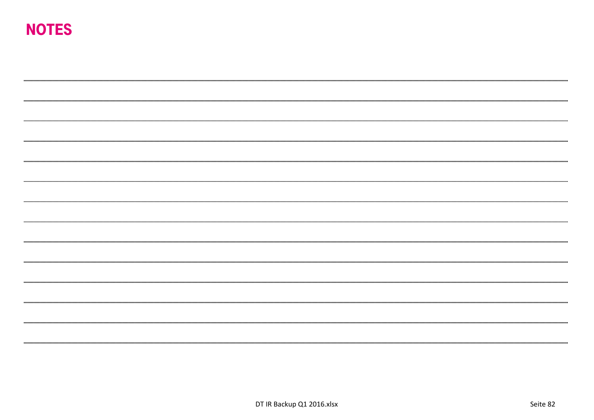# NOTES